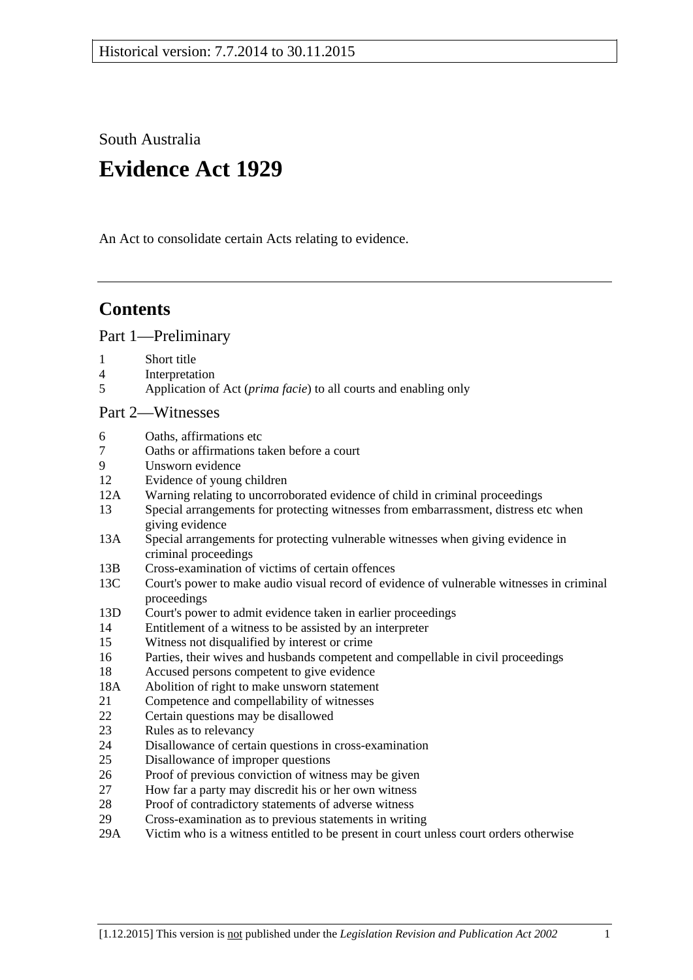South Australia

# **Evidence Act 1929**

An Act to consolidate certain Acts relating to evidence.

# **Contents**

[Part 1—Preliminary](#page-6-0)

- 1 [Short title](#page-6-1)
- 4 [Interpretation](#page-6-2)
- 5 Application of Act (*prima facie*[\) to all courts and enabling only](#page-8-0)

#### [Part 2—Witnesses](#page-10-0)

- 6 [Oaths, affirmations etc](#page-10-1)
- 7 [Oaths or affirmations taken before a court](#page-10-2)
- [Unsworn evidence](#page-10-3)
- 12 [Evidence of young children](#page-11-0)
- 12A [Warning relating to uncorroborated evidence of child in criminal proceedings](#page-11-1)
- 13 [Special arrangements for protecting witnesses from embarrassment, distress etc when](#page-11-2)  [giving evidence](#page-11-2)
- 13A [Special arrangements for protecting vulnerable witnesses](#page-13-0) when giving evidence in [criminal proceedings](#page-13-0)
- 13B [Cross-examination of victims of certain offences](#page-15-0)
- 13C [Court's power to make audio visual record of evidence of vulnerable witnesses in criminal](#page-16-0)  [proceedings](#page-16-0)
- 13D [Court's power to admit evidence taken in earlier proceedings](#page-17-0)
- 14 [Entitlement of a witness to be assisted by an interpreter](#page-18-0)
- 15 [Witness not disqualified by interest or crime](#page-18-1)
- 16 [Parties, their wives and husbands competent and compellable in civil proceedings](#page-18-2)
- 18 [Accused persons competent to give evidence](#page-18-3)
- 18A [Abolition of right to make unsworn statement](#page-19-0)
- 21 [Competence and compellability of witnesses](#page-20-0)
- 22 [Certain questions may be disallowed](#page-21-0)
- 23 [Rules as to relevancy](#page-21-1)
- 24 [Disallowance of certain questions in cross-examination](#page-21-2)
- 25 [Disallowance of improper questions](#page-21-3)
- 26 [Proof of previous conviction of witness may be given](#page-22-0)
- 27 [How far a party may discredit his or her own witness](#page-22-1)
- 28 [Proof of contradictory statements of adverse witness](#page-23-0)
- 29 [Cross-examination as to previous statements in writing](#page-23-1)
- 29A [Victim who is a witness entitled to be present in court unless court orders otherwise](#page-23-2)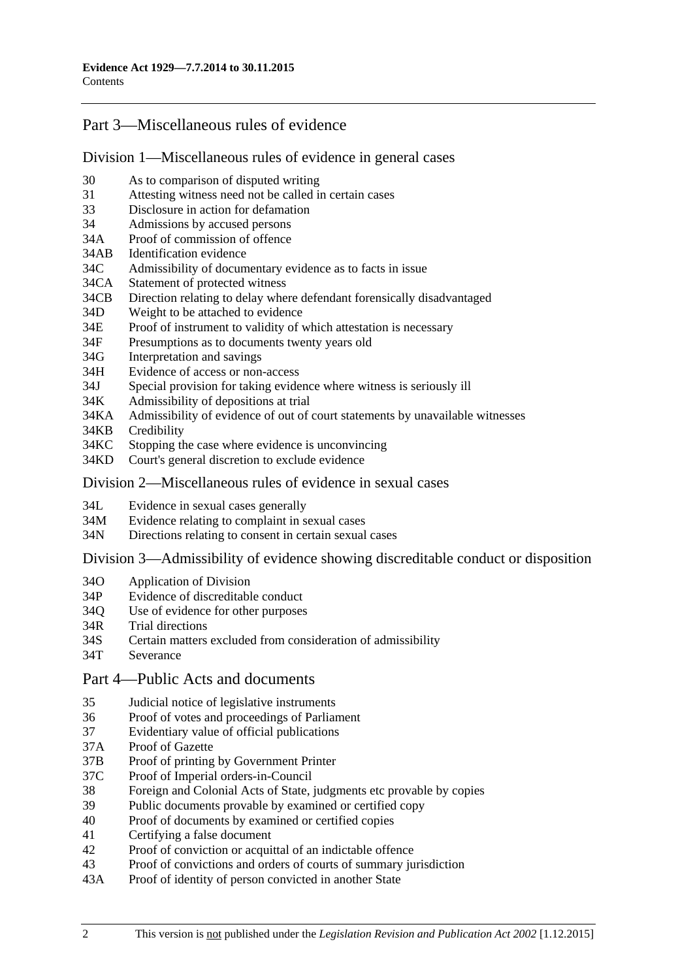# [Part 3—Miscellaneous rules of evidence](#page-24-0)

#### [Division 1—Miscellaneous rules of evidence in general cases](#page-24-1)

- 30 [As to comparison of disputed writing](#page-24-2)
- 31 [Attesting witness need not be called in certain cases](#page-24-3)
- 33 [Disclosure in action for defamation](#page-24-4)
- 34 [Admissions by accused persons](#page-24-5)
- 34A [Proof of commission of offence](#page-24-6)
- 34AB [Identification evidence](#page-24-7)
- 34C [Admissibility of documentary evidence as to facts in issue](#page-25-0)<br>34CA Statement of protected witness
- [Statement of protected witness](#page-26-0)
- 34CB [Direction relating to delay where defendant forensically disadvantaged](#page-27-0)
- 34D [Weight to be attached to evidence](#page-27-1)
- 34E [Proof of instrument to validity of which attestation is necessary](#page-28-0)
- 34F [Presumptions as to documents twenty years old](#page-28-1)
- 34G [Interpretation and savings](#page-28-2)
- 34H [Evidence of access or non-access](#page-28-3)
- 34J [Special provision for taking evidence where witness is seriously ill](#page-28-4)
- 34K [Admissibility of depositions at trial](#page-29-0)
- 34KA [Admissibility of evidence of out of court statements by unavailable witnesses](#page-29-1)
- 34KB [Credibility](#page-30-0)
- 34KC [Stopping the case where evidence is unconvincing](#page-31-0)
- 34KD [Court's general discretion to exclude evidence](#page-32-0)

## [Division 2—Miscellaneous rules of evidence in sexual cases](#page-32-1)

- 34L [Evidence in sexual cases generally](#page-32-2)
- 34M [Evidence relating to complaint in sexual cases](#page-33-0)
- 34N [Directions relating to consent in certain sexual cases](#page-34-0)

Division [3—Admissibility of evidence showing discreditable conduct or disposition](#page-34-1)

- 34O [Application of Division](#page-34-2)
- 34P [Evidence of discreditable conduct](#page-35-0)
- 34Q [Use of evidence for other purposes](#page-35-1)
- 34R [Trial directions](#page-35-2)
- 34S [Certain matters excluded from consideration of admissibility](#page-36-0)
- 34T [Severance](#page-36-1)
- [Part 4—Public Acts and documents](#page-38-0)
- 35 [Judicial notice of legislative instruments](#page-38-1)
- 36 [Proof of votes and proceedings of Parliament](#page-38-2)
- 37 [Evidentiary value of official publications](#page-38-3)<br>37A Proof of Gazette
- [Proof of Gazette](#page-38-4)
- 37B [Proof of printing by Government Printer](#page-38-5)
- 37C [Proof of Imperial orders-in-Council](#page-39-0)
- 38 [Foreign and Colonial Acts of State, judgments etc provable by copies](#page-39-1)
- 39 [Public documents provable by examined or certified copy](#page-39-2)
- 40 [Proof of documents by examined or certified copies](#page-40-0)
- 41 [Certifying a false document](#page-40-1)
- 42 [Proof of conviction or acquittal of an indictable offence](#page-40-2)
- 43 [Proof of convictions and orders of courts of summary jurisdiction](#page-40-3)
- 43A [Proof of identity of person convicted in another State](#page-41-0)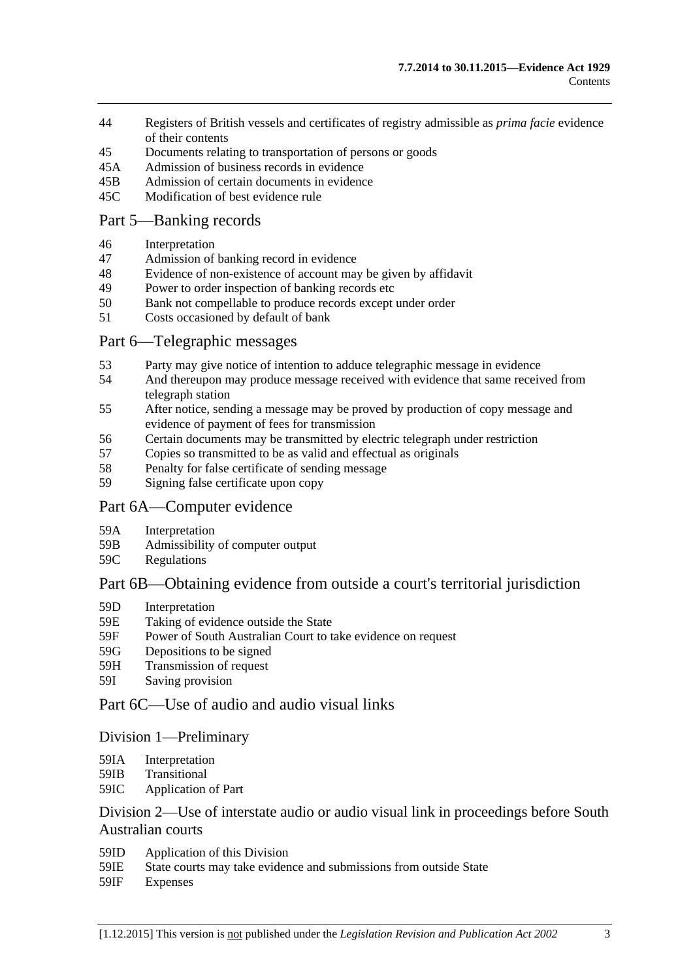- 44 [Registers of British vessels and certificates of registry admissible as](#page-41-1) *prima facie* evidence [of their contents](#page-41-1)
- 45 [Documents relating to transportation of persons or goods](#page-41-2)
- 45A [Admission of business records in evidence](#page-42-0)
- 45B [Admission of certain documents in evidence](#page-43-0)
- 45C [Modification of best evidence rule](#page-43-1)

## [Part 5—Banking records](#page-46-0)

- 46 [Interpretation](#page-46-1)
- 47 [Admission of banking record in evidence](#page-46-2)
- 48 [Evidence of non-existence of account may be given by affidavit](#page-46-3)
- 49 [Power to order inspection of banking records etc](#page-47-0)
- 50 [Bank not compellable to produce records except under order](#page-48-0)
- 51 [Costs occasioned by default of bank](#page-48-1)

## [Part 6—Telegraphic messages](#page-50-0)

- 53 [Party may give notice of intention to adduce telegraphic message in evidence](#page-50-1)
- 54 [And thereupon may produce message received with evidence that same received from](#page-50-2)  [telegraph station](#page-50-2)
- 55 [After notice, sending a message may be proved by production of copy message and](#page-50-3)  [evidence of payment of fees for transmission](#page-50-3)
- 56 [Certain documents may be transmitted by electric telegraph under restriction](#page-51-0)<br>57 Copies so transmitted to be as valid and effectual as originals
- [Copies so transmitted to be as valid and effectual as originals](#page-52-0)
- 58 [Penalty for false certificate of sending message](#page-52-1)
- 59 [Signing false certificate upon copy](#page-52-2)

#### [Part 6A—Computer evidence](#page-54-0)

- 59A [Interpretation](#page-54-1)
- 59B [Admissibility of computer output](#page-54-2)
- 59C [Regulations](#page-55-0)

## [Part 6B—Obtaining evidence from outside a court's territorial jurisdiction](#page-56-0)

- 59D [Interpretation](#page-56-1)
- 59E [Taking of evidence outside the State](#page-56-2)
- 59F [Power of South Australian Court to take evidence on request](#page-57-0)
- 59G [Depositions to be signed](#page-57-1)
- 59H [Transmission of request](#page-57-2)
- 59I [Saving provision](#page-58-0)

# [Part 6C—Use of audio and audio visual links](#page-60-0)

#### [Division 1—Preliminary](#page-60-1)

- 59IA [Interpretation](#page-60-2)
- 59IB [Transitional](#page-60-3)
- 59IC [Application of Part](#page-60-4)

## [Division 2—Use of interstate audio or audio visual link in proceedings before South](#page-61-0)  [Australian courts](#page-61-0)

- 59ID [Application of this Division](#page-61-1)
- 59IE [State courts may take evidence and submissions from outside State](#page-61-2)
- 59IF [Expenses](#page-61-3)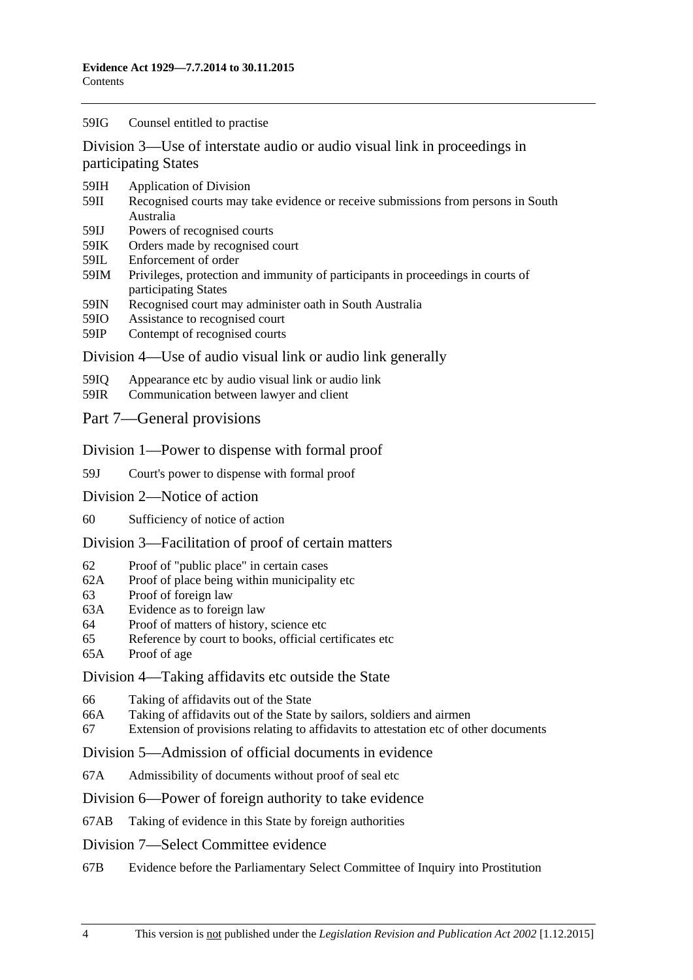#### 59IG [Counsel entitled to practise](#page-61-4)

[Division 3—Use of interstate audio or audio visual link in proceedings in](#page-62-0)  [participating States](#page-62-0)

- 59IH [Application of Division](#page-62-1)
- 59II [Recognised courts may take evidence or receive submissions from persons in South](#page-62-2)  [Australia](#page-62-2)
- 59IJ [Powers of recognised courts](#page-62-3)
- 59IK [Orders made by recognised court](#page-62-4)
- 59IL [Enforcement of order](#page-62-5)
- 59IM [Privileges, protection and immunity of participants in proceedings in courts of](#page-63-0)  [participating States](#page-63-0)
- 59IN [Recognised court may administer oath in South Australia](#page-63-1)
- 59IO [Assistance to recognised court](#page-63-2)
- 59IP [Contempt of recognised courts](#page-63-3)

#### [Division 4—Use of audio visual link or audio link generally](#page-64-0)

- 59IQ [Appearance etc by audio visual link or audio link](#page-64-1)
- 59IR [Communication between lawyer and client](#page-65-0)
- [Part 7—General provisions](#page-68-0)

#### [Division 1—Power to dispense with formal proof](#page-68-1)

- 59J [Court's power to dispense with formal proof](#page-68-2)
- [Division 2—Notice of action](#page-68-3)
- 60 [Sufficiency of notice of action](#page-68-4)

#### [Division 3—Facilitation of proof of certain matters](#page-68-5)

- 62 [Proof of "public place" in certain cases](#page-68-6)
- 62A [Proof of place being within municipality etc](#page-68-7)
- 63 [Proof of foreign law](#page-69-0)
- 63A [Evidence as to foreign law](#page-69-1)
- 64 [Proof of matters of history, science etc](#page-69-2)
- 65 [Reference by court to books, official certificates etc](#page-69-3)
- 65A [Proof of age](#page-70-0)

#### [Division 4—Taking affidavits](#page-70-1) etc outside the State

- 66 [Taking of affidavits out of the State](#page-70-2)
- 66A [Taking of affidavits out of the State by sailors, soldiers and airmen](#page-71-0)
- 67 [Extension of provisions relating to affidavits to attestation etc of other documents](#page-72-0)

#### [Division 5—Admission of official documents in evidence](#page-72-1)

67A [Admissibility of documents without proof of seal etc](#page-72-2)

#### [Division 6—Power of foreign authority to take evidence](#page-73-0)

67AB [Taking of evidence in this State by foreign authorities](#page-73-1)

#### [Division 7—Select Committee evidence](#page-73-2)

67B [Evidence before the Parliamentary Select Committee of Inquiry into Prostitution](#page-73-3)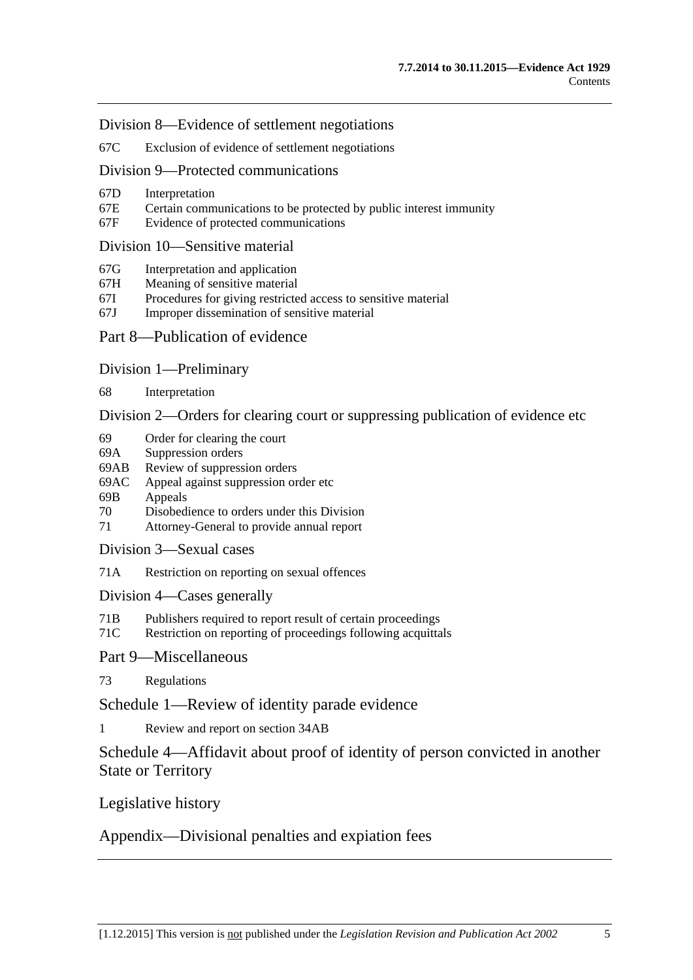[Division 8—Evidence of settlement negotiations](#page-74-0)

67C [Exclusion of evidence of settlement negotiations](#page-74-1)

[Division 9—Protected communications](#page-75-0)

- 67D [Interpretation](#page-75-1)
- 67E [Certain communications to be protected by public interest immunity](#page-75-2)
- 67F [Evidence of protected communications](#page-76-0)

#### [Division 10—Sensitive material](#page-77-0)

- 67G [Interpretation and application](#page-77-1)
- 67H [Meaning of sensitive material](#page-79-0)
- 67I [Procedures for giving restricted access to sensitive material](#page-79-1)
- 67J [Improper dissemination of sensitive material](#page-80-0)

#### [Part 8—Publication of evidence](#page-82-0)

[Division 1—Preliminary](#page-82-1)

68 [Interpretation](#page-82-2)

[Division 2—Orders for clearing court or suppressing publication of evidence etc](#page-82-3)

- 69 [Order for clearing the court](#page-82-4)
- 69A [Suppression orders](#page-83-0)
- 69AB [Review of suppression orders](#page-85-0)<br>69AC Appeal against suppression or
- [Appeal against suppression order etc](#page-86-0)
- 69B [Appeals](#page-86-1)
- 70 [Disobedience to orders under this Division](#page-87-0)
- 71 [Attorney-General to provide annual report](#page-87-1)
- [Division 3—Sexual cases](#page-88-0)
- 71A [Restriction on reporting on sexual offences](#page-88-1)

[Division 4—Cases generally](#page-90-0)

- 71B [Publishers required to report result of certain proceedings](#page-90-1)
- 71C [Restriction on reporting of proceedings following acquittals](#page-91-0)

[Part 9—Miscellaneous](#page-92-0)

73 [Regulations](#page-92-1)

[Schedule 1—Review of identity parade evidence](#page-94-0)

1 [Review and report on section](#page-94-1) 34AB

[Schedule 4—Affidavit about proof of identity of person convicted in another](#page-95-0)  [State or Territory](#page-95-0)

[Legislative history](#page-96-0)

[Appendix—Divisional penalties and expiation fees](#page-109-0)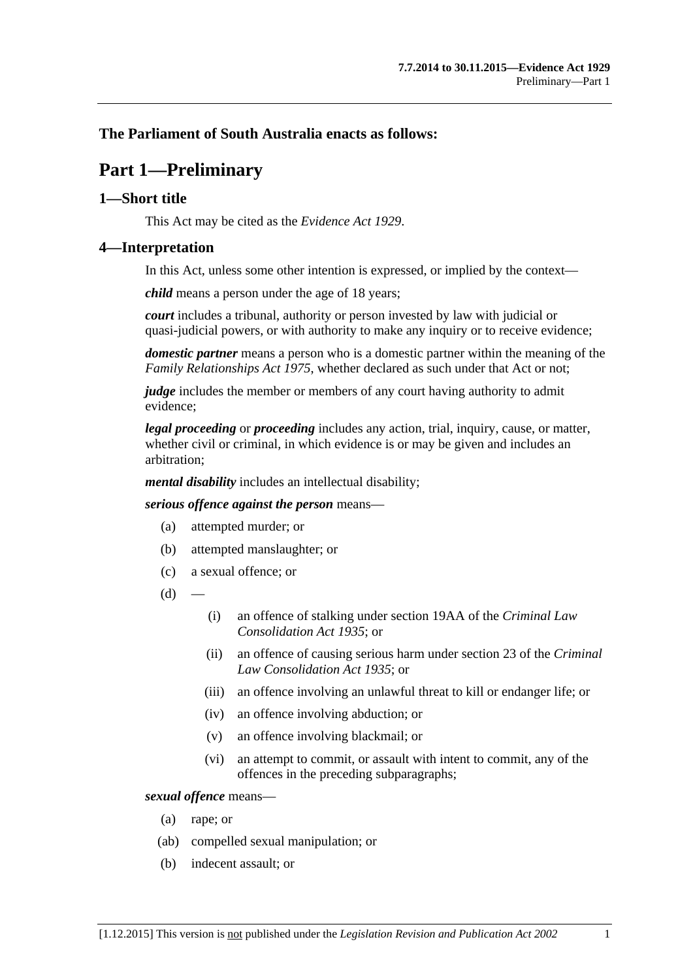# <span id="page-6-0"></span>**The Parliament of South Australia enacts as follows:**

# **Part 1—Preliminary**

## <span id="page-6-1"></span>**1—Short title**

This Act may be cited as the *Evidence Act 1929*.

#### <span id="page-6-2"></span>**4—Interpretation**

In this Act, unless some other intention is expressed, or implied by the context—

*child* means a person under the age of 18 years;

*court* includes a tribunal, authority or person invested by law with judicial or quasi-judicial powers, or with authority to make any inquiry or to receive evidence;

*domestic partner* means a person who is a domestic partner within the meaning of the *[Family Relationships Act](http://www.legislation.sa.gov.au/index.aspx?action=legref&type=act&legtitle=Family%20Relationships%20Act%201975) 1975*, whether declared as such under that Act or not;

*judge* includes the member or members of any court having authority to admit evidence;

*legal proceeding* or *proceeding* includes any action, trial, inquiry, cause, or matter, whether civil or criminal, in which evidence is or may be given and includes an arbitration;

*mental disability* includes an intellectual disability;

*serious offence against the person* means—

- (a) attempted murder; or
- (b) attempted manslaughter; or
- (c) a sexual offence; or
- $(d)$
- (i) an offence of stalking under section 19AA of the *[Criminal Law](http://www.legislation.sa.gov.au/index.aspx?action=legref&type=act&legtitle=Criminal%20Law%20Consolidation%20Act%201935)  [Consolidation Act](http://www.legislation.sa.gov.au/index.aspx?action=legref&type=act&legtitle=Criminal%20Law%20Consolidation%20Act%201935) 1935*; or
- (ii) an offence of causing serious harm under section 23 of the *[Criminal](http://www.legislation.sa.gov.au/index.aspx?action=legref&type=act&legtitle=Criminal%20Law%20Consolidation%20Act%201935)  [Law Consolidation Act](http://www.legislation.sa.gov.au/index.aspx?action=legref&type=act&legtitle=Criminal%20Law%20Consolidation%20Act%201935) 1935*; or
- (iii) an offence involving an unlawful threat to kill or endanger life; or
- (iv) an offence involving abduction; or
- (v) an offence involving blackmail; or
- (vi) an attempt to commit, or assault with intent to commit, any of the offences in the preceding subparagraphs;

#### *sexual offence* means—

- (a) rape; or
- (ab) compelled sexual manipulation; or
- (b) indecent assault; or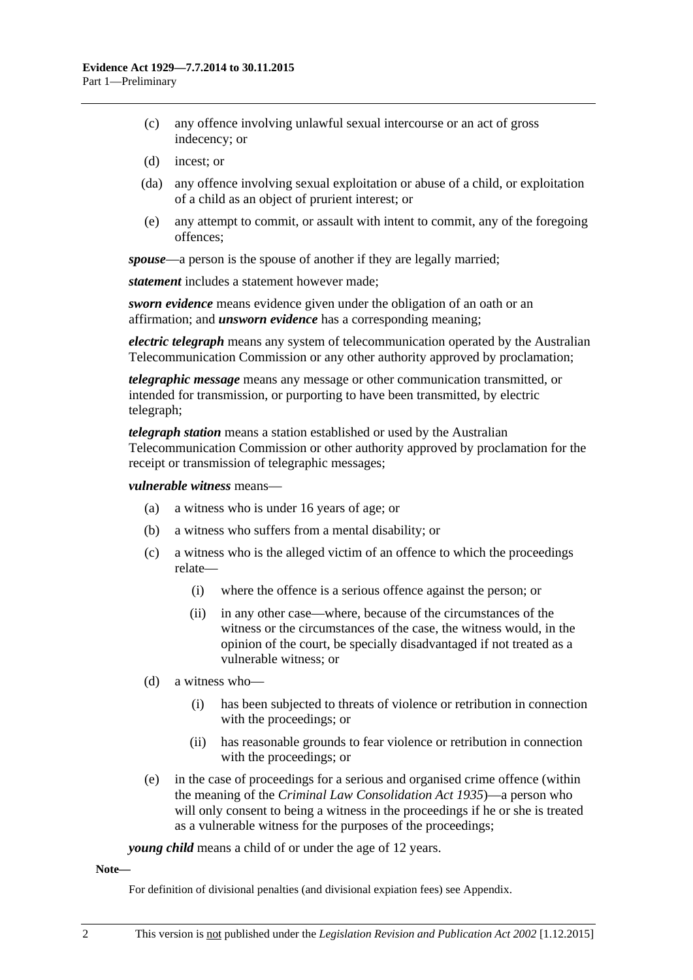- (c) any offence involving unlawful sexual intercourse or an act of gross indecency; or
- (d) incest; or
- (da) any offence involving sexual exploitation or abuse of a child, or exploitation of a child as an object of prurient interest; or
- (e) any attempt to commit, or assault with intent to commit, any of the foregoing offences;

*spouse*—a person is the spouse of another if they are legally married;

*statement* includes a statement however made;

*sworn evidence* means evidence given under the obligation of an oath or an affirmation; and *unsworn evidence* has a corresponding meaning;

*electric telegraph* means any system of telecommunication operated by the Australian Telecommunication Commission or any other authority approved by proclamation;

*telegraphic message* means any message or other communication transmitted, or intended for transmission, or purporting to have been transmitted, by electric telegraph;

*telegraph station* means a station established or used by the Australian Telecommunication Commission or other authority approved by proclamation for the receipt or transmission of telegraphic messages;

#### *vulnerable witness* means—

- (a) a witness who is under 16 years of age; or
- (b) a witness who suffers from a mental disability; or
- (c) a witness who is the alleged victim of an offence to which the proceedings relate—
	- (i) where the offence is a serious offence against the person; or
	- (ii) in any other case—where, because of the circumstances of the witness or the circumstances of the case, the witness would, in the opinion of the court, be specially disadvantaged if not treated as a vulnerable witness; or
- (d) a witness who—
	- (i) has been subjected to threats of violence or retribution in connection with the proceedings; or
	- (ii) has reasonable grounds to fear violence or retribution in connection with the proceedings; or
- (e) in the case of proceedings for a serious and organised crime offence (within the meaning of the *[Criminal Law Consolidation Act](http://www.legislation.sa.gov.au/index.aspx?action=legref&type=act&legtitle=Criminal%20Law%20Consolidation%20Act%201935) 1935*)—a person who will only consent to being a witness in the proceedings if he or she is treated as a vulnerable witness for the purposes of the proceedings;

*young child* means a child of or under the age of 12 years.

#### **Note—**

For definition of divisional penalties (and divisional expiation fees) see Appendix.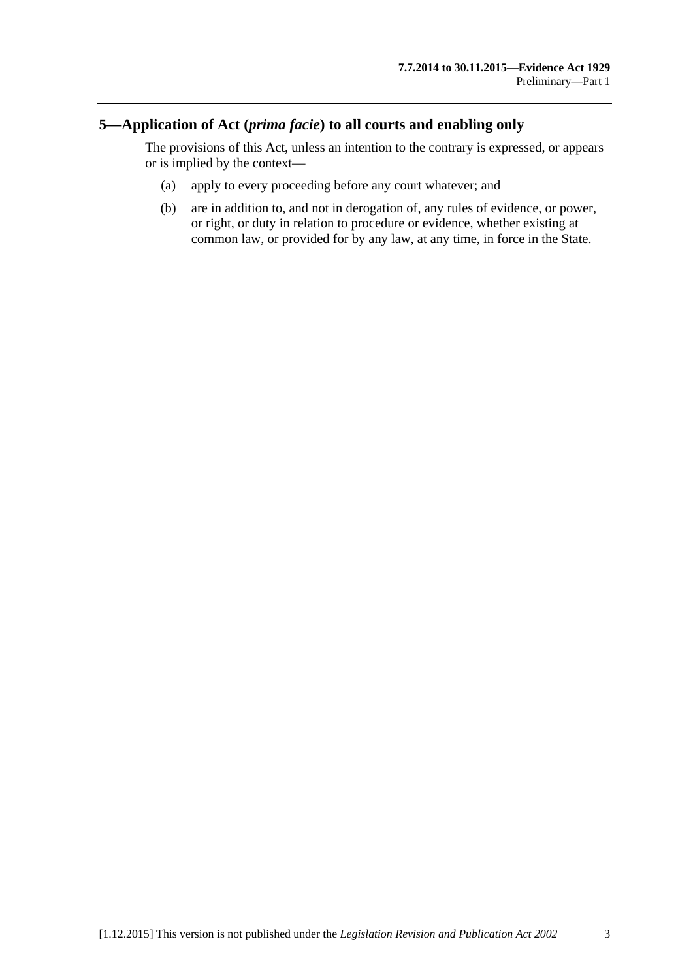## <span id="page-8-0"></span>**5—Application of Act (***prima facie***) to all courts and enabling only**

The provisions of this Act, unless an intention to the contrary is expressed, or appears or is implied by the context—

- (a) apply to every proceeding before any court whatever; and
- (b) are in addition to, and not in derogation of, any rules of evidence, or power, or right, or duty in relation to procedure or evidence, whether existing at common law, or provided for by any law, at any time, in force in the State.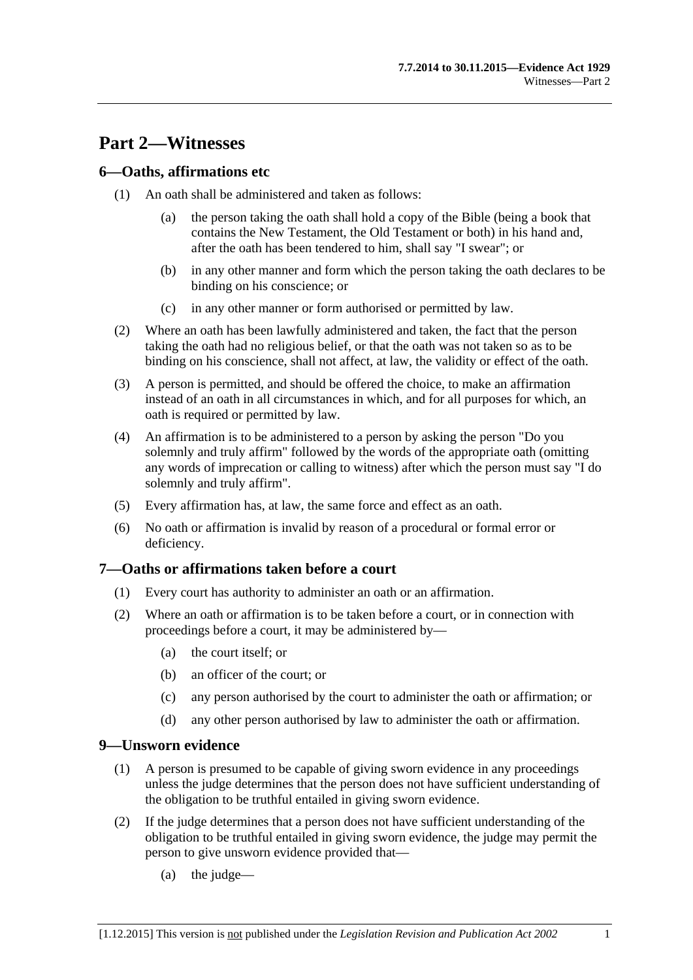# <span id="page-10-0"></span>**Part 2—Witnesses**

## <span id="page-10-1"></span>**6—Oaths, affirmations etc**

- (1) An oath shall be administered and taken as follows:
	- (a) the person taking the oath shall hold a copy of the Bible (being a book that contains the New Testament, the Old Testament or both) in his hand and, after the oath has been tendered to him, shall say "I swear"; or
	- (b) in any other manner and form which the person taking the oath declares to be binding on his conscience; or
	- (c) in any other manner or form authorised or permitted by law.
- (2) Where an oath has been lawfully administered and taken, the fact that the person taking the oath had no religious belief, or that the oath was not taken so as to be binding on his conscience, shall not affect, at law, the validity or effect of the oath.
- (3) A person is permitted, and should be offered the choice, to make an affirmation instead of an oath in all circumstances in which, and for all purposes for which, an oath is required or permitted by law.
- (4) An affirmation is to be administered to a person by asking the person "Do you solemnly and truly affirm" followed by the words of the appropriate oath (omitting any words of imprecation or calling to witness) after which the person must say "I do solemnly and truly affirm".
- (5) Every affirmation has, at law, the same force and effect as an oath.
- (6) No oath or affirmation is invalid by reason of a procedural or formal error or deficiency.

#### <span id="page-10-2"></span>**7—Oaths or affirmations taken before a court**

- (1) Every court has authority to administer an oath or an affirmation.
- (2) Where an oath or affirmation is to be taken before a court, or in connection with proceedings before a court, it may be administered by—
	- (a) the court itself; or
	- (b) an officer of the court; or
	- (c) any person authorised by the court to administer the oath or affirmation; or
	- (d) any other person authorised by law to administer the oath or affirmation.

#### <span id="page-10-3"></span>**9—Unsworn evidence**

- (1) A person is presumed to be capable of giving sworn evidence in any proceedings unless the judge determines that the person does not have sufficient understanding of the obligation to be truthful entailed in giving sworn evidence.
- (2) If the judge determines that a person does not have sufficient understanding of the obligation to be truthful entailed in giving sworn evidence, the judge may permit the person to give unsworn evidence provided that—
	- (a) the judge—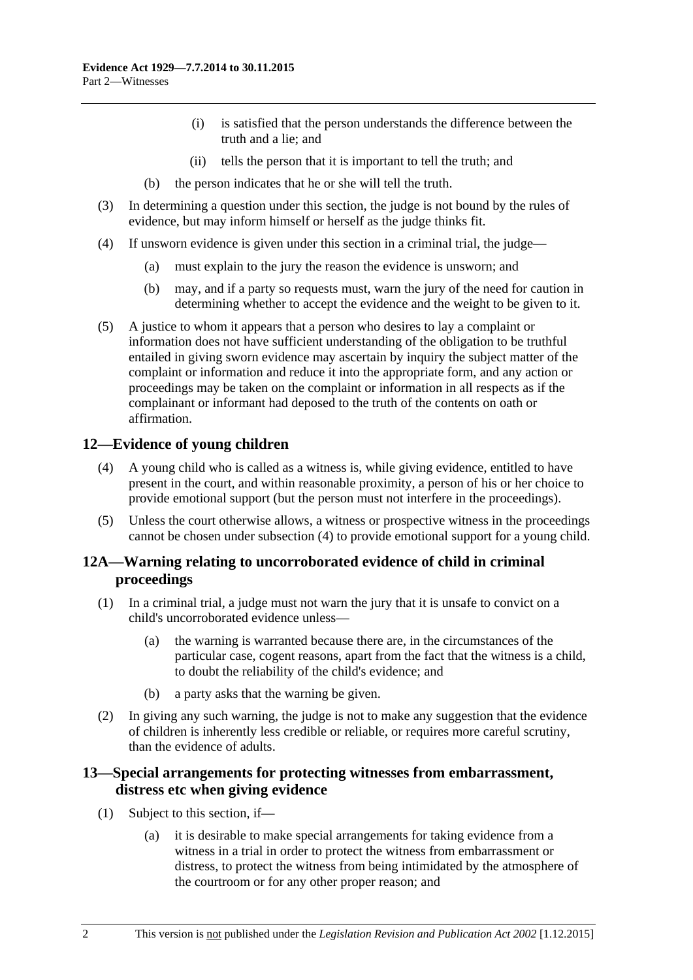- (i) is satisfied that the person understands the difference between the truth and a lie; and
- (ii) tells the person that it is important to tell the truth; and
- (b) the person indicates that he or she will tell the truth.
- (3) In determining a question under this section, the judge is not bound by the rules of evidence, but may inform himself or herself as the judge thinks fit.
- (4) If unsworn evidence is given under this section in a criminal trial, the judge—
	- (a) must explain to the jury the reason the evidence is unsworn; and
	- (b) may, and if a party so requests must, warn the jury of the need for caution in determining whether to accept the evidence and the weight to be given to it.
- (5) A justice to whom it appears that a person who desires to lay a complaint or information does not have sufficient understanding of the obligation to be truthful entailed in giving sworn evidence may ascertain by inquiry the subject matter of the complaint or information and reduce it into the appropriate form, and any action or proceedings may be taken on the complaint or information in all respects as if the complainant or informant had deposed to the truth of the contents on oath or affirmation.

## <span id="page-11-3"></span><span id="page-11-0"></span>**12—Evidence of young children**

- (4) A young child who is called as a witness is, while giving evidence, entitled to have present in the court, and within reasonable proximity, a person of his or her choice to provide emotional support (but the person must not interfere in the proceedings).
- (5) Unless the court otherwise allows, a witness or prospective witness in the proceedings cannot be chosen under [subsection](#page-11-3) (4) to provide emotional support for a young child.

# <span id="page-11-1"></span>**12A—Warning relating to uncorroborated evidence of child in criminal proceedings**

- (1) In a criminal trial, a judge must not warn the jury that it is unsafe to convict on a child's uncorroborated evidence unless—
	- (a) the warning is warranted because there are, in the circumstances of the particular case, cogent reasons, apart from the fact that the witness is a child, to doubt the reliability of the child's evidence; and
	- (b) a party asks that the warning be given.
- (2) In giving any such warning, the judge is not to make any suggestion that the evidence of children is inherently less credible or reliable, or requires more careful scrutiny, than the evidence of adults.

# <span id="page-11-2"></span>**13—Special arrangements for protecting witnesses from embarrassment, distress etc when giving evidence**

- (1) Subject to this section, if—
	- (a) it is desirable to make special arrangements for taking evidence from a witness in a trial in order to protect the witness from embarrassment or distress, to protect the witness from being intimidated by the atmosphere of the courtroom or for any other proper reason; and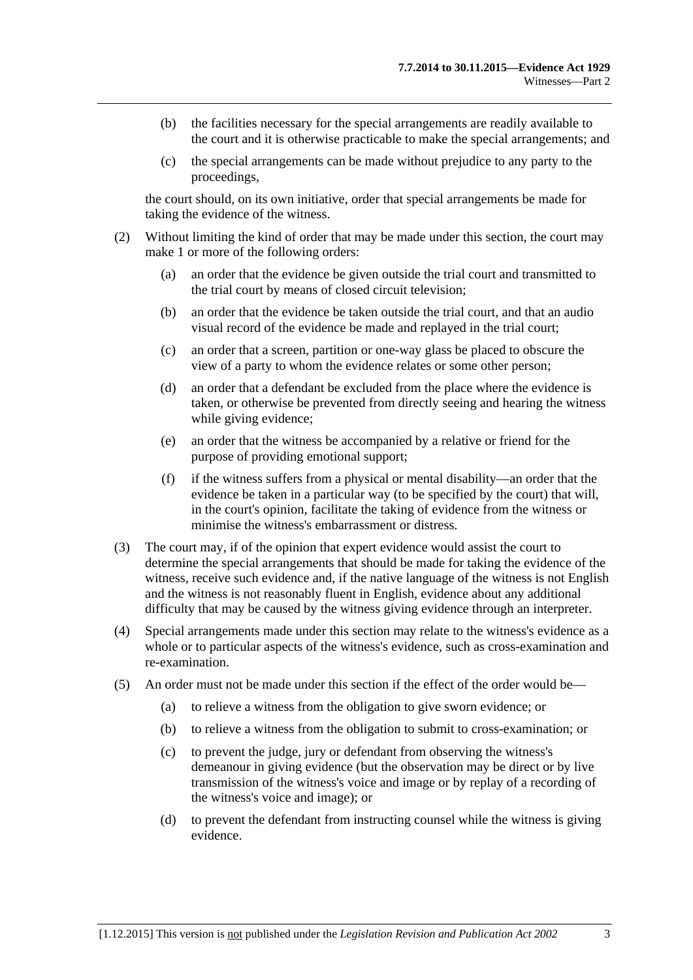- (b) the facilities necessary for the special arrangements are readily available to the court and it is otherwise practicable to make the special arrangements; and
- (c) the special arrangements can be made without prejudice to any party to the proceedings,

the court should, on its own initiative, order that special arrangements be made for taking the evidence of the witness.

- (2) Without limiting the kind of order that may be made under this section, the court may make 1 or more of the following orders:
	- (a) an order that the evidence be given outside the trial court and transmitted to the trial court by means of closed circuit television;
	- (b) an order that the evidence be taken outside the trial court, and that an audio visual record of the evidence be made and replayed in the trial court;
	- (c) an order that a screen, partition or one-way glass be placed to obscure the view of a party to whom the evidence relates or some other person;
	- (d) an order that a defendant be excluded from the place where the evidence is taken, or otherwise be prevented from directly seeing and hearing the witness while giving evidence;
	- (e) an order that the witness be accompanied by a relative or friend for the purpose of providing emotional support;
	- (f) if the witness suffers from a physical or mental disability—an order that the evidence be taken in a particular way (to be specified by the court) that will, in the court's opinion, facilitate the taking of evidence from the witness or minimise the witness's embarrassment or distress.
- (3) The court may, if of the opinion that expert evidence would assist the court to determine the special arrangements that should be made for taking the evidence of the witness, receive such evidence and, if the native language of the witness is not English and the witness is not reasonably fluent in English, evidence about any additional difficulty that may be caused by the witness giving evidence through an interpreter.
- (4) Special arrangements made under this section may relate to the witness's evidence as a whole or to particular aspects of the witness's evidence, such as cross-examination and re-examination.
- (5) An order must not be made under this section if the effect of the order would be—
	- (a) to relieve a witness from the obligation to give sworn evidence; or
	- (b) to relieve a witness from the obligation to submit to cross-examination; or
	- (c) to prevent the judge, jury or defendant from observing the witness's demeanour in giving evidence (but the observation may be direct or by live transmission of the witness's voice and image or by replay of a recording of the witness's voice and image); or
	- (d) to prevent the defendant from instructing counsel while the witness is giving evidence.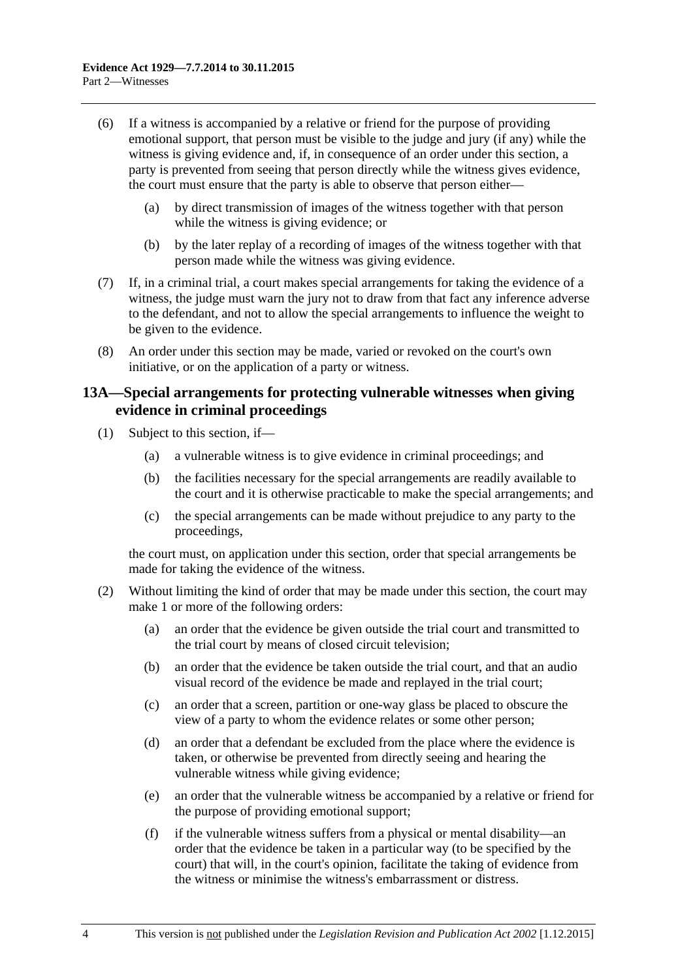- (6) If a witness is accompanied by a relative or friend for the purpose of providing emotional support, that person must be visible to the judge and jury (if any) while the witness is giving evidence and, if, in consequence of an order under this section, a party is prevented from seeing that person directly while the witness gives evidence, the court must ensure that the party is able to observe that person either—
	- (a) by direct transmission of images of the witness together with that person while the witness is giving evidence; or
	- (b) by the later replay of a recording of images of the witness together with that person made while the witness was giving evidence.
- (7) If, in a criminal trial, a court makes special arrangements for taking the evidence of a witness, the judge must warn the jury not to draw from that fact any inference adverse to the defendant, and not to allow the special arrangements to influence the weight to be given to the evidence.
- (8) An order under this section may be made, varied or revoked on the court's own initiative, or on the application of a party or witness.

## <span id="page-13-0"></span>**13A—Special arrangements for protecting vulnerable witnesses when giving evidence in criminal proceedings**

- (1) Subject to this section, if—
	- (a) a vulnerable witness is to give evidence in criminal proceedings; and
	- (b) the facilities necessary for the special arrangements are readily available to the court and it is otherwise practicable to make the special arrangements; and
	- (c) the special arrangements can be made without prejudice to any party to the proceedings,

the court must, on application under this section, order that special arrangements be made for taking the evidence of the witness.

- <span id="page-13-1"></span>(2) Without limiting the kind of order that may be made under this section, the court may make 1 or more of the following orders:
	- (a) an order that the evidence be given outside the trial court and transmitted to the trial court by means of closed circuit television;
	- (b) an order that the evidence be taken outside the trial court, and that an audio visual record of the evidence be made and replayed in the trial court;
	- (c) an order that a screen, partition or one-way glass be placed to obscure the view of a party to whom the evidence relates or some other person;
	- (d) an order that a defendant be excluded from the place where the evidence is taken, or otherwise be prevented from directly seeing and hearing the vulnerable witness while giving evidence;
	- (e) an order that the vulnerable witness be accompanied by a relative or friend for the purpose of providing emotional support;
	- (f) if the vulnerable witness suffers from a physical or mental disability—an order that the evidence be taken in a particular way (to be specified by the court) that will, in the court's opinion, facilitate the taking of evidence from the witness or minimise the witness's embarrassment or distress.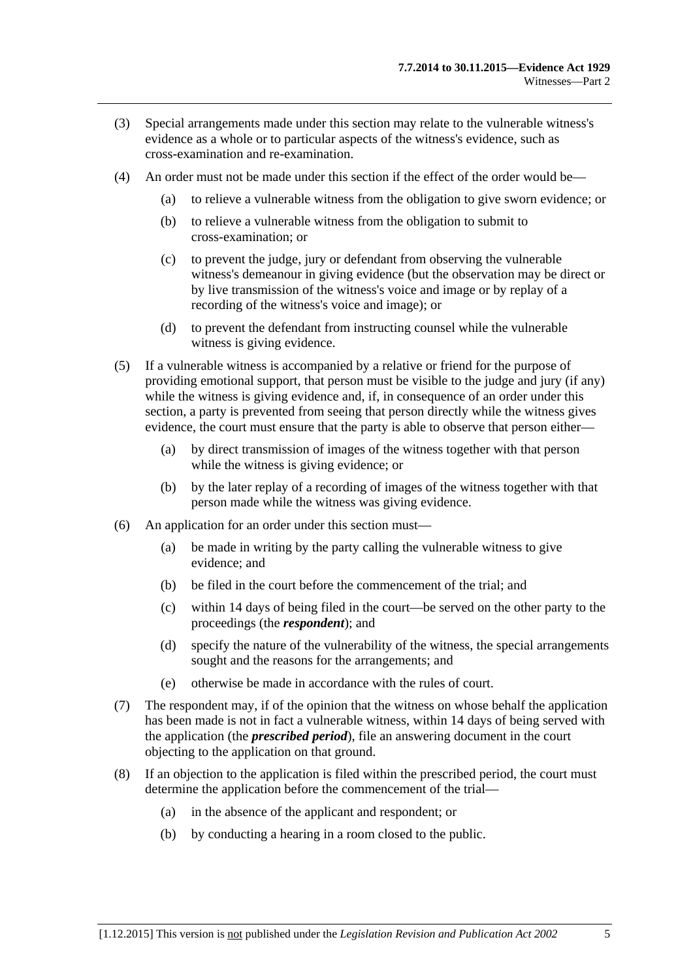- (3) Special arrangements made under this section may relate to the vulnerable witness's evidence as a whole or to particular aspects of the witness's evidence, such as cross-examination and re-examination.
- (4) An order must not be made under this section if the effect of the order would be—
	- (a) to relieve a vulnerable witness from the obligation to give sworn evidence; or
	- (b) to relieve a vulnerable witness from the obligation to submit to cross-examination; or
	- (c) to prevent the judge, jury or defendant from observing the vulnerable witness's demeanour in giving evidence (but the observation may be direct or by live transmission of the witness's voice and image or by replay of a recording of the witness's voice and image); or
	- (d) to prevent the defendant from instructing counsel while the vulnerable witness is giving evidence.
- (5) If a vulnerable witness is accompanied by a relative or friend for the purpose of providing emotional support, that person must be visible to the judge and jury (if any) while the witness is giving evidence and, if, in consequence of an order under this section, a party is prevented from seeing that person directly while the witness gives evidence, the court must ensure that the party is able to observe that person either—
	- (a) by direct transmission of images of the witness together with that person while the witness is giving evidence; or
	- (b) by the later replay of a recording of images of the witness together with that person made while the witness was giving evidence.
- (6) An application for an order under this section must—
	- (a) be made in writing by the party calling the vulnerable witness to give evidence; and
	- $(b)$  be filed in the court before the commencement of the trial; and
	- (c) within 14 days of being filed in the court—be served on the other party to the proceedings (the *respondent*); and
	- (d) specify the nature of the vulnerability of the witness, the special arrangements sought and the reasons for the arrangements; and
	- (e) otherwise be made in accordance with the rules of court.
- (7) The respondent may, if of the opinion that the witness on whose behalf the application has been made is not in fact a vulnerable witness, within 14 days of being served with the application (the *prescribed period*), file an answering document in the court objecting to the application on that ground.
- (8) If an objection to the application is filed within the prescribed period, the court must determine the application before the commencement of the trial—
	- (a) in the absence of the applicant and respondent; or
	- (b) by conducting a hearing in a room closed to the public.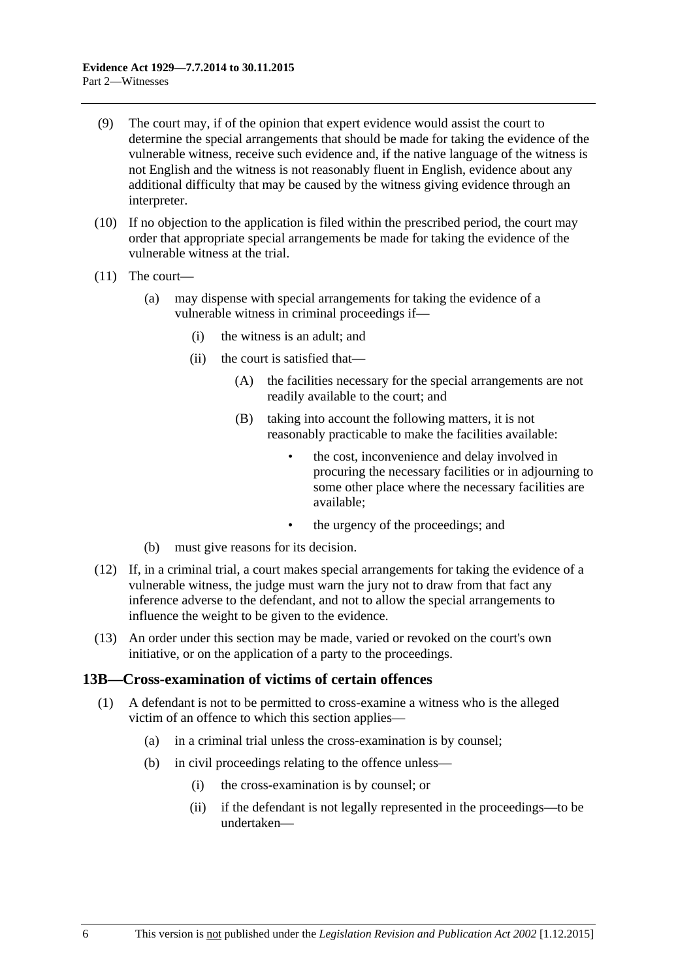- (9) The court may, if of the opinion that expert evidence would assist the court to determine the special arrangements that should be made for taking the evidence of the vulnerable witness, receive such evidence and, if the native language of the witness is not English and the witness is not reasonably fluent in English, evidence about any additional difficulty that may be caused by the witness giving evidence through an interpreter.
- (10) If no objection to the application is filed within the prescribed period, the court may order that appropriate special arrangements be made for taking the evidence of the vulnerable witness at the trial.
- (11) The court—
	- (a) may dispense with special arrangements for taking the evidence of a vulnerable witness in criminal proceedings if—
		- (i) the witness is an adult; and
		- (ii) the court is satisfied that—
			- (A) the facilities necessary for the special arrangements are not readily available to the court; and
			- (B) taking into account the following matters, it is not reasonably practicable to make the facilities available:
				- the cost, inconvenience and delay involved in procuring the necessary facilities or in adjourning to some other place where the necessary facilities are available;
				- the urgency of the proceedings; and
	- (b) must give reasons for its decision.
- (12) If, in a criminal trial, a court makes special arrangements for taking the evidence of a vulnerable witness, the judge must warn the jury not to draw from that fact any inference adverse to the defendant, and not to allow the special arrangements to influence the weight to be given to the evidence.
- (13) An order under this section may be made, varied or revoked on the court's own initiative, or on the application of a party to the proceedings.

#### <span id="page-15-0"></span>**13B—Cross-examination of victims of certain offences**

- (1) A defendant is not to be permitted to cross-examine a witness who is the alleged victim of an offence to which this section applies—
	- (a) in a criminal trial unless the cross-examination is by counsel;
	- (b) in civil proceedings relating to the offence unless—
		- (i) the cross-examination is by counsel; or
		- (ii) if the defendant is not legally represented in the proceedings—to be undertaken—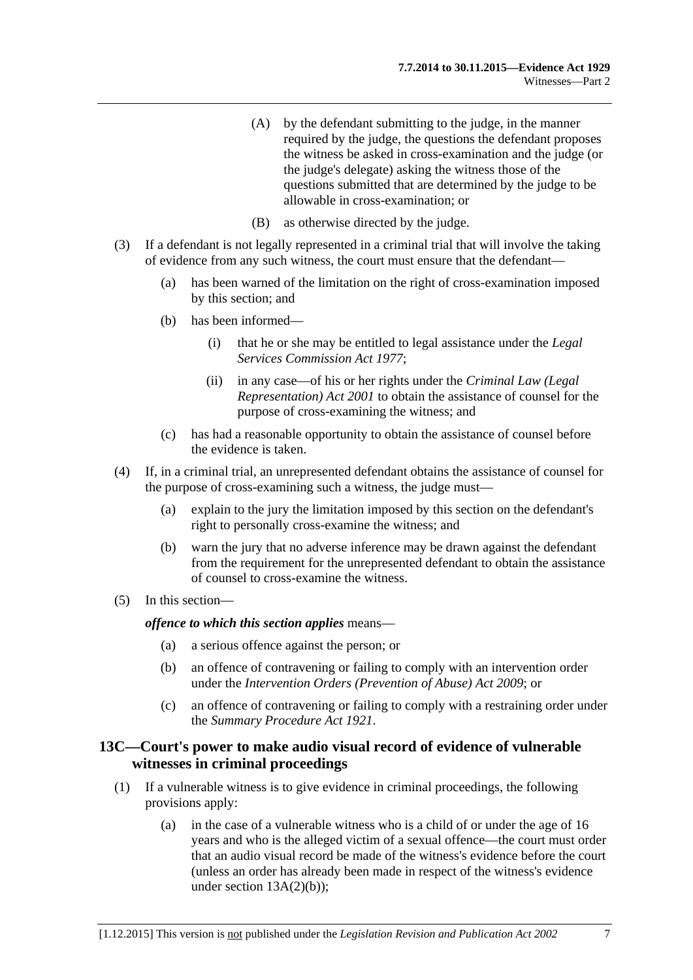- (A) by the defendant submitting to the judge, in the manner required by the judge, the questions the defendant proposes the witness be asked in cross-examination and the judge (or the judge's delegate) asking the witness those of the questions submitted that are determined by the judge to be allowable in cross-examination; or
- (B) as otherwise directed by the judge.
- (3) If a defendant is not legally represented in a criminal trial that will involve the taking of evidence from any such witness, the court must ensure that the defendant—
	- (a) has been warned of the limitation on the right of cross-examination imposed by this section; and
	- (b) has been informed—
		- (i) that he or she may be entitled to legal assistance under the *[Legal](http://www.legislation.sa.gov.au/index.aspx?action=legref&type=act&legtitle=Legal%20Services%20Commission%20Act%201977)  [Services Commission Act](http://www.legislation.sa.gov.au/index.aspx?action=legref&type=act&legtitle=Legal%20Services%20Commission%20Act%201977) 1977*;
		- (ii) in any case—of his or her rights under the *[Criminal Law \(Legal](http://www.legislation.sa.gov.au/index.aspx?action=legref&type=act&legtitle=Criminal%20Law%20(Legal%20Representation)%20Act%202001)  [Representation\) Act](http://www.legislation.sa.gov.au/index.aspx?action=legref&type=act&legtitle=Criminal%20Law%20(Legal%20Representation)%20Act%202001) 2001* to obtain the assistance of counsel for the purpose of cross-examining the witness; and
	- (c) has had a reasonable opportunity to obtain the assistance of counsel before the evidence is taken.
- (4) If, in a criminal trial, an unrepresented defendant obtains the assistance of counsel for the purpose of cross-examining such a witness, the judge must—
	- (a) explain to the jury the limitation imposed by this section on the defendant's right to personally cross-examine the witness; and
	- (b) warn the jury that no adverse inference may be drawn against the defendant from the requirement for the unrepresented defendant to obtain the assistance of counsel to cross-examine the witness.
- (5) In this section—

*offence to which this section applies* means—

- (a) a serious offence against the person; or
- (b) an offence of contravening or failing to comply with an intervention order under the *[Intervention Orders \(Prevention of Abuse\) Act](http://www.legislation.sa.gov.au/index.aspx?action=legref&type=act&legtitle=Intervention%20Orders%20(Prevention%20of%20Abuse)%20Act%202009) 2009*; or
- (c) an offence of contravening or failing to comply with a restraining order under the *[Summary Procedure Act](http://www.legislation.sa.gov.au/index.aspx?action=legref&type=act&legtitle=Summary%20Procedure%20Act%201921) 1921*.

## <span id="page-16-0"></span>**13C—Court's power to make audio visual record of evidence of vulnerable witnesses in criminal proceedings**

- (1) If a vulnerable witness is to give evidence in criminal proceedings, the following provisions apply:
	- (a) in the case of a vulnerable witness who is a child of or under the age of 16 years and who is the alleged victim of a sexual offence—the court must order that an audio visual record be made of the witness's evidence before the court (unless an order has already been made in respect of the witness's evidence under section  $13A(2)(b)$ ;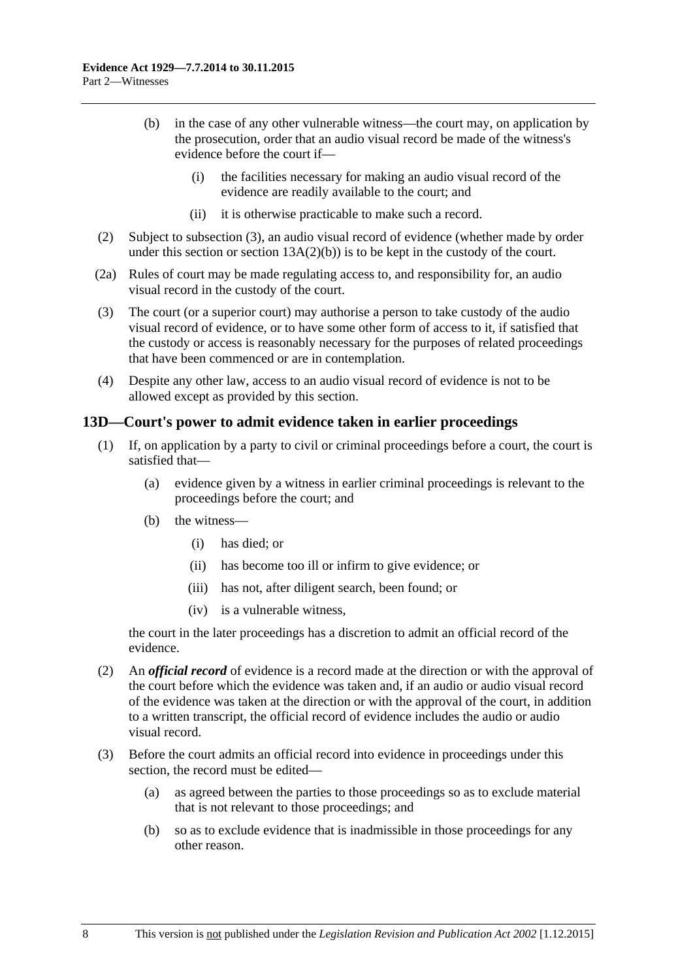- (b) in the case of any other vulnerable witness—the court may, on application by the prosecution, order that an audio visual record be made of the witness's evidence before the court if—
	- (i) the facilities necessary for making an audio visual record of the evidence are readily available to the court; and
	- (ii) it is otherwise practicable to make such a record.
- (2) Subject to [subsection](#page-17-1) (3), an audio visual record of evidence (whether made by order under this section or section  $13A(2)(b)$  is to be kept in the custody of the court.
- (2a) Rules of court may be made regulating access to, and responsibility for, an audio visual record in the custody of the court.
- <span id="page-17-1"></span>(3) The court (or a superior court) may authorise a person to take custody of the audio visual record of evidence, or to have some other form of access to it, if satisfied that the custody or access is reasonably necessary for the purposes of related proceedings that have been commenced or are in contemplation.
- (4) Despite any other law, access to an audio visual record of evidence is not to be allowed except as provided by this section.

## <span id="page-17-0"></span>**13D—Court's power to admit evidence taken in earlier proceedings**

- (1) If, on application by a party to civil or criminal proceedings before a court, the court is satisfied that—
	- (a) evidence given by a witness in earlier criminal proceedings is relevant to the proceedings before the court; and
	- (b) the witness—
		- (i) has died; or
		- (ii) has become too ill or infirm to give evidence; or
		- (iii) has not, after diligent search, been found; or
		- (iv) is a vulnerable witness,

the court in the later proceedings has a discretion to admit an official record of the evidence.

- (2) An *official record* of evidence is a record made at the direction or with the approval of the court before which the evidence was taken and, if an audio or audio visual record of the evidence was taken at the direction or with the approval of the court, in addition to a written transcript, the official record of evidence includes the audio or audio visual record.
- (3) Before the court admits an official record into evidence in proceedings under this section, the record must be edited—
	- (a) as agreed between the parties to those proceedings so as to exclude material that is not relevant to those proceedings; and
	- (b) so as to exclude evidence that is inadmissible in those proceedings for any other reason.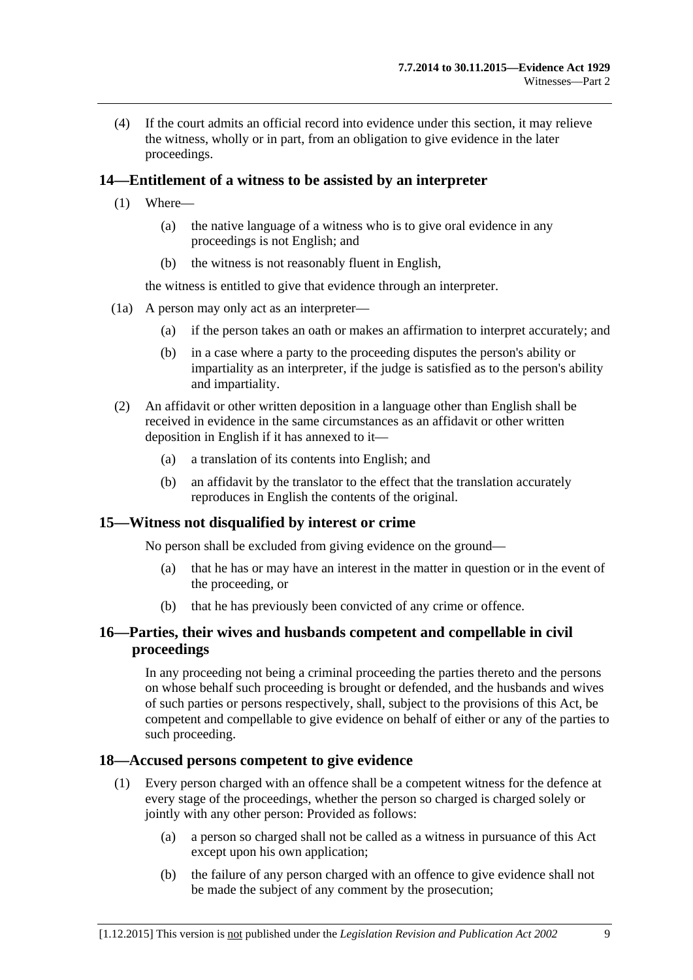(4) If the court admits an official record into evidence under this section, it may relieve the witness, wholly or in part, from an obligation to give evidence in the later proceedings.

## <span id="page-18-0"></span>**14—Entitlement of a witness to be assisted by an interpreter**

- (1) Where—
	- (a) the native language of a witness who is to give oral evidence in any proceedings is not English; and
	- (b) the witness is not reasonably fluent in English,

the witness is entitled to give that evidence through an interpreter.

- (1a) A person may only act as an interpreter—
	- (a) if the person takes an oath or makes an affirmation to interpret accurately; and
	- (b) in a case where a party to the proceeding disputes the person's ability or impartiality as an interpreter, if the judge is satisfied as to the person's ability and impartiality.
- (2) An affidavit or other written deposition in a language other than English shall be received in evidence in the same circumstances as an affidavit or other written deposition in English if it has annexed to it—
	- (a) a translation of its contents into English; and
	- (b) an affidavit by the translator to the effect that the translation accurately reproduces in English the contents of the original.

## <span id="page-18-1"></span>**15—Witness not disqualified by interest or crime**

No person shall be excluded from giving evidence on the ground—

- (a) that he has or may have an interest in the matter in question or in the event of the proceeding, or
- (b) that he has previously been convicted of any crime or offence.

## <span id="page-18-2"></span>**16—Parties, their wives and husbands competent and compellable in civil proceedings**

In any proceeding not being a criminal proceeding the parties thereto and the persons on whose behalf such proceeding is brought or defended, and the husbands and wives of such parties or persons respectively, shall, subject to the provisions of this Act, be competent and compellable to give evidence on behalf of either or any of the parties to such proceeding.

## <span id="page-18-3"></span>**18—Accused persons competent to give evidence**

- (1) Every person charged with an offence shall be a competent witness for the defence at every stage of the proceedings, whether the person so charged is charged solely or jointly with any other person: Provided as follows:
	- (a) a person so charged shall not be called as a witness in pursuance of this Act except upon his own application;
	- (b) the failure of any person charged with an offence to give evidence shall not be made the subject of any comment by the prosecution;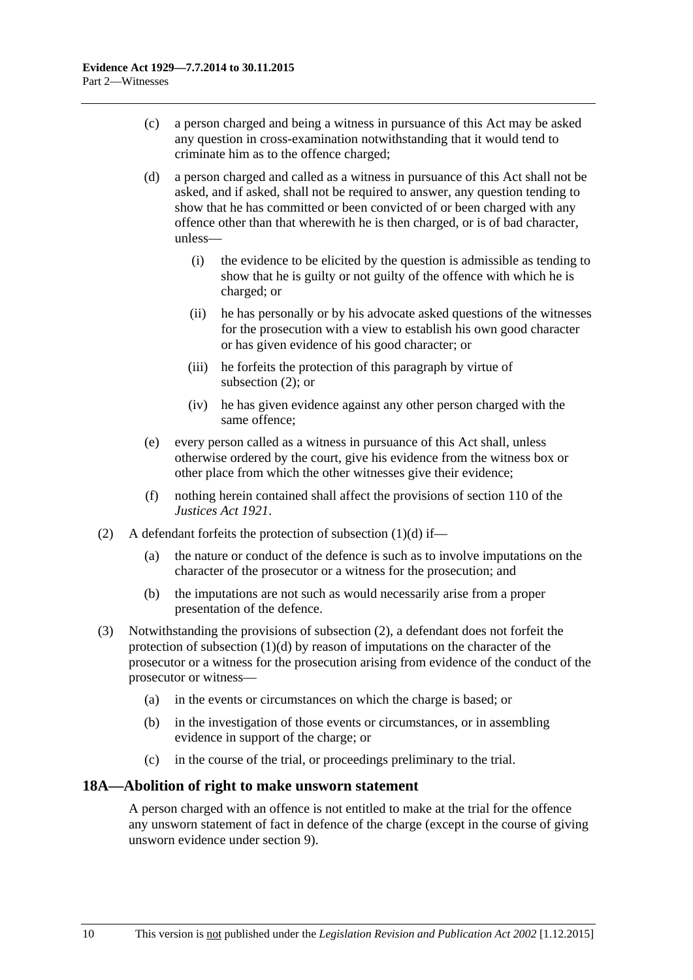- (c) a person charged and being a witness in pursuance of this Act may be asked any question in cross-examination notwithstanding that it would tend to criminate him as to the offence charged;
- <span id="page-19-2"></span>(d) a person charged and called as a witness in pursuance of this Act shall not be asked, and if asked, shall not be required to answer, any question tending to show that he has committed or been convicted of or been charged with any offence other than that wherewith he is then charged, or is of bad character, unless—
	- (i) the evidence to be elicited by the question is admissible as tending to show that he is guilty or not guilty of the offence with which he is charged; or
	- (ii) he has personally or by his advocate asked questions of the witnesses for the prosecution with a view to establish his own good character or has given evidence of his good character; or
	- (iii) he forfeits the protection of this paragraph by virtue of [subsection](#page-19-1) (2); or
	- (iv) he has given evidence against any other person charged with the same offence;
- (e) every person called as a witness in pursuance of this Act shall, unless otherwise ordered by the court, give his evidence from the witness box or other place from which the other witnesses give their evidence;
- (f) nothing herein contained shall affect the provisions of section 110 of the *[Justices Act](http://www.legislation.sa.gov.au/index.aspx?action=legref&type=act&legtitle=Justices%20Act%201921) 1921*.
- <span id="page-19-1"></span>(2) A defendant forfeits the protection of [subsection](#page-19-2)  $(1)(d)$  if—
	- (a) the nature or conduct of the defence is such as to involve imputations on the character of the prosecutor or a witness for the prosecution; and
	- (b) the imputations are not such as would necessarily arise from a proper presentation of the defence.
- (3) Notwithstanding the provisions of [subsection](#page-19-1) (2), a defendant does not forfeit the protection of [subsection](#page-19-2) (1)(d) by reason of imputations on the character of the prosecutor or a witness for the prosecution arising from evidence of the conduct of the prosecutor or witness—
	- (a) in the events or circumstances on which the charge is based; or
	- (b) in the investigation of those events or circumstances, or in assembling evidence in support of the charge; or
	- (c) in the course of the trial, or proceedings preliminary to the trial.

# <span id="page-19-0"></span>**18A—Abolition of right to make unsworn statement**

A person charged with an offence is not entitled to make at the trial for the offence any unsworn statement of fact in defence of the charge (except in the course of giving unsworn evidence under [section](#page-10-3) 9).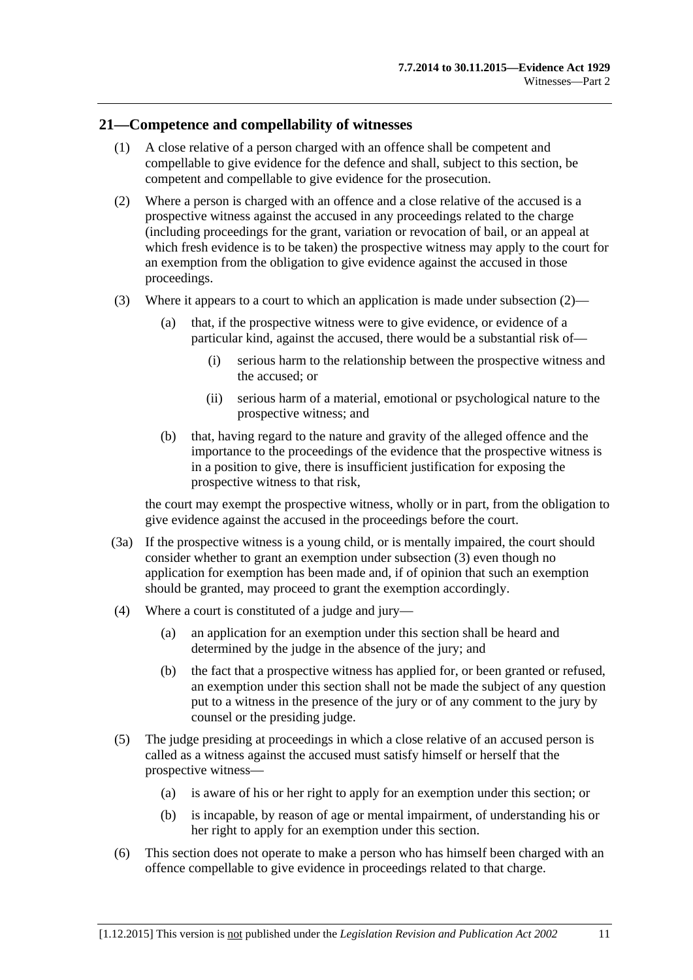#### <span id="page-20-0"></span>**21—Competence and compellability of witnesses**

- (1) A close relative of a person charged with an offence shall be competent and compellable to give evidence for the defence and shall, subject to this section, be competent and compellable to give evidence for the prosecution.
- <span id="page-20-1"></span>(2) Where a person is charged with an offence and a close relative of the accused is a prospective witness against the accused in any proceedings related to the charge (including proceedings for the grant, variation or revocation of bail, or an appeal at which fresh evidence is to be taken) the prospective witness may apply to the court for an exemption from the obligation to give evidence against the accused in those proceedings.
- <span id="page-20-2"></span>(3) Where it appears to a court to which an application is made under [subsection](#page-20-1)  $(2)$ —
	- (a) that, if the prospective witness were to give evidence, or evidence of a particular kind, against the accused, there would be a substantial risk of—
		- (i) serious harm to the relationship between the prospective witness and the accused; or
		- (ii) serious harm of a material, emotional or psychological nature to the prospective witness; and
	- (b) that, having regard to the nature and gravity of the alleged offence and the importance to the proceedings of the evidence that the prospective witness is in a position to give, there is insufficient justification for exposing the prospective witness to that risk,

the court may exempt the prospective witness, wholly or in part, from the obligation to give evidence against the accused in the proceedings before the court.

- (3a) If the prospective witness is a young child, or is mentally impaired, the court should consider whether to grant an exemption under [subsection](#page-20-2) (3) even though no application for exemption has been made and, if of opinion that such an exemption should be granted, may proceed to grant the exemption accordingly.
- (4) Where a court is constituted of a judge and jury—
	- (a) an application for an exemption under this section shall be heard and determined by the judge in the absence of the jury; and
	- (b) the fact that a prospective witness has applied for, or been granted or refused, an exemption under this section shall not be made the subject of any question put to a witness in the presence of the jury or of any comment to the jury by counsel or the presiding judge.
- (5) The judge presiding at proceedings in which a close relative of an accused person is called as a witness against the accused must satisfy himself or herself that the prospective witness—
	- (a) is aware of his or her right to apply for an exemption under this section; or
	- (b) is incapable, by reason of age or mental impairment, of understanding his or her right to apply for an exemption under this section.
- (6) This section does not operate to make a person who has himself been charged with an offence compellable to give evidence in proceedings related to that charge.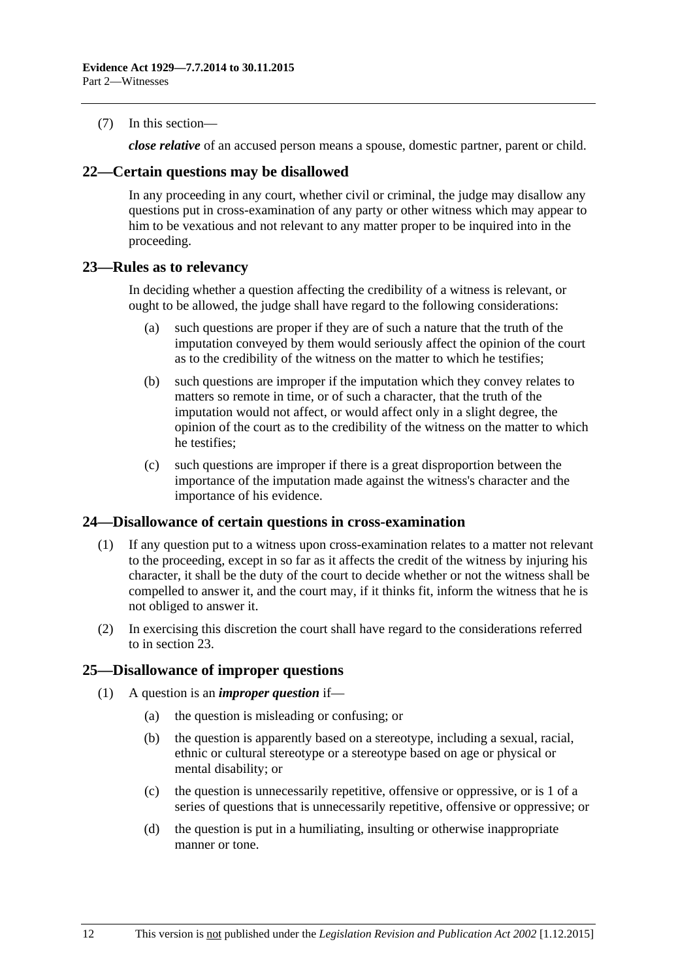(7) In this section—

*close relative* of an accused person means a spouse, domestic partner, parent or child.

#### <span id="page-21-0"></span>**22—Certain questions may be disallowed**

In any proceeding in any court, whether civil or criminal, the judge may disallow any questions put in cross-examination of any party or other witness which may appear to him to be vexatious and not relevant to any matter proper to be inquired into in the proceeding.

#### <span id="page-21-1"></span>**23—Rules as to relevancy**

In deciding whether a question affecting the credibility of a witness is relevant, or ought to be allowed, the judge shall have regard to the following considerations:

- (a) such questions are proper if they are of such a nature that the truth of the imputation conveyed by them would seriously affect the opinion of the court as to the credibility of the witness on the matter to which he testifies;
- (b) such questions are improper if the imputation which they convey relates to matters so remote in time, or of such a character, that the truth of the imputation would not affect, or would affect only in a slight degree, the opinion of the court as to the credibility of the witness on the matter to which he testifies;
- (c) such questions are improper if there is a great disproportion between the importance of the imputation made against the witness's character and the importance of his evidence.

## <span id="page-21-2"></span>**24—Disallowance of certain questions in cross-examination**

- (1) If any question put to a witness upon cross-examination relates to a matter not relevant to the proceeding, except in so far as it affects the credit of the witness by injuring his character, it shall be the duty of the court to decide whether or not the witness shall be compelled to answer it, and the court may, if it thinks fit, inform the witness that he is not obliged to answer it.
- (2) In exercising this discretion the court shall have regard to the considerations referred to in [section](#page-21-1) 23.

## <span id="page-21-3"></span>**25—Disallowance of improper questions**

- (1) A question is an *improper question* if—
	- (a) the question is misleading or confusing; or
	- (b) the question is apparently based on a stereotype, including a sexual, racial, ethnic or cultural stereotype or a stereotype based on age or physical or mental disability; or
	- (c) the question is unnecessarily repetitive, offensive or oppressive, or is 1 of a series of questions that is unnecessarily repetitive, offensive or oppressive; or
	- (d) the question is put in a humiliating, insulting or otherwise inappropriate manner or tone.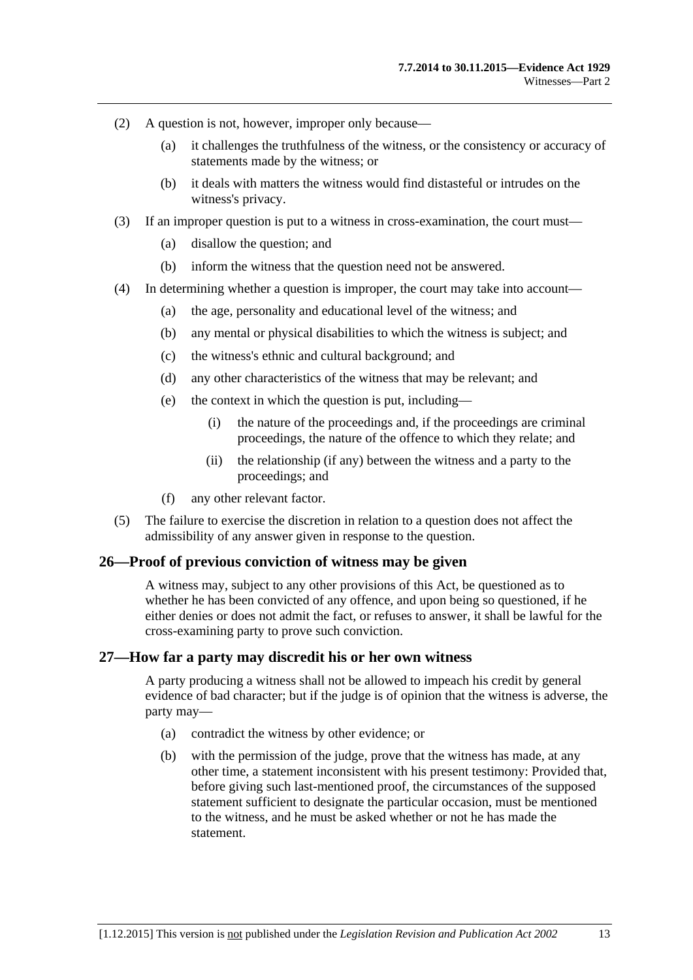- (2) A question is not, however, improper only because—
	- (a) it challenges the truthfulness of the witness, or the consistency or accuracy of statements made by the witness; or
	- (b) it deals with matters the witness would find distasteful or intrudes on the witness's privacy.
- (3) If an improper question is put to a witness in cross-examination, the court must—
	- (a) disallow the question; and
	- (b) inform the witness that the question need not be answered.
- (4) In determining whether a question is improper, the court may take into account—
	- (a) the age, personality and educational level of the witness; and
	- (b) any mental or physical disabilities to which the witness is subject; and
	- (c) the witness's ethnic and cultural background; and
	- (d) any other characteristics of the witness that may be relevant; and
	- (e) the context in which the question is put, including—
		- (i) the nature of the proceedings and, if the proceedings are criminal proceedings, the nature of the offence to which they relate; and
		- (ii) the relationship (if any) between the witness and a party to the proceedings; and
	- (f) any other relevant factor.
- (5) The failure to exercise the discretion in relation to a question does not affect the admissibility of any answer given in response to the question.

#### <span id="page-22-0"></span>**26—Proof of previous conviction of witness may be given**

A witness may, subject to any other provisions of this Act, be questioned as to whether he has been convicted of any offence, and upon being so questioned, if he either denies or does not admit the fact, or refuses to answer, it shall be lawful for the cross-examining party to prove such conviction.

#### <span id="page-22-1"></span>**27—How far a party may discredit his or her own witness**

A party producing a witness shall not be allowed to impeach his credit by general evidence of bad character; but if the judge is of opinion that the witness is adverse, the party may—

- (a) contradict the witness by other evidence; or
- (b) with the permission of the judge, prove that the witness has made, at any other time, a statement inconsistent with his present testimony: Provided that, before giving such last-mentioned proof, the circumstances of the supposed statement sufficient to designate the particular occasion, must be mentioned to the witness, and he must be asked whether or not he has made the statement.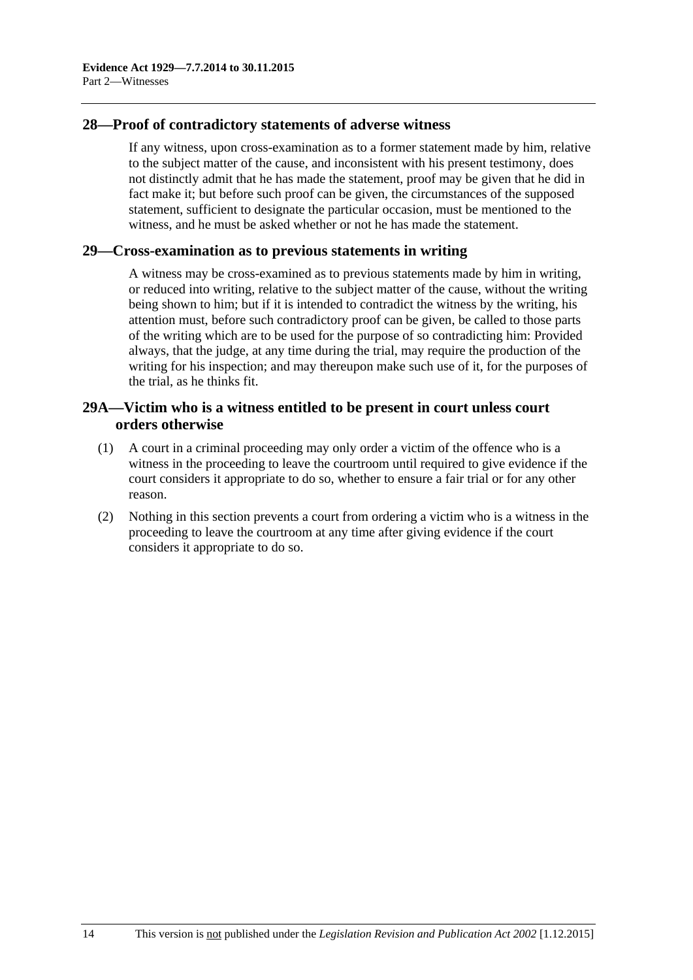## <span id="page-23-0"></span>**28—Proof of contradictory statements of adverse witness**

If any witness, upon cross-examination as to a former statement made by him, relative to the subject matter of the cause, and inconsistent with his present testimony, does not distinctly admit that he has made the statement, proof may be given that he did in fact make it; but before such proof can be given, the circumstances of the supposed statement, sufficient to designate the particular occasion, must be mentioned to the witness, and he must be asked whether or not he has made the statement.

#### <span id="page-23-1"></span>**29—Cross-examination as to previous statements in writing**

A witness may be cross-examined as to previous statements made by him in writing, or reduced into writing, relative to the subject matter of the cause, without the writing being shown to him; but if it is intended to contradict the witness by the writing, his attention must, before such contradictory proof can be given, be called to those parts of the writing which are to be used for the purpose of so contradicting him: Provided always, that the judge, at any time during the trial, may require the production of the writing for his inspection; and may thereupon make such use of it, for the purposes of the trial, as he thinks fit.

## <span id="page-23-2"></span>**29A—Victim who is a witness entitled to be present in court unless court orders otherwise**

- (1) A court in a criminal proceeding may only order a victim of the offence who is a witness in the proceeding to leave the courtroom until required to give evidence if the court considers it appropriate to do so, whether to ensure a fair trial or for any other reason.
- (2) Nothing in this section prevents a court from ordering a victim who is a witness in the proceeding to leave the courtroom at any time after giving evidence if the court considers it appropriate to do so.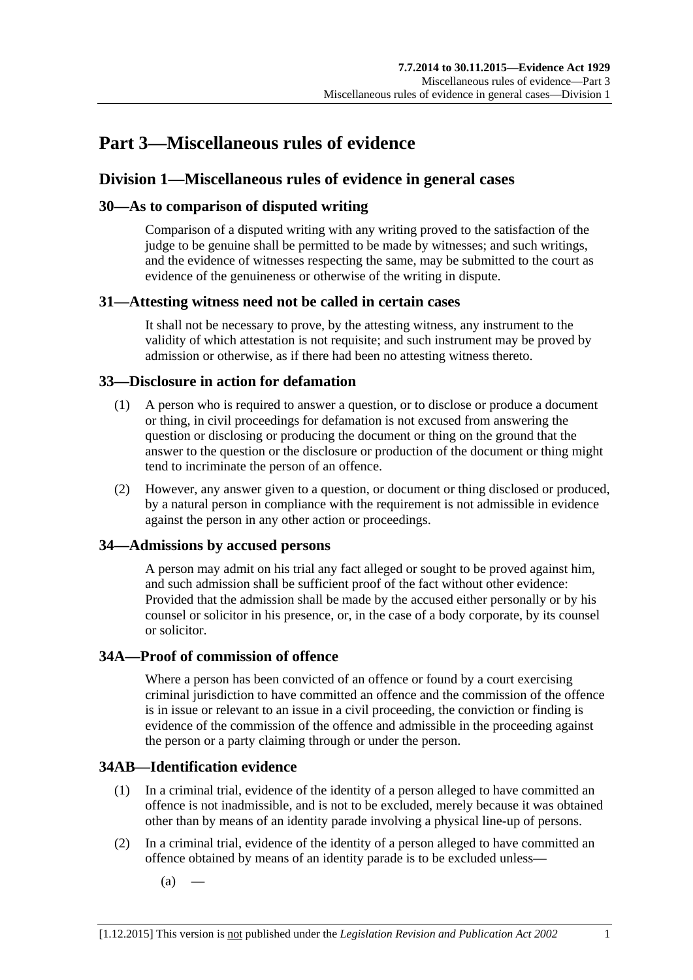# <span id="page-24-0"></span>**Part 3—Miscellaneous rules of evidence**

# <span id="page-24-1"></span>**Division 1—Miscellaneous rules of evidence in general cases**

# <span id="page-24-2"></span>**30—As to comparison of disputed writing**

Comparison of a disputed writing with any writing proved to the satisfaction of the judge to be genuine shall be permitted to be made by witnesses; and such writings, and the evidence of witnesses respecting the same, may be submitted to the court as evidence of the genuineness or otherwise of the writing in dispute.

# <span id="page-24-3"></span>**31—Attesting witness need not be called in certain cases**

It shall not be necessary to prove, by the attesting witness, any instrument to the validity of which attestation is not requisite; and such instrument may be proved by admission or otherwise, as if there had been no attesting witness thereto.

## <span id="page-24-4"></span>**33—Disclosure in action for defamation**

- (1) A person who is required to answer a question, or to disclose or produce a document or thing, in civil proceedings for defamation is not excused from answering the question or disclosing or producing the document or thing on the ground that the answer to the question or the disclosure or production of the document or thing might tend to incriminate the person of an offence.
- (2) However, any answer given to a question, or document or thing disclosed or produced, by a natural person in compliance with the requirement is not admissible in evidence against the person in any other action or proceedings.

# <span id="page-24-5"></span>**34—Admissions by accused persons**

A person may admit on his trial any fact alleged or sought to be proved against him, and such admission shall be sufficient proof of the fact without other evidence: Provided that the admission shall be made by the accused either personally or by his counsel or solicitor in his presence, or, in the case of a body corporate, by its counsel or solicitor.

## <span id="page-24-6"></span>**34A—Proof of commission of offence**

Where a person has been convicted of an offence or found by a court exercising criminal jurisdiction to have committed an offence and the commission of the offence is in issue or relevant to an issue in a civil proceeding, the conviction or finding is evidence of the commission of the offence and admissible in the proceeding against the person or a party claiming through or under the person.

# <span id="page-24-7"></span>**34AB—Identification evidence**

- (1) In a criminal trial, evidence of the identity of a person alleged to have committed an offence is not inadmissible, and is not to be excluded, merely because it was obtained other than by means of an identity parade involving a physical line-up of persons.
- <span id="page-24-8"></span>(2) In a criminal trial, evidence of the identity of a person alleged to have committed an offence obtained by means of an identity parade is to be excluded unless—
	- $(a)$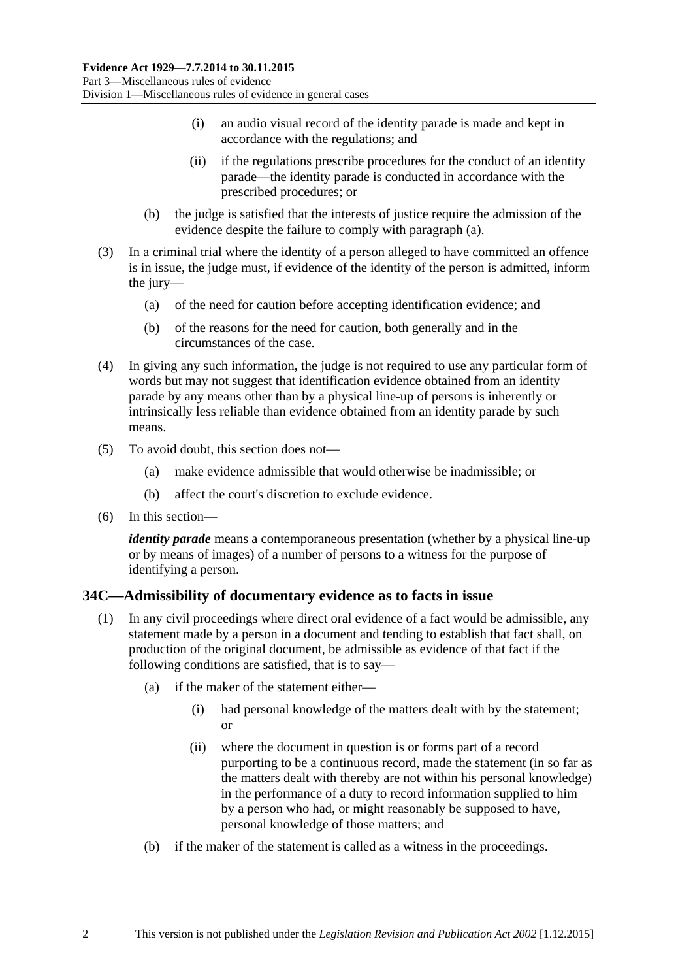- (i) an audio visual record of the identity parade is made and kept in accordance with the regulations; and
- (ii) if the regulations prescribe procedures for the conduct of an identity parade—the identity parade is conducted in accordance with the prescribed procedures; or
- (b) the judge is satisfied that the interests of justice require the admission of the evidence despite the failure to comply with [paragraph](#page-24-8) (a).
- (3) In a criminal trial where the identity of a person alleged to have committed an offence is in issue, the judge must, if evidence of the identity of the person is admitted, inform the jury—
	- (a) of the need for caution before accepting identification evidence; and
	- (b) of the reasons for the need for caution, both generally and in the circumstances of the case.
- (4) In giving any such information, the judge is not required to use any particular form of words but may not suggest that identification evidence obtained from an identity parade by any means other than by a physical line-up of persons is inherently or intrinsically less reliable than evidence obtained from an identity parade by such means.
- (5) To avoid doubt, this section does not—
	- (a) make evidence admissible that would otherwise be inadmissible; or
	- (b) affect the court's discretion to exclude evidence.
- (6) In this section—

*identity parade* means a contemporaneous presentation (whether by a physical line-up or by means of images) of a number of persons to a witness for the purpose of identifying a person.

## <span id="page-25-1"></span><span id="page-25-0"></span>**34C—Admissibility of documentary evidence as to facts in issue**

- (1) In any civil proceedings where direct oral evidence of a fact would be admissible, any statement made by a person in a document and tending to establish that fact shall, on production of the original document, be admissible as evidence of that fact if the following conditions are satisfied, that is to say—
	- (a) if the maker of the statement either—
		- (i) had personal knowledge of the matters dealt with by the statement; or
		- (ii) where the document in question is or forms part of a record purporting to be a continuous record, made the statement (in so far as the matters dealt with thereby are not within his personal knowledge) in the performance of a duty to record information supplied to him by a person who had, or might reasonably be supposed to have, personal knowledge of those matters; and
	- (b) if the maker of the statement is called as a witness in the proceedings.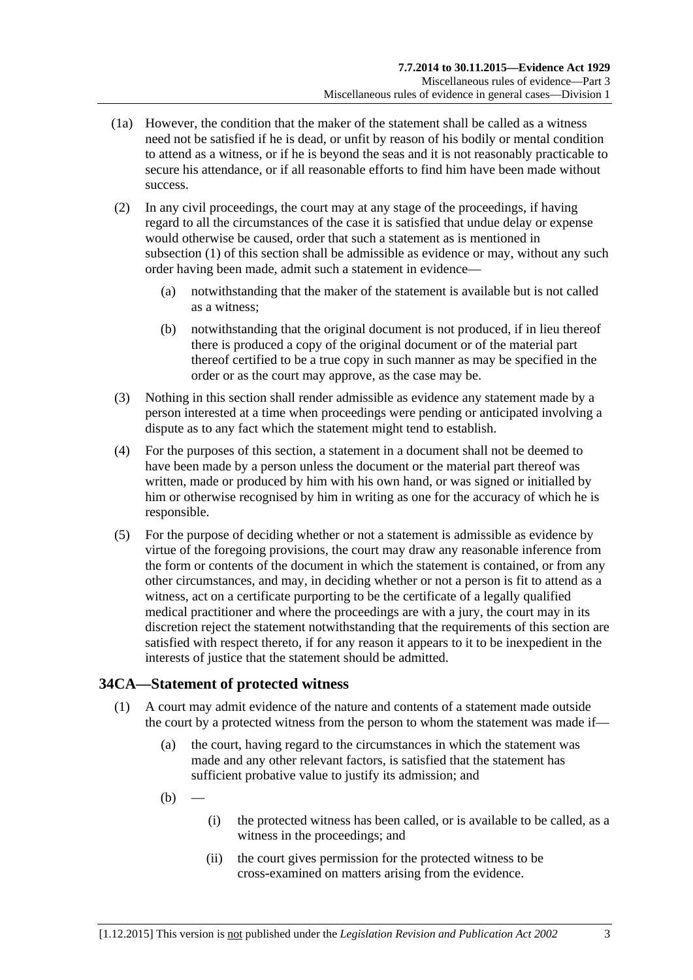- (1a) However, the condition that the maker of the statement shall be called as a witness need not be satisfied if he is dead, or unfit by reason of his bodily or mental condition to attend as a witness, or if he is beyond the seas and it is not reasonably practicable to secure his attendance, or if all reasonable efforts to find him have been made without success.
- (2) In any civil proceedings, the court may at any stage of the proceedings, if having regard to all the circumstances of the case it is satisfied that undue delay or expense would otherwise be caused, order that such a statement as is mentioned in [subsection](#page-25-1) (1) of this section shall be admissible as evidence or may, without any such order having been made, admit such a statement in evidence—
	- (a) notwithstanding that the maker of the statement is available but is not called as a witness;
	- (b) notwithstanding that the original document is not produced, if in lieu thereof there is produced a copy of the original document or of the material part thereof certified to be a true copy in such manner as may be specified in the order or as the court may approve, as the case may be.
- (3) Nothing in this section shall render admissible as evidence any statement made by a person interested at a time when proceedings were pending or anticipated involving a dispute as to any fact which the statement might tend to establish.
- (4) For the purposes of this section, a statement in a document shall not be deemed to have been made by a person unless the document or the material part thereof was written, made or produced by him with his own hand, or was signed or initialled by him or otherwise recognised by him in writing as one for the accuracy of which he is responsible.
- (5) For the purpose of deciding whether or not a statement is admissible as evidence by virtue of the foregoing provisions, the court may draw any reasonable inference from the form or contents of the document in which the statement is contained, or from any other circumstances, and may, in deciding whether or not a person is fit to attend as a witness, act on a certificate purporting to be the certificate of a legally qualified medical practitioner and where the proceedings are with a jury, the court may in its discretion reject the statement notwithstanding that the requirements of this section are satisfied with respect thereto, if for any reason it appears to it to be inexpedient in the interests of justice that the statement should be admitted.

# <span id="page-26-0"></span>**34CA—Statement of protected witness**

- (1) A court may admit evidence of the nature and contents of a statement made outside the court by a protected witness from the person to whom the statement was made if—
	- (a) the court, having regard to the circumstances in which the statement was made and any other relevant factors, is satisfied that the statement has sufficient probative value to justify its admission; and
	- $(b)$
- (i) the protected witness has been called, or is available to be called, as a witness in the proceedings; and
- (ii) the court gives permission for the protected witness to be cross-examined on matters arising from the evidence.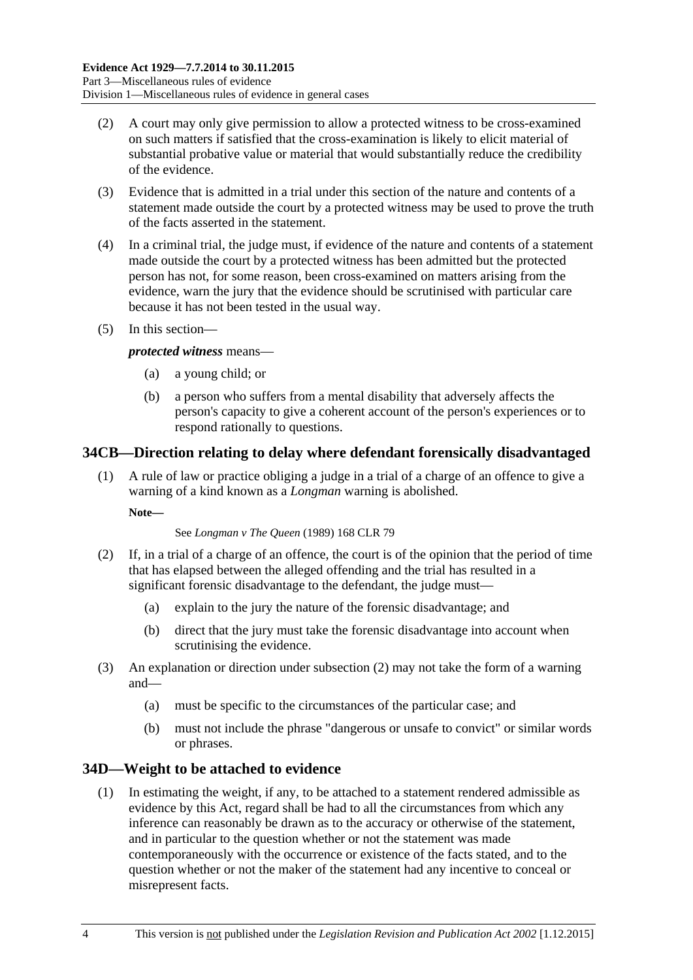- (2) A court may only give permission to allow a protected witness to be cross-examined on such matters if satisfied that the cross-examination is likely to elicit material of substantial probative value or material that would substantially reduce the credibility of the evidence.
- (3) Evidence that is admitted in a trial under this section of the nature and contents of a statement made outside the court by a protected witness may be used to prove the truth of the facts asserted in the statement.
- (4) In a criminal trial, the judge must, if evidence of the nature and contents of a statement made outside the court by a protected witness has been admitted but the protected person has not, for some reason, been cross-examined on matters arising from the evidence, warn the jury that the evidence should be scrutinised with particular care because it has not been tested in the usual way.
- (5) In this section—

#### *protected witness* means—

- (a) a young child; or
- (b) a person who suffers from a mental disability that adversely affects the person's capacity to give a coherent account of the person's experiences or to respond rationally to questions.

## <span id="page-27-0"></span>**34CB—Direction relating to delay where defendant forensically disadvantaged**

(1) A rule of law or practice obliging a judge in a trial of a charge of an offence to give a warning of a kind known as a *Longman* warning is abolished.

**Note—**

#### See *Longman v The Queen* (1989) 168 CLR 79

- <span id="page-27-2"></span>(2) If, in a trial of a charge of an offence, the court is of the opinion that the period of time that has elapsed between the alleged offending and the trial has resulted in a significant forensic disadvantage to the defendant, the judge must-
	- (a) explain to the jury the nature of the forensic disadvantage; and
	- (b) direct that the jury must take the forensic disadvantage into account when scrutinising the evidence.
- (3) An explanation or direction under [subsection](#page-27-2) (2) may not take the form of a warning and—
	- (a) must be specific to the circumstances of the particular case; and
	- (b) must not include the phrase "dangerous or unsafe to convict" or similar words or phrases.

## <span id="page-27-1"></span>**34D—Weight to be attached to evidence**

(1) In estimating the weight, if any, to be attached to a statement rendered admissible as evidence by this Act, regard shall be had to all the circumstances from which any inference can reasonably be drawn as to the accuracy or otherwise of the statement, and in particular to the question whether or not the statement was made contemporaneously with the occurrence or existence of the facts stated, and to the question whether or not the maker of the statement had any incentive to conceal or misrepresent facts.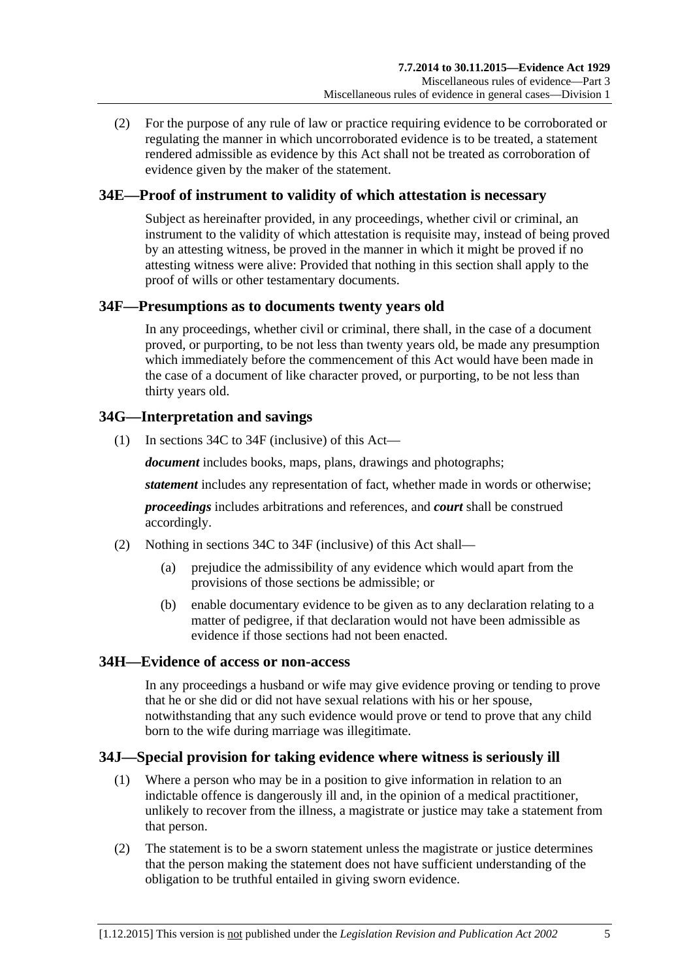(2) For the purpose of any rule of law or practice requiring evidence to be corroborated or regulating the manner in which uncorroborated evidence is to be treated, a statement rendered admissible as evidence by this Act shall not be treated as corroboration of evidence given by the maker of the statement.

# <span id="page-28-0"></span>**34E—Proof of instrument to validity of which attestation is necessary**

Subject as hereinafter provided, in any proceedings, whether civil or criminal, an instrument to the validity of which attestation is requisite may, instead of being proved by an attesting witness, be proved in the manner in which it might be proved if no attesting witness were alive: Provided that nothing in this section shall apply to the proof of wills or other testamentary documents.

## <span id="page-28-1"></span>**34F—Presumptions as to documents twenty years old**

In any proceedings, whether civil or criminal, there shall, in the case of a document proved, or purporting, to be not less than twenty years old, be made any presumption which immediately before the commencement of this Act would have been made in the case of a document of like character proved, or purporting, to be not less than thirty years old.

# <span id="page-28-2"></span>**34G—Interpretation and savings**

(1) In [sections](#page-25-0) 34C to [34F](#page-28-1) (inclusive) of this Act—

*document* includes books, maps, plans, drawings and photographs;

*statement* includes any representation of fact, whether made in words or otherwise;

*proceedings* includes arbitrations and references, and *court* shall be construed accordingly.

- (2) Nothing in [sections](#page-25-0) 34C to [34F](#page-28-1) (inclusive) of this Act shall—
	- (a) prejudice the admissibility of any evidence which would apart from the provisions of those sections be admissible; or
	- (b) enable documentary evidence to be given as to any declaration relating to a matter of pedigree, if that declaration would not have been admissible as evidence if those sections had not been enacted.

## <span id="page-28-3"></span>**34H—Evidence of access or non-access**

In any proceedings a husband or wife may give evidence proving or tending to prove that he or she did or did not have sexual relations with his or her spouse, notwithstanding that any such evidence would prove or tend to prove that any child born to the wife during marriage was illegitimate.

## <span id="page-28-4"></span>**34J—Special provision for taking evidence where witness is seriously ill**

- (1) Where a person who may be in a position to give information in relation to an indictable offence is dangerously ill and, in the opinion of a medical practitioner, unlikely to recover from the illness, a magistrate or justice may take a statement from that person.
- (2) The statement is to be a sworn statement unless the magistrate or justice determines that the person making the statement does not have sufficient understanding of the obligation to be truthful entailed in giving sworn evidence.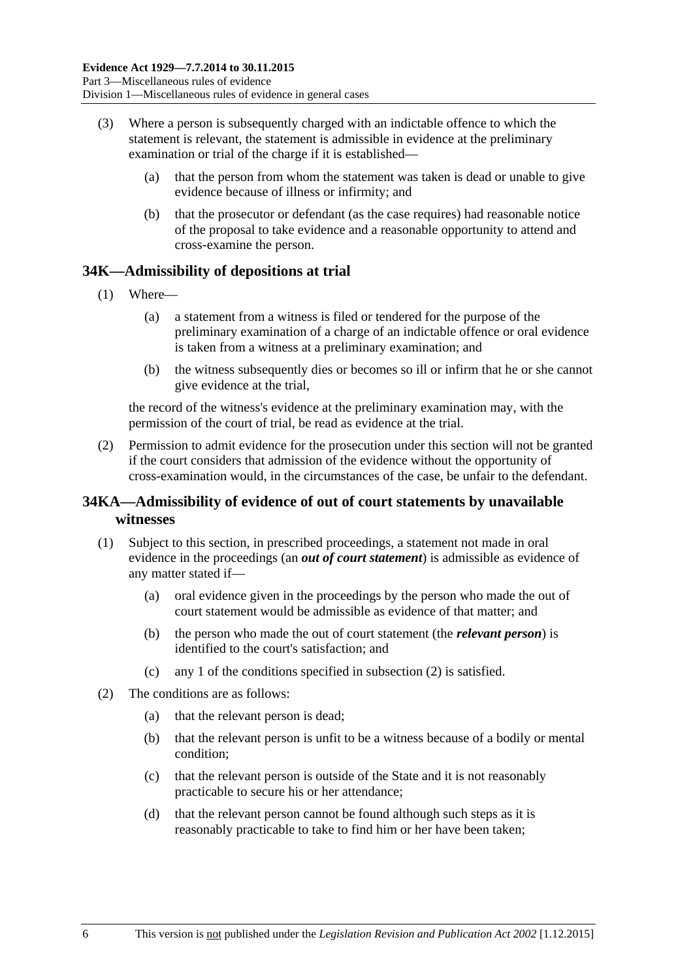- (3) Where a person is subsequently charged with an indictable offence to which the statement is relevant, the statement is admissible in evidence at the preliminary examination or trial of the charge if it is established—
	- (a) that the person from whom the statement was taken is dead or unable to give evidence because of illness or infirmity; and
	- (b) that the prosecutor or defendant (as the case requires) had reasonable notice of the proposal to take evidence and a reasonable opportunity to attend and cross-examine the person.

## <span id="page-29-0"></span>**34K—Admissibility of depositions at trial**

- (1) Where—
	- (a) a statement from a witness is filed or tendered for the purpose of the preliminary examination of a charge of an indictable offence or oral evidence is taken from a witness at a preliminary examination; and
	- (b) the witness subsequently dies or becomes so ill or infirm that he or she cannot give evidence at the trial,

the record of the witness's evidence at the preliminary examination may, with the permission of the court of trial, be read as evidence at the trial.

(2) Permission to admit evidence for the prosecution under this section will not be granted if the court considers that admission of the evidence without the opportunity of cross-examination would, in the circumstances of the case, be unfair to the defendant.

# <span id="page-29-1"></span>**34KA—Admissibility of evidence of out of court statements by unavailable witnesses**

- (1) Subject to this section, in prescribed proceedings, a statement not made in oral evidence in the proceedings (an *out of court statement*) is admissible as evidence of any matter stated if—
	- (a) oral evidence given in the proceedings by the person who made the out of court statement would be admissible as evidence of that matter; and
	- (b) the person who made the out of court statement (the *relevant person*) is identified to the court's satisfaction; and
	- (c) any 1 of the conditions specified in [subsection](#page-29-2) (2) is satisfied.
- <span id="page-29-2"></span>(2) The conditions are as follows:
	- (a) that the relevant person is dead;
	- (b) that the relevant person is unfit to be a witness because of a bodily or mental condition;
	- (c) that the relevant person is outside of the State and it is not reasonably practicable to secure his or her attendance;
	- (d) that the relevant person cannot be found although such steps as it is reasonably practicable to take to find him or her have been taken;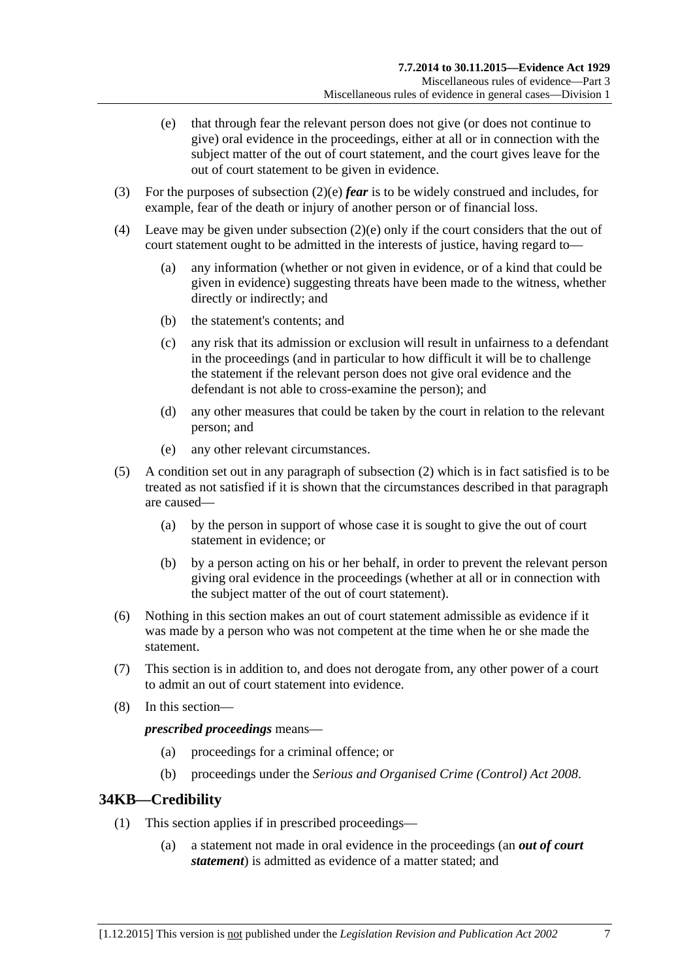- <span id="page-30-1"></span>(e) that through fear the relevant person does not give (or does not continue to give) oral evidence in the proceedings, either at all or in connection with the subject matter of the out of court statement, and the court gives leave for the out of court statement to be given in evidence.
- (3) For the purposes of [subsection](#page-30-1) (2)(e) *fear* is to be widely construed and includes, for example, fear of the death or injury of another person or of financial loss.
- (4) Leave may be given under [subsection](#page-30-1) (2)(e) only if the court considers that the out of court statement ought to be admitted in the interests of justice, having regard to—
	- (a) any information (whether or not given in evidence, or of a kind that could be given in evidence) suggesting threats have been made to the witness, whether directly or indirectly; and
	- (b) the statement's contents; and
	- (c) any risk that its admission or exclusion will result in unfairness to a defendant in the proceedings (and in particular to how difficult it will be to challenge the statement if the relevant person does not give oral evidence and the defendant is not able to cross-examine the person); and
	- (d) any other measures that could be taken by the court in relation to the relevant person; and
	- (e) any other relevant circumstances.
- (5) A condition set out in any paragraph of [subsection](#page-29-2) (2) which is in fact satisfied is to be treated as not satisfied if it is shown that the circumstances described in that paragraph are caused—
	- (a) by the person in support of whose case it is sought to give the out of court statement in evidence; or
	- (b) by a person acting on his or her behalf, in order to prevent the relevant person giving oral evidence in the proceedings (whether at all or in connection with the subject matter of the out of court statement).
- (6) Nothing in this section makes an out of court statement admissible as evidence if it was made by a person who was not competent at the time when he or she made the statement.
- (7) This section is in addition to, and does not derogate from, any other power of a court to admit an out of court statement into evidence.
- (8) In this section—

*prescribed proceedings* means—

- (a) proceedings for a criminal offence; or
- (b) proceedings under the *[Serious and Organised Crime \(Control\) Act](http://www.legislation.sa.gov.au/index.aspx?action=legref&type=act&legtitle=Serious%20and%20Organised%20Crime%20(Control)%20Act%202008) 2008*.

## <span id="page-30-0"></span>**34KB—Credibility**

- (1) This section applies if in prescribed proceedings—
	- (a) a statement not made in oral evidence in the proceedings (an *out of court statement*) is admitted as evidence of a matter stated; and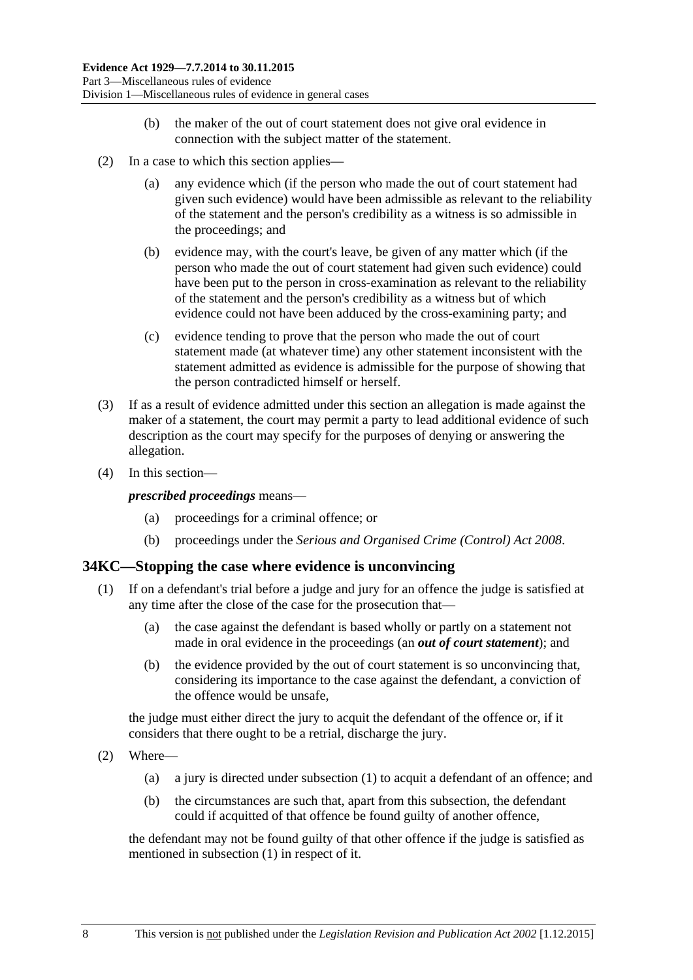- (b) the maker of the out of court statement does not give oral evidence in connection with the subject matter of the statement.
- (2) In a case to which this section applies—
	- (a) any evidence which (if the person who made the out of court statement had given such evidence) would have been admissible as relevant to the reliability of the statement and the person's credibility as a witness is so admissible in the proceedings; and
	- (b) evidence may, with the court's leave, be given of any matter which (if the person who made the out of court statement had given such evidence) could have been put to the person in cross-examination as relevant to the reliability of the statement and the person's credibility as a witness but of which evidence could not have been adduced by the cross-examining party; and
	- (c) evidence tending to prove that the person who made the out of court statement made (at whatever time) any other statement inconsistent with the statement admitted as evidence is admissible for the purpose of showing that the person contradicted himself or herself.
- (3) If as a result of evidence admitted under this section an allegation is made against the maker of a statement, the court may permit a party to lead additional evidence of such description as the court may specify for the purposes of denying or answering the allegation.
- (4) In this section—

*prescribed proceedings* means—

- (a) proceedings for a criminal offence; or
- (b) proceedings under the *[Serious and Organised Crime \(Control\) Act](http://www.legislation.sa.gov.au/index.aspx?action=legref&type=act&legtitle=Serious%20and%20Organised%20Crime%20(Control)%20Act%202008) 2008*.

#### <span id="page-31-1"></span><span id="page-31-0"></span>**34KC—Stopping the case where evidence is unconvincing**

- (1) If on a defendant's trial before a judge and jury for an offence the judge is satisfied at any time after the close of the case for the prosecution that—
	- (a) the case against the defendant is based wholly or partly on a statement not made in oral evidence in the proceedings (an *out of court statement*); and
	- (b) the evidence provided by the out of court statement is so unconvincing that, considering its importance to the case against the defendant, a conviction of the offence would be unsafe,

the judge must either direct the jury to acquit the defendant of the offence or, if it considers that there ought to be a retrial, discharge the jury.

- (2) Where—
	- (a) a jury is directed under [subsection](#page-31-1) (1) to acquit a defendant of an offence; and
	- (b) the circumstances are such that, apart from this subsection, the defendant could if acquitted of that offence be found guilty of another offence,

the defendant may not be found guilty of that other offence if the judge is satisfied as mentioned in [subsection](#page-31-1) (1) in respect of it.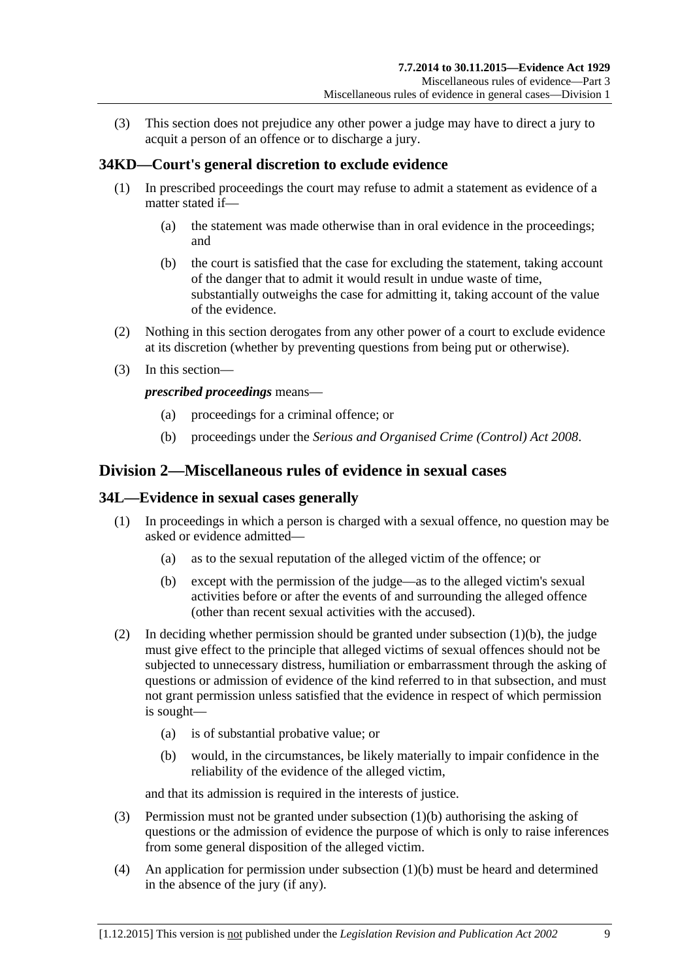(3) This section does not prejudice any other power a judge may have to direct a jury to acquit a person of an offence or to discharge a jury.

# <span id="page-32-0"></span>**34KD—Court's general discretion to exclude evidence**

- (1) In prescribed proceedings the court may refuse to admit a statement as evidence of a matter stated if—
	- (a) the statement was made otherwise than in oral evidence in the proceedings; and
	- (b) the court is satisfied that the case for excluding the statement, taking account of the danger that to admit it would result in undue waste of time, substantially outweighs the case for admitting it, taking account of the value of the evidence.
- (2) Nothing in this section derogates from any other power of a court to exclude evidence at its discretion (whether by preventing questions from being put or otherwise).
- (3) In this section—

*prescribed proceedings* means—

- (a) proceedings for a criminal offence; or
- (b) proceedings under the *[Serious and Organised Crime \(Control\) Act](http://www.legislation.sa.gov.au/index.aspx?action=legref&type=act&legtitle=Serious%20and%20Organised%20Crime%20(Control)%20Act%202008) 2008*.

# <span id="page-32-1"></span>**Division 2—Miscellaneous rules of evidence in sexual cases**

#### <span id="page-32-2"></span>**34L—Evidence in sexual cases generally**

- <span id="page-32-3"></span>(1) In proceedings in which a person is charged with a sexual offence, no question may be asked or evidence admitted—
	- (a) as to the sexual reputation of the alleged victim of the offence; or
	- (b) except with the permission of the judge—as to the alleged victim's sexual activities before or after the events of and surrounding the alleged offence (other than recent sexual activities with the accused).
- (2) In deciding whether permission should be granted under [subsection](#page-32-3) (1)(b), the judge must give effect to the principle that alleged victims of sexual offences should not be subjected to unnecessary distress, humiliation or embarrassment through the asking of questions or admission of evidence of the kind referred to in that subsection, and must not grant permission unless satisfied that the evidence in respect of which permission is sought—
	- (a) is of substantial probative value; or
	- (b) would, in the circumstances, be likely materially to impair confidence in the reliability of the evidence of the alleged victim,

and that its admission is required in the interests of justice.

- (3) Permission must not be granted under [subsection](#page-32-3) (1)(b) authorising the asking of questions or the admission of evidence the purpose of which is only to raise inferences from some general disposition of the alleged victim.
- (4) An application for permission under [subsection](#page-32-3) (1)(b) must be heard and determined in the absence of the jury (if any).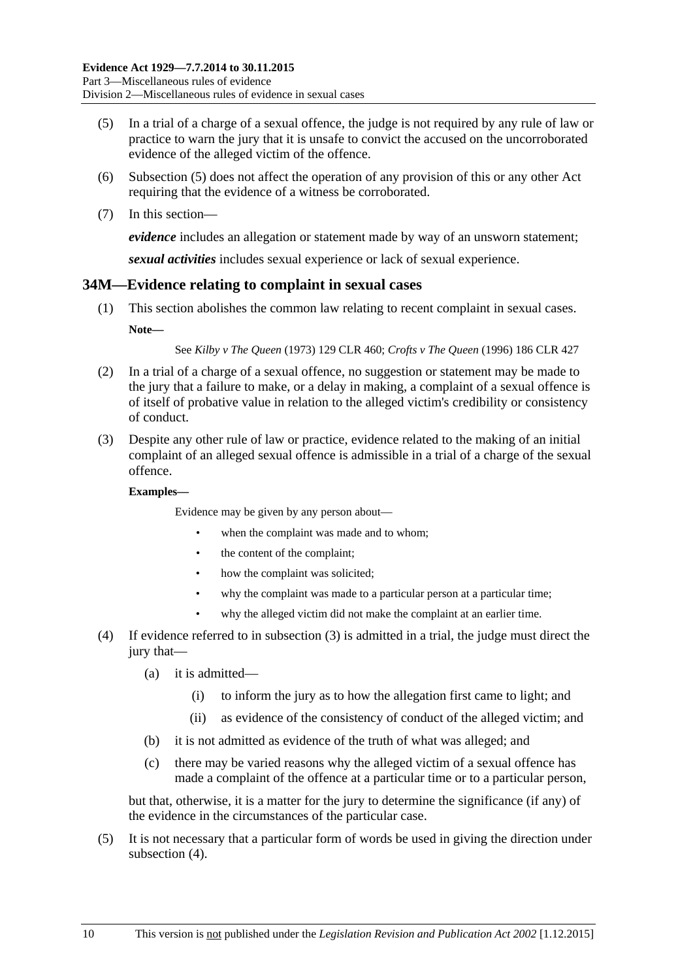- <span id="page-33-1"></span>(5) In a trial of a charge of a sexual offence, the judge is not required by any rule of law or practice to warn the jury that it is unsafe to convict the accused on the uncorroborated evidence of the alleged victim of the offence.
- (6) [Subsection](#page-33-1) (5) does not affect the operation of any provision of this or any other Act requiring that the evidence of a witness be corroborated.
- (7) In this section—

*evidence* includes an allegation or statement made by way of an unsworn statement;

*sexual activities* includes sexual experience or lack of sexual experience.

#### <span id="page-33-0"></span>**34M—Evidence relating to complaint in sexual cases**

(1) This section abolishes the common law relating to recent complaint in sexual cases. **Note—**

See *Kilby v The Queen* (1973) 129 CLR 460; *Crofts v The Queen* (1996) 186 CLR 427

- (2) In a trial of a charge of a sexual offence, no suggestion or statement may be made to the jury that a failure to make, or a delay in making, a complaint of a sexual offence is of itself of probative value in relation to the alleged victim's credibility or consistency of conduct.
- <span id="page-33-2"></span>(3) Despite any other rule of law or practice, evidence related to the making of an initial complaint of an alleged sexual offence is admissible in a trial of a charge of the sexual offence.

#### **Examples—**

Evidence may be given by any person about—

- when the complaint was made and to whom;
- the content of the complaint;
- how the complaint was solicited;
- why the complaint was made to a particular person at a particular time;
- why the alleged victim did not make the complaint at an earlier time.
- <span id="page-33-3"></span>(4) If evidence referred to in [subsection](#page-33-2) (3) is admitted in a trial, the judge must direct the jury that—
	- (a) it is admitted—
		- (i) to inform the jury as to how the allegation first came to light; and
		- (ii) as evidence of the consistency of conduct of the alleged victim; and
	- (b) it is not admitted as evidence of the truth of what was alleged; and
	- (c) there may be varied reasons why the alleged victim of a sexual offence has made a complaint of the offence at a particular time or to a particular person,

but that, otherwise, it is a matter for the jury to determine the significance (if any) of the evidence in the circumstances of the particular case.

(5) It is not necessary that a particular form of words be used in giving the direction under [subsection](#page-33-3) (4).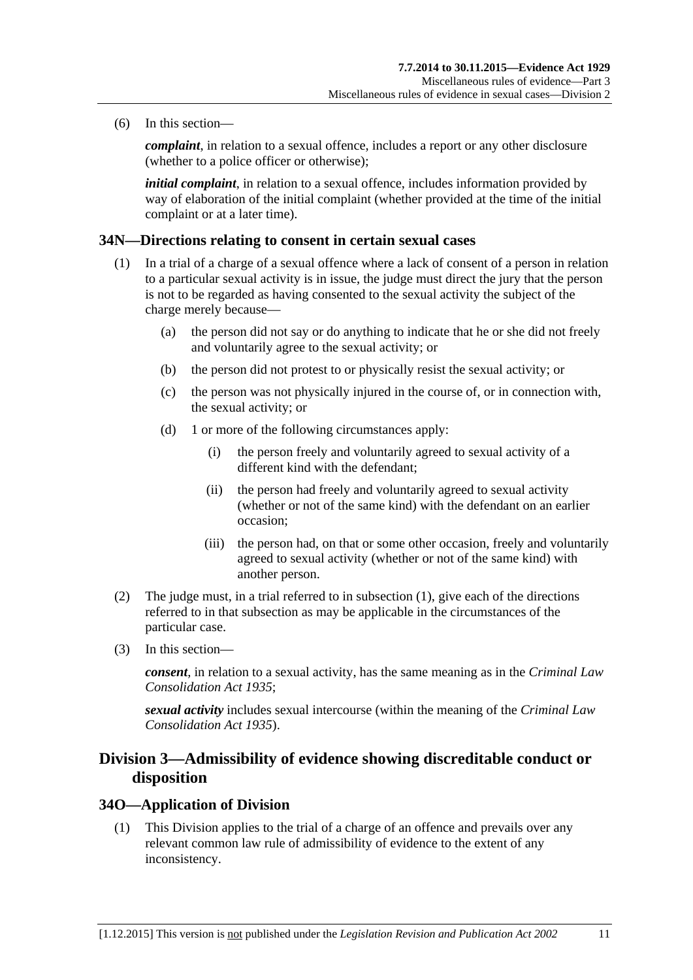(6) In this section—

*complaint*, in relation to a sexual offence, includes a report or any other disclosure (whether to a police officer or otherwise);

*initial complaint*, in relation to a sexual offence, includes information provided by way of elaboration of the initial complaint (whether provided at the time of the initial complaint or at a later time).

#### <span id="page-34-3"></span><span id="page-34-0"></span>**34N—Directions relating to consent in certain sexual cases**

- (1) In a trial of a charge of a sexual offence where a lack of consent of a person in relation to a particular sexual activity is in issue, the judge must direct the jury that the person is not to be regarded as having consented to the sexual activity the subject of the charge merely because—
	- (a) the person did not say or do anything to indicate that he or she did not freely and voluntarily agree to the sexual activity; or
	- (b) the person did not protest to or physically resist the sexual activity; or
	- (c) the person was not physically injured in the course of, or in connection with, the sexual activity; or
	- (d) 1 or more of the following circumstances apply:
		- (i) the person freely and voluntarily agreed to sexual activity of a different kind with the defendant;
		- (ii) the person had freely and voluntarily agreed to sexual activity (whether or not of the same kind) with the defendant on an earlier occasion;
		- (iii) the person had, on that or some other occasion, freely and voluntarily agreed to sexual activity (whether or not of the same kind) with another person.
- (2) The judge must, in a trial referred to in [subsection](#page-34-3) (1), give each of the directions referred to in that subsection as may be applicable in the circumstances of the particular case.
- (3) In this section—

*consent*, in relation to a sexual activity, has the same meaning as in the *[Criminal Law](http://www.legislation.sa.gov.au/index.aspx?action=legref&type=act&legtitle=Criminal%20Law%20Consolidation%20Act%201935)  [Consolidation Act](http://www.legislation.sa.gov.au/index.aspx?action=legref&type=act&legtitle=Criminal%20Law%20Consolidation%20Act%201935) 1935*;

*sexual activity* includes sexual intercourse (within the meaning of the *[Criminal Law](http://www.legislation.sa.gov.au/index.aspx?action=legref&type=act&legtitle=Criminal%20Law%20Consolidation%20Act%201935)  [Consolidation Act](http://www.legislation.sa.gov.au/index.aspx?action=legref&type=act&legtitle=Criminal%20Law%20Consolidation%20Act%201935) 1935*).

# <span id="page-34-1"></span>**Division 3—Admissibility of evidence showing discreditable conduct or disposition**

#### <span id="page-34-2"></span>**34O—Application of Division**

(1) This Division applies to the trial of a charge of an offence and prevails over any relevant common law rule of admissibility of evidence to the extent of any inconsistency.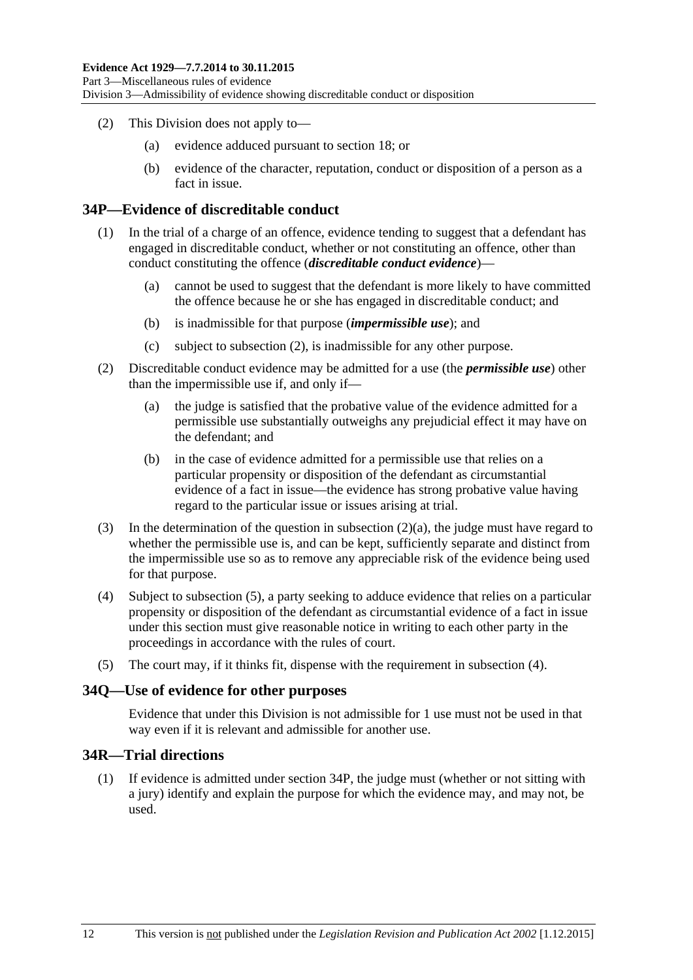- (2) This Division does not apply to—
	- (a) evidence adduced pursuant to [section](#page-18-3) 18; or
	- (b) evidence of the character, reputation, conduct or disposition of a person as a fact in issue.

#### <span id="page-35-0"></span>**34P—Evidence of discreditable conduct**

- (1) In the trial of a charge of an offence, evidence tending to suggest that a defendant has engaged in discreditable conduct, whether or not constituting an offence, other than conduct constituting the offence (*discreditable conduct evidence*)—
	- (a) cannot be used to suggest that the defendant is more likely to have committed the offence because he or she has engaged in discreditable conduct; and
	- (b) is inadmissible for that purpose (*impermissible use*); and
	- (c) subject to [subsection](#page-35-3) (2), is inadmissible for any other purpose.
- <span id="page-35-4"></span><span id="page-35-3"></span>(2) Discreditable conduct evidence may be admitted for a use (the *permissible use*) other than the impermissible use if, and only if—
	- (a) the judge is satisfied that the probative value of the evidence admitted for a permissible use substantially outweighs any prejudicial effect it may have on the defendant; and
	- (b) in the case of evidence admitted for a permissible use that relies on a particular propensity or disposition of the defendant as circumstantial evidence of a fact in issue—the evidence has strong probative value having regard to the particular issue or issues arising at trial.
- (3) In the determination of the question in [subsection](#page-35-4) (2)(a), the judge must have regard to whether the permissible use is, and can be kept, sufficiently separate and distinct from the impermissible use so as to remove any appreciable risk of the evidence being used for that purpose.
- <span id="page-35-6"></span>(4) Subject to [subsection](#page-35-5) (5), a party seeking to adduce evidence that relies on a particular propensity or disposition of the defendant as circumstantial evidence of a fact in issue under this section must give reasonable notice in writing to each other party in the proceedings in accordance with the rules of court.
- <span id="page-35-5"></span>(5) The court may, if it thinks fit, dispense with the requirement in [subsection](#page-35-6) (4).

#### <span id="page-35-1"></span>**34Q—Use of evidence for other purposes**

Evidence that under this Division is not admissible for 1 use must not be used in that way even if it is relevant and admissible for another use.

## <span id="page-35-2"></span>**34R—Trial directions**

(1) If evidence is admitted under [section](#page-35-0) 34P, the judge must (whether or not sitting with a jury) identify and explain the purpose for which the evidence may, and may not, be used.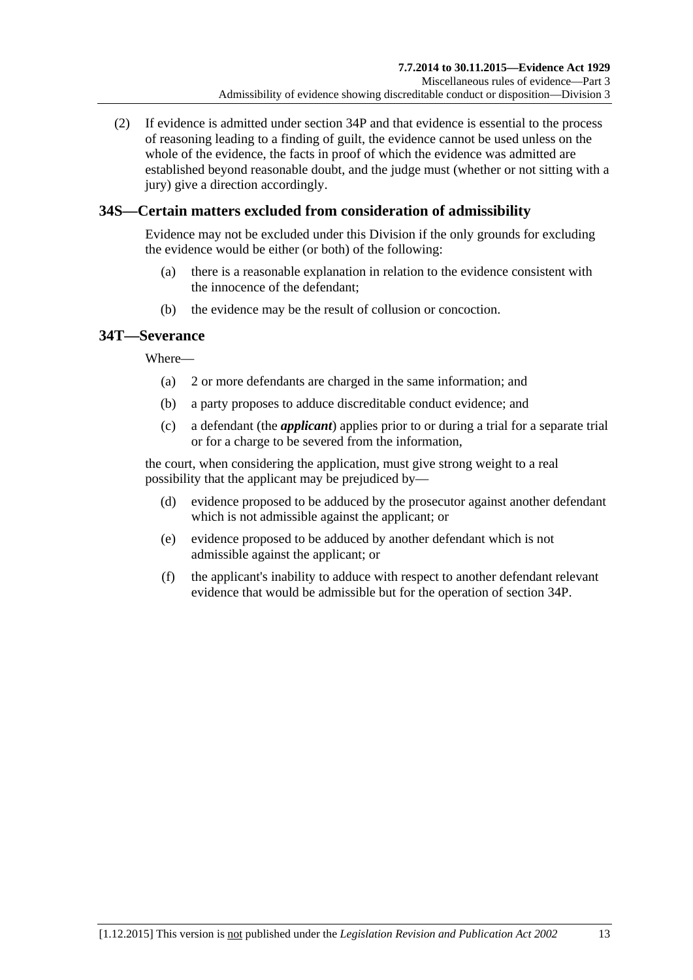(2) If evidence is admitted under [section](#page-35-0) 34P and that evidence is essential to the process of reasoning leading to a finding of guilt, the evidence cannot be used unless on the whole of the evidence, the facts in proof of which the evidence was admitted are established beyond reasonable doubt, and the judge must (whether or not sitting with a jury) give a direction accordingly.

# **34S—Certain matters excluded from consideration of admissibility**

Evidence may not be excluded under this Division if the only grounds for excluding the evidence would be either (or both) of the following:

- (a) there is a reasonable explanation in relation to the evidence consistent with the innocence of the defendant;
- (b) the evidence may be the result of collusion or concoction.

# **34T—Severance**

Where—

- (a) 2 or more defendants are charged in the same information; and
- (b) a party proposes to adduce discreditable conduct evidence; and
- (c) a defendant (the *applicant*) applies prior to or during a trial for a separate trial or for a charge to be severed from the information,

the court, when considering the application, must give strong weight to a real possibility that the applicant may be prejudiced by—

- (d) evidence proposed to be adduced by the prosecutor against another defendant which is not admissible against the applicant; or
- (e) evidence proposed to be adduced by another defendant which is not admissible against the applicant; or
- (f) the applicant's inability to adduce with respect to another defendant relevant evidence that would be admissible but for the operation of [section](#page-35-0) 34P.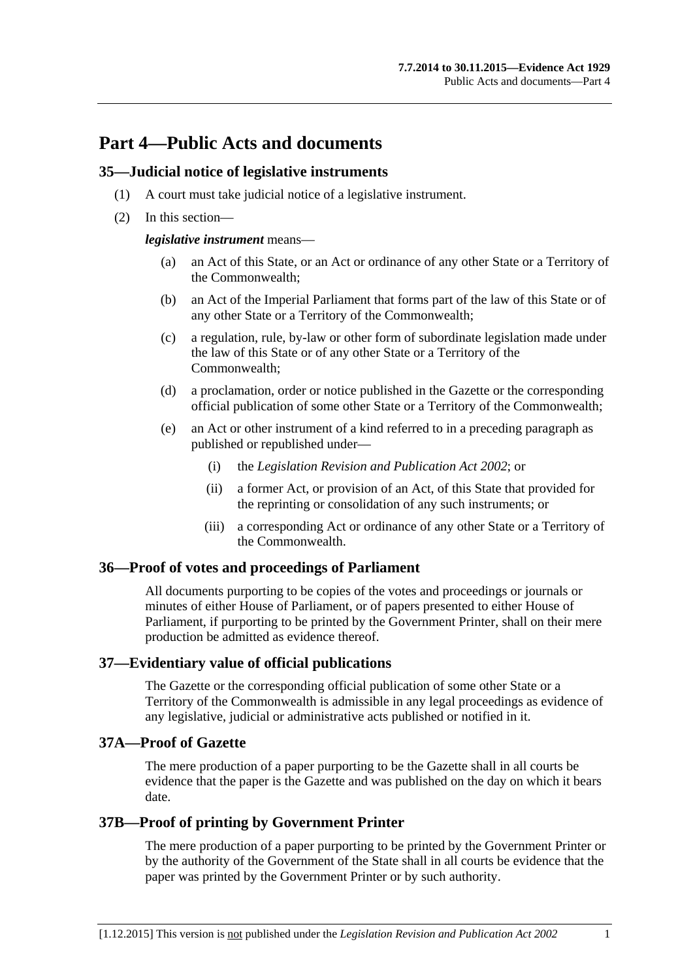# **Part 4—Public Acts and documents**

### **35—Judicial notice of legislative instruments**

- (1) A court must take judicial notice of a legislative instrument.
- (2) In this section—

*legislative instrument* means—

- (a) an Act of this State, or an Act or ordinance of any other State or a Territory of the Commonwealth;
- (b) an Act of the Imperial Parliament that forms part of the law of this State or of any other State or a Territory of the Commonwealth;
- (c) a regulation, rule, by-law or other form of subordinate legislation made under the law of this State or of any other State or a Territory of the Commonwealth;
- (d) a proclamation, order or notice published in the Gazette or the corresponding official publication of some other State or a Territory of the Commonwealth;
- (e) an Act or other instrument of a kind referred to in a preceding paragraph as published or republished under—
	- (i) the *[Legislation Revision and Publication Act](http://www.legislation.sa.gov.au/index.aspx?action=legref&type=act&legtitle=Legislation%20Revision%20and%20Publication%20Act%202002) 2002*; or
	- (ii) a former Act, or provision of an Act, of this State that provided for the reprinting or consolidation of any such instruments; or
	- (iii) a corresponding Act or ordinance of any other State or a Territory of the Commonwealth.

# **36—Proof of votes and proceedings of Parliament**

All documents purporting to be copies of the votes and proceedings or journals or minutes of either House of Parliament, or of papers presented to either House of Parliament, if purporting to be printed by the Government Printer, shall on their mere production be admitted as evidence thereof.

# **37—Evidentiary value of official publications**

The Gazette or the corresponding official publication of some other State or a Territory of the Commonwealth is admissible in any legal proceedings as evidence of any legislative, judicial or administrative acts published or notified in it.

# **37A—Proof of Gazette**

The mere production of a paper purporting to be the Gazette shall in all courts be evidence that the paper is the Gazette and was published on the day on which it bears date.

# **37B—Proof of printing by Government Printer**

The mere production of a paper purporting to be printed by the Government Printer or by the authority of the Government of the State shall in all courts be evidence that the paper was printed by the Government Printer or by such authority.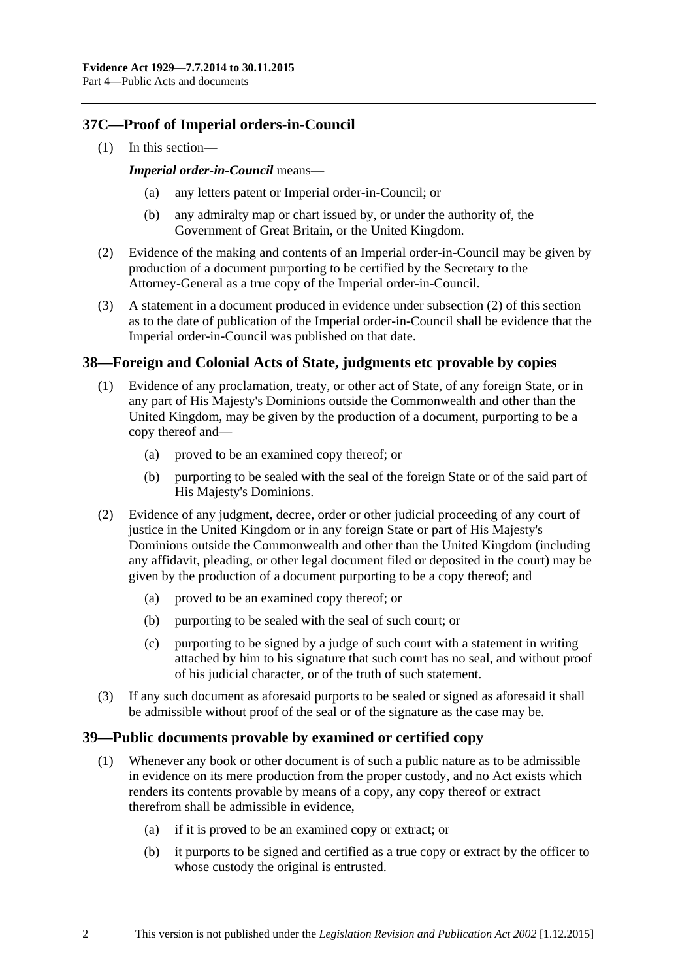# **37C—Proof of Imperial orders-in-Council**

(1) In this section—

#### *Imperial order-in-Council* means—

- any letters patent or Imperial order-in-Council; or
- (b) any admiralty map or chart issued by, or under the authority of, the Government of Great Britain, or the United Kingdom.
- <span id="page-39-0"></span>(2) Evidence of the making and contents of an Imperial order-in-Council may be given by production of a document purporting to be certified by the Secretary to the Attorney-General as a true copy of the Imperial order-in-Council.
- (3) A statement in a document produced in evidence under [subsection](#page-39-0) (2) of this section as to the date of publication of the Imperial order-in-Council shall be evidence that the Imperial order-in-Council was published on that date.

# **38—Foreign and Colonial Acts of State, judgments etc provable by copies**

- (1) Evidence of any proclamation, treaty, or other act of State, of any foreign State, or in any part of His Majesty's Dominions outside the Commonwealth and other than the United Kingdom, may be given by the production of a document, purporting to be a copy thereof and—
	- (a) proved to be an examined copy thereof; or
	- (b) purporting to be sealed with the seal of the foreign State or of the said part of His Majesty's Dominions.
- (2) Evidence of any judgment, decree, order or other judicial proceeding of any court of justice in the United Kingdom or in any foreign State or part of His Majesty's Dominions outside the Commonwealth and other than the United Kingdom (including any affidavit, pleading, or other legal document filed or deposited in the court) may be given by the production of a document purporting to be a copy thereof; and
	- (a) proved to be an examined copy thereof; or
	- (b) purporting to be sealed with the seal of such court; or
	- (c) purporting to be signed by a judge of such court with a statement in writing attached by him to his signature that such court has no seal, and without proof of his judicial character, or of the truth of such statement.
- (3) If any such document as aforesaid purports to be sealed or signed as aforesaid it shall be admissible without proof of the seal or of the signature as the case may be.

# **39—Public documents provable by examined or certified copy**

- (1) Whenever any book or other document is of such a public nature as to be admissible in evidence on its mere production from the proper custody, and no Act exists which renders its contents provable by means of a copy, any copy thereof or extract therefrom shall be admissible in evidence,
	- (a) if it is proved to be an examined copy or extract; or
	- (b) it purports to be signed and certified as a true copy or extract by the officer to whose custody the original is entrusted.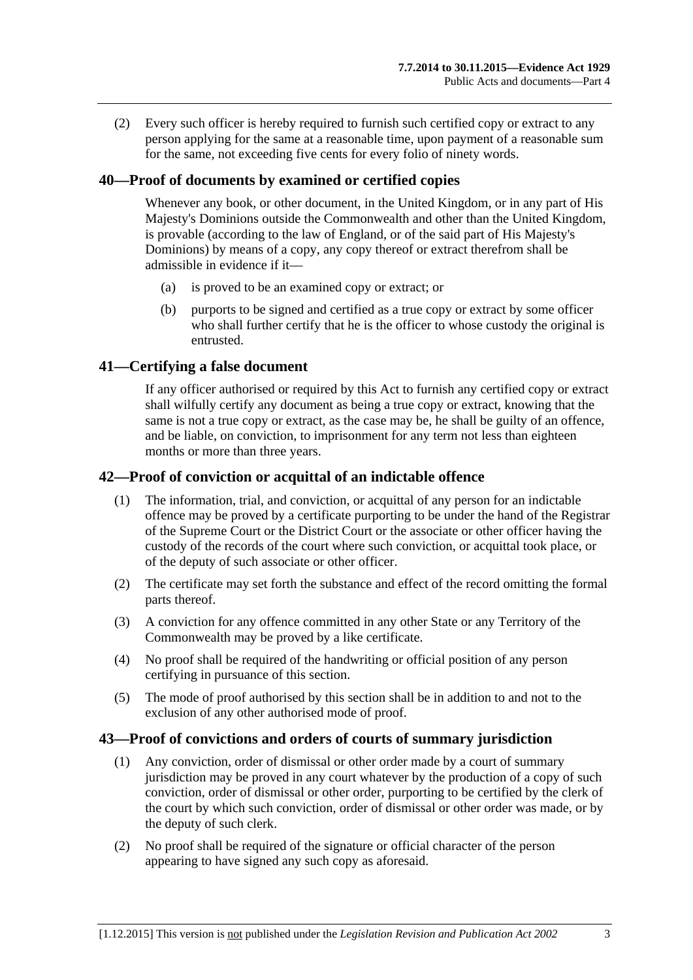(2) Every such officer is hereby required to furnish such certified copy or extract to any person applying for the same at a reasonable time, upon payment of a reasonable sum for the same, not exceeding five cents for every folio of ninety words.

# **40—Proof of documents by examined or certified copies**

Whenever any book, or other document, in the United Kingdom, or in any part of His Majesty's Dominions outside the Commonwealth and other than the United Kingdom, is provable (according to the law of England, or of the said part of His Majesty's Dominions) by means of a copy, any copy thereof or extract therefrom shall be admissible in evidence if it—

- (a) is proved to be an examined copy or extract; or
- (b) purports to be signed and certified as a true copy or extract by some officer who shall further certify that he is the officer to whose custody the original is entrusted.

# **41—Certifying a false document**

If any officer authorised or required by this Act to furnish any certified copy or extract shall wilfully certify any document as being a true copy or extract, knowing that the same is not a true copy or extract, as the case may be, he shall be guilty of an offence, and be liable, on conviction, to imprisonment for any term not less than eighteen months or more than three years.

# **42—Proof of conviction or acquittal of an indictable offence**

- (1) The information, trial, and conviction, or acquittal of any person for an indictable offence may be proved by a certificate purporting to be under the hand of the Registrar of the Supreme Court or the District Court or the associate or other officer having the custody of the records of the court where such conviction, or acquittal took place, or of the deputy of such associate or other officer.
- (2) The certificate may set forth the substance and effect of the record omitting the formal parts thereof.
- (3) A conviction for any offence committed in any other State or any Territory of the Commonwealth may be proved by a like certificate.
- (4) No proof shall be required of the handwriting or official position of any person certifying in pursuance of this section.
- (5) The mode of proof authorised by this section shall be in addition to and not to the exclusion of any other authorised mode of proof.

#### **43—Proof of convictions and orders of courts of summary jurisdiction**

- (1) Any conviction, order of dismissal or other order made by a court of summary jurisdiction may be proved in any court whatever by the production of a copy of such conviction, order of dismissal or other order, purporting to be certified by the clerk of the court by which such conviction, order of dismissal or other order was made, or by the deputy of such clerk.
- (2) No proof shall be required of the signature or official character of the person appearing to have signed any such copy as aforesaid.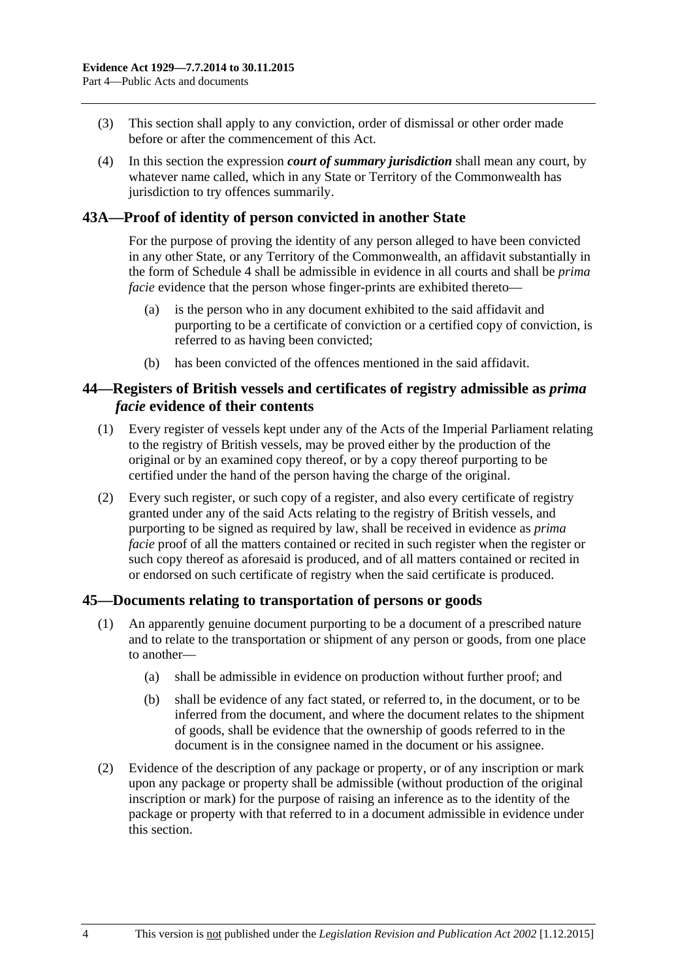- (3) This section shall apply to any conviction, order of dismissal or other order made before or after the commencement of this Act.
- (4) In this section the expression *court of summary jurisdiction* shall mean any court, by whatever name called, which in any State or Territory of the Commonwealth has jurisdiction to try offences summarily.

# **43A—Proof of identity of person convicted in another State**

For the purpose of proving the identity of any person alleged to have been convicted in any other State, or any Territory of the Commonwealth, an affidavit substantially in the form of [Schedule 4](#page-95-0) shall be admissible in evidence in all courts and shall be *prima facie* evidence that the person whose finger-prints are exhibited thereto—

- (a) is the person who in any document exhibited to the said affidavit and purporting to be a certificate of conviction or a certified copy of conviction, is referred to as having been convicted;
- (b) has been convicted of the offences mentioned in the said affidavit.

### **44—Registers of British vessels and certificates of registry admissible as** *prima facie* **evidence of their contents**

- (1) Every register of vessels kept under any of the Acts of the Imperial Parliament relating to the registry of British vessels, may be proved either by the production of the original or by an examined copy thereof, or by a copy thereof purporting to be certified under the hand of the person having the charge of the original.
- (2) Every such register, or such copy of a register, and also every certificate of registry granted under any of the said Acts relating to the registry of British vessels, and purporting to be signed as required by law, shall be received in evidence as *prima facie* proof of all the matters contained or recited in such register when the register or such copy thereof as aforesaid is produced, and of all matters contained or recited in or endorsed on such certificate of registry when the said certificate is produced.

#### **45—Documents relating to transportation of persons or goods**

- (1) An apparently genuine document purporting to be a document of a prescribed nature and to relate to the transportation or shipment of any person or goods, from one place to another—
	- (a) shall be admissible in evidence on production without further proof; and
	- (b) shall be evidence of any fact stated, or referred to, in the document, or to be inferred from the document, and where the document relates to the shipment of goods, shall be evidence that the ownership of goods referred to in the document is in the consignee named in the document or his assignee.
- (2) Evidence of the description of any package or property, or of any inscription or mark upon any package or property shall be admissible (without production of the original inscription or mark) for the purpose of raising an inference as to the identity of the package or property with that referred to in a document admissible in evidence under this section.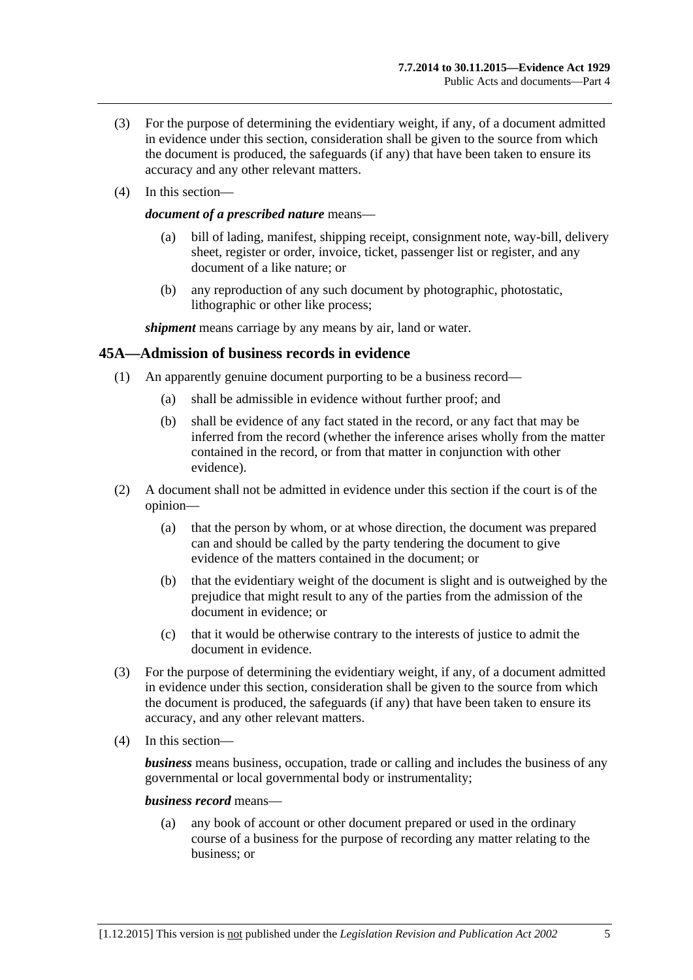- (3) For the purpose of determining the evidentiary weight, if any, of a document admitted in evidence under this section, consideration shall be given to the source from which the document is produced, the safeguards (if any) that have been taken to ensure its accuracy and any other relevant matters.
- (4) In this section—

#### *document of a prescribed nature* means—

- (a) bill of lading, manifest, shipping receipt, consignment note, way-bill, delivery sheet, register or order, invoice, ticket, passenger list or register, and any document of a like nature; or
- (b) any reproduction of any such document by photographic, photostatic, lithographic or other like process;

*shipment* means carriage by any means by air, land or water.

#### **45A—Admission of business records in evidence**

- (1) An apparently genuine document purporting to be a business record—
	- (a) shall be admissible in evidence without further proof; and
	- (b) shall be evidence of any fact stated in the record, or any fact that may be inferred from the record (whether the inference arises wholly from the matter contained in the record, or from that matter in conjunction with other evidence).
- (2) A document shall not be admitted in evidence under this section if the court is of the opinion—
	- (a) that the person by whom, or at whose direction, the document was prepared can and should be called by the party tendering the document to give evidence of the matters contained in the document; or
	- (b) that the evidentiary weight of the document is slight and is outweighed by the prejudice that might result to any of the parties from the admission of the document in evidence; or
	- (c) that it would be otherwise contrary to the interests of justice to admit the document in evidence.
- (3) For the purpose of determining the evidentiary weight, if any, of a document admitted in evidence under this section, consideration shall be given to the source from which the document is produced, the safeguards (if any) that have been taken to ensure its accuracy, and any other relevant matters.
- (4) In this section—

*business* means business, occupation, trade or calling and includes the business of any governmental or local governmental body or instrumentality;

*business record* means—

(a) any book of account or other document prepared or used in the ordinary course of a business for the purpose of recording any matter relating to the business; or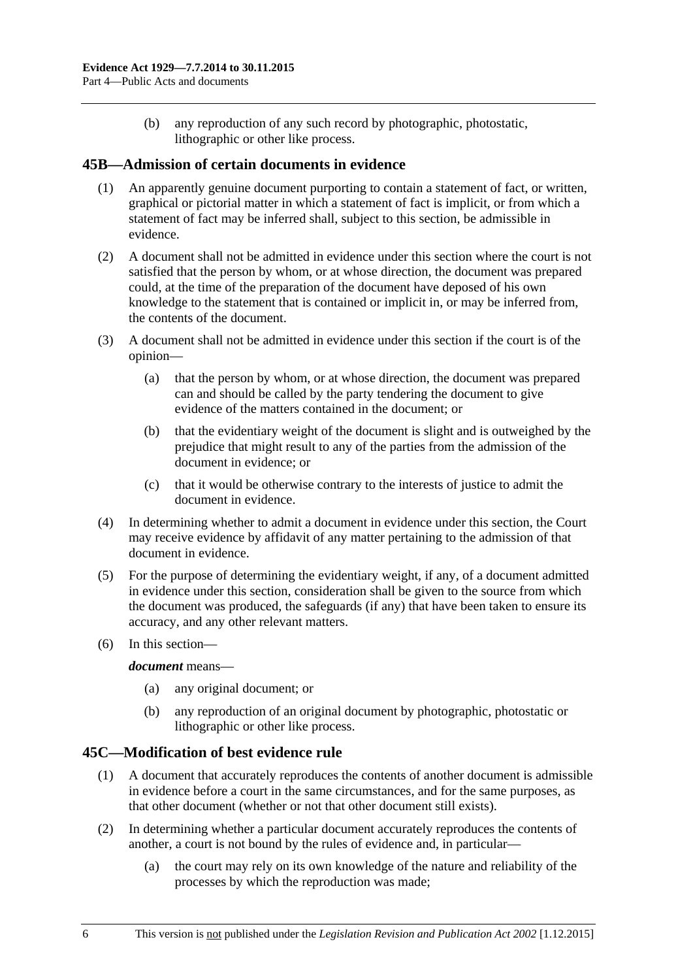(b) any reproduction of any such record by photographic, photostatic, lithographic or other like process.

# **45B—Admission of certain documents in evidence**

- (1) An apparently genuine document purporting to contain a statement of fact, or written, graphical or pictorial matter in which a statement of fact is implicit, or from which a statement of fact may be inferred shall, subject to this section, be admissible in evidence.
- (2) A document shall not be admitted in evidence under this section where the court is not satisfied that the person by whom, or at whose direction, the document was prepared could, at the time of the preparation of the document have deposed of his own knowledge to the statement that is contained or implicit in, or may be inferred from, the contents of the document.
- (3) A document shall not be admitted in evidence under this section if the court is of the opinion—
	- (a) that the person by whom, or at whose direction, the document was prepared can and should be called by the party tendering the document to give evidence of the matters contained in the document; or
	- (b) that the evidentiary weight of the document is slight and is outweighed by the prejudice that might result to any of the parties from the admission of the document in evidence; or
	- (c) that it would be otherwise contrary to the interests of justice to admit the document in evidence.
- (4) In determining whether to admit a document in evidence under this section, the Court may receive evidence by affidavit of any matter pertaining to the admission of that document in evidence.
- (5) For the purpose of determining the evidentiary weight, if any, of a document admitted in evidence under this section, consideration shall be given to the source from which the document was produced, the safeguards (if any) that have been taken to ensure its accuracy, and any other relevant matters.
- (6) In this section—

#### *document* means—

- (a) any original document; or
- (b) any reproduction of an original document by photographic, photostatic or lithographic or other like process.

# **45C—Modification of best evidence rule**

- (1) A document that accurately reproduces the contents of another document is admissible in evidence before a court in the same circumstances, and for the same purposes, as that other document (whether or not that other document still exists).
- (2) In determining whether a particular document accurately reproduces the contents of another, a court is not bound by the rules of evidence and, in particular—
	- (a) the court may rely on its own knowledge of the nature and reliability of the processes by which the reproduction was made;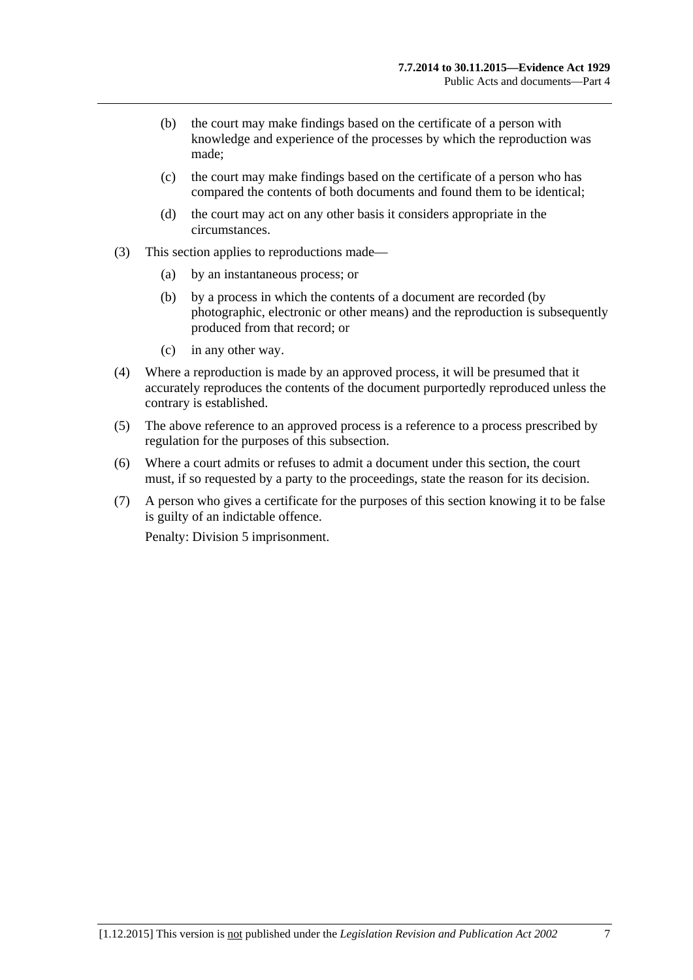- (b) the court may make findings based on the certificate of a person with knowledge and experience of the processes by which the reproduction was made;
- (c) the court may make findings based on the certificate of a person who has compared the contents of both documents and found them to be identical;
- (d) the court may act on any other basis it considers appropriate in the circumstances.
- (3) This section applies to reproductions made—
	- (a) by an instantaneous process; or
	- (b) by a process in which the contents of a document are recorded (by photographic, electronic or other means) and the reproduction is subsequently produced from that record; or
	- (c) in any other way.
- (4) Where a reproduction is made by an approved process, it will be presumed that it accurately reproduces the contents of the document purportedly reproduced unless the contrary is established.
- (5) The above reference to an approved process is a reference to a process prescribed by regulation for the purposes of this subsection.
- (6) Where a court admits or refuses to admit a document under this section, the court must, if so requested by a party to the proceedings, state the reason for its decision.
- (7) A person who gives a certificate for the purposes of this section knowing it to be false is guilty of an indictable offence.

Penalty: Division 5 imprisonment.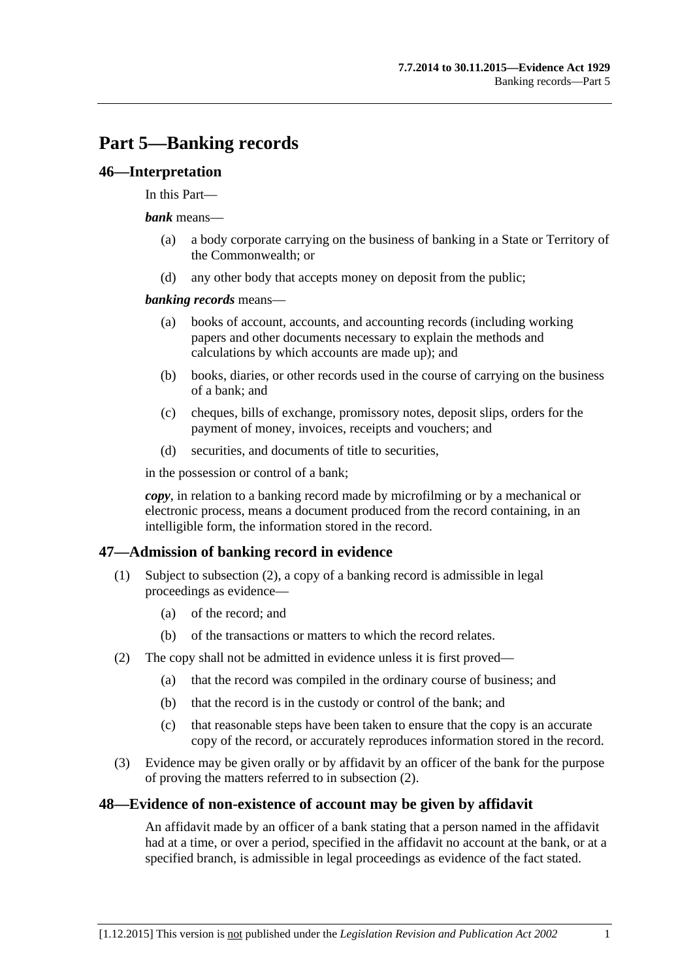# **Part 5—Banking records**

### **46—Interpretation**

#### In this Part—

#### *bank* means—

- (a) a body corporate carrying on the business of banking in a State or Territory of the Commonwealth; or
- (d) any other body that accepts money on deposit from the public;

#### *banking records* means—

- (a) books of account, accounts, and accounting records (including working papers and other documents necessary to explain the methods and calculations by which accounts are made up); and
- (b) books, diaries, or other records used in the course of carrying on the business of a bank; and
- (c) cheques, bills of exchange, promissory notes, deposit slips, orders for the payment of money, invoices, receipts and vouchers; and
- (d) securities, and documents of title to securities,

in the possession or control of a bank;

*copy*, in relation to a banking record made by microfilming or by a mechanical or electronic process, means a document produced from the record containing, in an intelligible form, the information stored in the record.

# **47—Admission of banking record in evidence**

- (1) Subject to [subsection](#page-46-0) (2), a copy of a banking record is admissible in legal proceedings as evidence—
	- (a) of the record; and
	- (b) of the transactions or matters to which the record relates.
- <span id="page-46-0"></span>(2) The copy shall not be admitted in evidence unless it is first proved—
	- (a) that the record was compiled in the ordinary course of business; and
	- (b) that the record is in the custody or control of the bank; and
	- (c) that reasonable steps have been taken to ensure that the copy is an accurate copy of the record, or accurately reproduces information stored in the record.
- (3) Evidence may be given orally or by affidavit by an officer of the bank for the purpose of proving the matters referred to in [subsection](#page-46-0) (2).

# **48—Evidence of non-existence of account may be given by affidavit**

An affidavit made by an officer of a bank stating that a person named in the affidavit had at a time, or over a period, specified in the affidavit no account at the bank, or at a specified branch, is admissible in legal proceedings as evidence of the fact stated.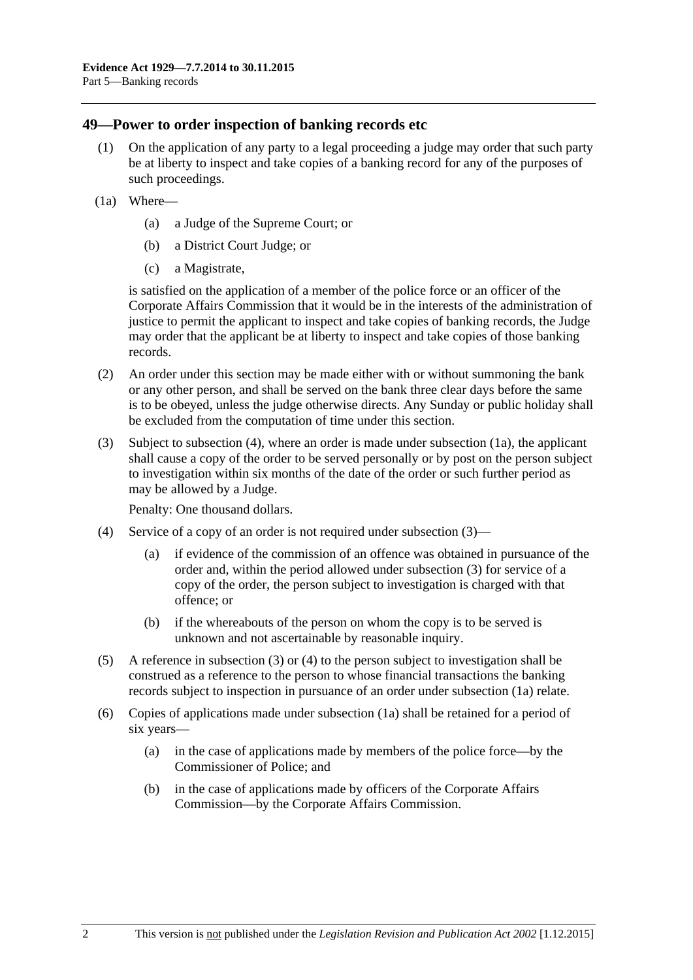### **49—Power to order inspection of banking records etc**

- (1) On the application of any party to a legal proceeding a judge may order that such party be at liberty to inspect and take copies of a banking record for any of the purposes of such proceedings.
- <span id="page-47-1"></span>(1a) Where—
	- (a) a Judge of the Supreme Court; or
	- (b) a District Court Judge; or
	- (c) a Magistrate,

is satisfied on the application of a member of the police force or an officer of the Corporate Affairs Commission that it would be in the interests of the administration of justice to permit the applicant to inspect and take copies of banking records, the Judge may order that the applicant be at liberty to inspect and take copies of those banking records.

- (2) An order under this section may be made either with or without summoning the bank or any other person, and shall be served on the bank three clear days before the same is to be obeyed, unless the judge otherwise directs. Any Sunday or public holiday shall be excluded from the computation of time under this section.
- <span id="page-47-2"></span>(3) Subject to [subsection](#page-47-0) (4), where an order is made under [subsection](#page-47-1) (1a), the applicant shall cause a copy of the order to be served personally or by post on the person subject to investigation within six months of the date of the order or such further period as may be allowed by a Judge.

Penalty: One thousand dollars.

- <span id="page-47-0"></span>(4) Service of a copy of an order is not required under [subsection](#page-47-2) (3)—
	- (a) if evidence of the commission of an offence was obtained in pursuance of the order and, within the period allowed under [subsection](#page-47-2) (3) for service of a copy of the order, the person subject to investigation is charged with that offence; or
	- (b) if the whereabouts of the person on whom the copy is to be served is unknown and not ascertainable by reasonable inquiry.
- (5) A reference in [subsection](#page-47-2) (3) or [\(4\)](#page-47-0) to the person subject to investigation shall be construed as a reference to the person to whose financial transactions the banking records subject to inspection in pursuance of an order under [subsection](#page-47-1) (1a) relate.
- (6) Copies of applications made under [subsection](#page-47-1) (1a) shall be retained for a period of six years—
	- (a) in the case of applications made by members of the police force—by the Commissioner of Police; and
	- (b) in the case of applications made by officers of the Corporate Affairs Commission—by the Corporate Affairs Commission.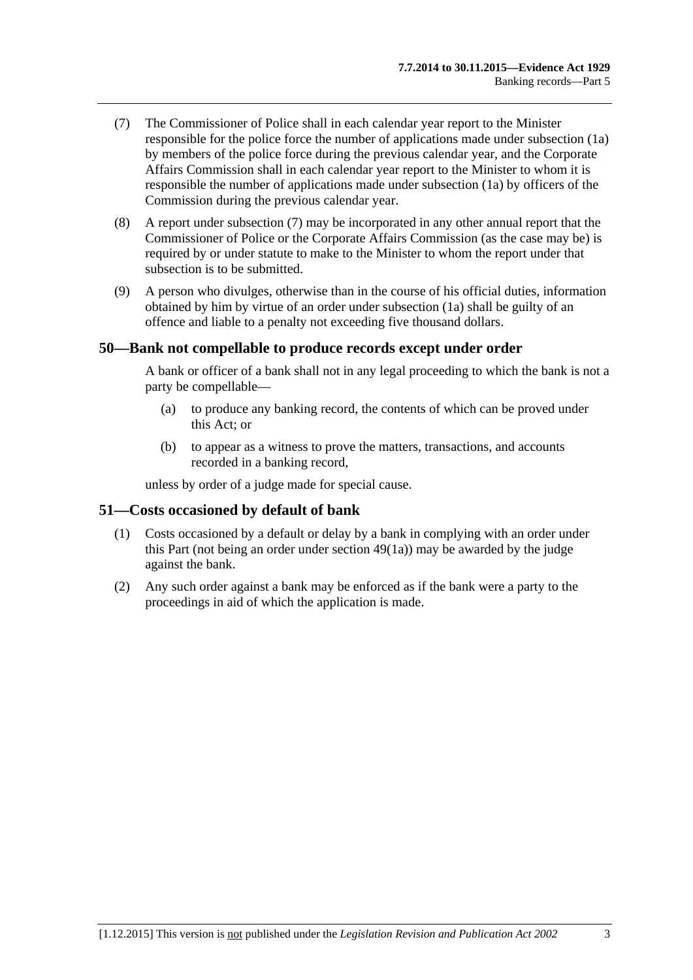- <span id="page-48-0"></span>(7) The Commissioner of Police shall in each calendar year report to the Minister responsible for the police force the number of applications made under [subsection](#page-47-1) (1a) by members of the police force during the previous calendar year, and the Corporate Affairs Commission shall in each calendar year report to the Minister to whom it is responsible the number of applications made under [subsection](#page-47-1) (1a) by officers of the Commission during the previous calendar year.
- (8) A report under [subsection](#page-48-0) (7) may be incorporated in any other annual report that the Commissioner of Police or the Corporate Affairs Commission (as the case may be) is required by or under statute to make to the Minister to whom the report under that subsection is to be submitted.
- (9) A person who divulges, otherwise than in the course of his official duties, information obtained by him by virtue of an order under [subsection](#page-47-1) (1a) shall be guilty of an offence and liable to a penalty not exceeding five thousand dollars.

#### **50—Bank not compellable to produce records except under order**

A bank or officer of a bank shall not in any legal proceeding to which the bank is not a party be compellable—

- (a) to produce any banking record, the contents of which can be proved under this Act; or
- (b) to appear as a witness to prove the matters, transactions, and accounts recorded in a banking record,

unless by order of a judge made for special cause.

#### **51—Costs occasioned by default of bank**

- (1) Costs occasioned by a default or delay by a bank in complying with an order under this Part (not being an order under [section](#page-47-1) 49(1a)) may be awarded by the judge against the bank.
- (2) Any such order against a bank may be enforced as if the bank were a party to the proceedings in aid of which the application is made.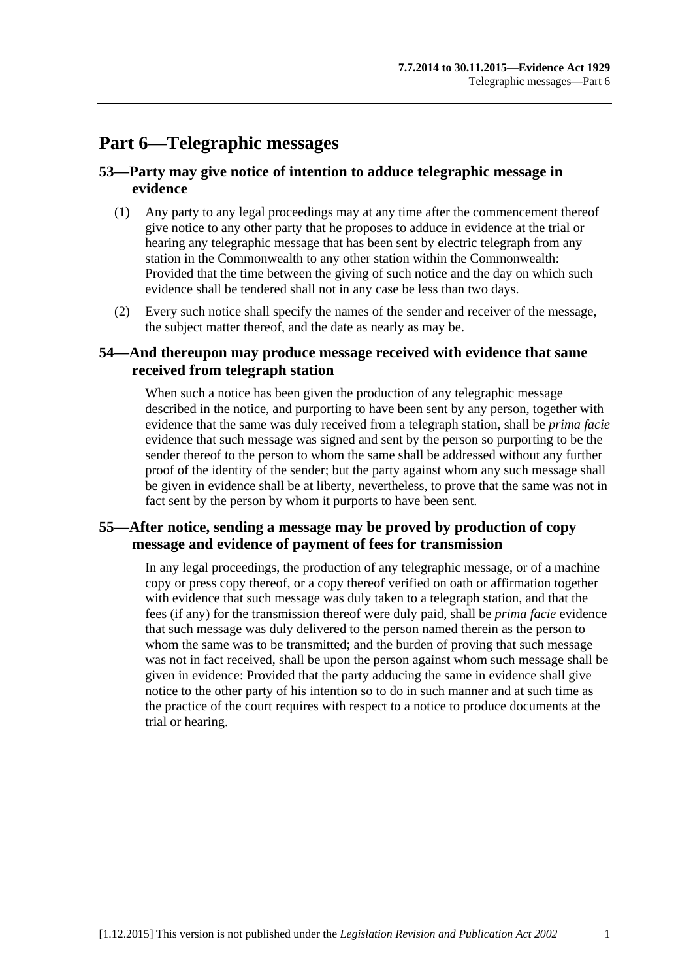# **Part 6—Telegraphic messages**

# **53—Party may give notice of intention to adduce telegraphic message in evidence**

- (1) Any party to any legal proceedings may at any time after the commencement thereof give notice to any other party that he proposes to adduce in evidence at the trial or hearing any telegraphic message that has been sent by electric telegraph from any station in the Commonwealth to any other station within the Commonwealth: Provided that the time between the giving of such notice and the day on which such evidence shall be tendered shall not in any case be less than two days.
- (2) Every such notice shall specify the names of the sender and receiver of the message, the subject matter thereof, and the date as nearly as may be.

# **54—And thereupon may produce message received with evidence that same received from telegraph station**

When such a notice has been given the production of any telegraphic message described in the notice, and purporting to have been sent by any person, together with evidence that the same was duly received from a telegraph station, shall be *prima facie* evidence that such message was signed and sent by the person so purporting to be the sender thereof to the person to whom the same shall be addressed without any further proof of the identity of the sender; but the party against whom any such message shall be given in evidence shall be at liberty, nevertheless, to prove that the same was not in fact sent by the person by whom it purports to have been sent.

# **55—After notice, sending a message may be proved by production of copy message and evidence of payment of fees for transmission**

In any legal proceedings, the production of any telegraphic message, or of a machine copy or press copy thereof, or a copy thereof verified on oath or affirmation together with evidence that such message was duly taken to a telegraph station, and that the fees (if any) for the transmission thereof were duly paid, shall be *prima facie* evidence that such message was duly delivered to the person named therein as the person to whom the same was to be transmitted; and the burden of proving that such message was not in fact received, shall be upon the person against whom such message shall be given in evidence: Provided that the party adducing the same in evidence shall give notice to the other party of his intention so to do in such manner and at such time as the practice of the court requires with respect to a notice to produce documents at the trial or hearing.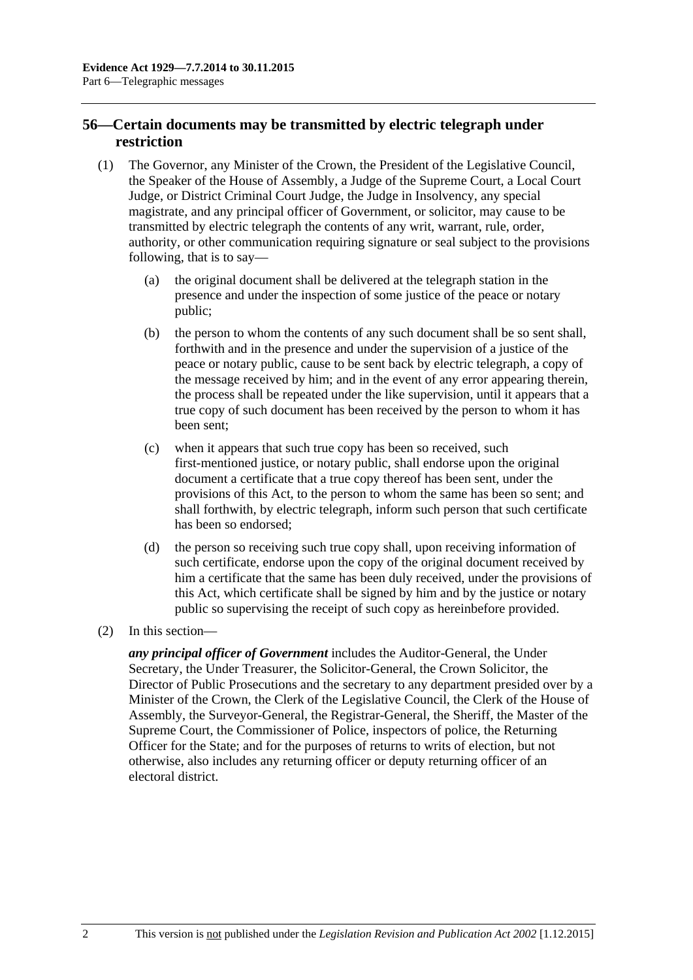# **56—Certain documents may be transmitted by electric telegraph under restriction**

- (1) The Governor, any Minister of the Crown, the President of the Legislative Council, the Speaker of the House of Assembly, a Judge of the Supreme Court, a Local Court Judge, or District Criminal Court Judge, the Judge in Insolvency, any special magistrate, and any principal officer of Government, or solicitor, may cause to be transmitted by electric telegraph the contents of any writ, warrant, rule, order, authority, or other communication requiring signature or seal subject to the provisions following, that is to say—
	- (a) the original document shall be delivered at the telegraph station in the presence and under the inspection of some justice of the peace or notary public;
	- (b) the person to whom the contents of any such document shall be so sent shall, forthwith and in the presence and under the supervision of a justice of the peace or notary public, cause to be sent back by electric telegraph, a copy of the message received by him; and in the event of any error appearing therein, the process shall be repeated under the like supervision, until it appears that a true copy of such document has been received by the person to whom it has been sent;
	- (c) when it appears that such true copy has been so received, such first-mentioned justice, or notary public, shall endorse upon the original document a certificate that a true copy thereof has been sent, under the provisions of this Act, to the person to whom the same has been so sent; and shall forthwith, by electric telegraph, inform such person that such certificate has been so endorsed;
	- (d) the person so receiving such true copy shall, upon receiving information of such certificate, endorse upon the copy of the original document received by him a certificate that the same has been duly received, under the provisions of this Act, which certificate shall be signed by him and by the justice or notary public so supervising the receipt of such copy as hereinbefore provided.
- (2) In this section—

*any principal officer of Government* includes the Auditor-General, the Under Secretary, the Under Treasurer, the Solicitor-General, the Crown Solicitor, the Director of Public Prosecutions and the secretary to any department presided over by a Minister of the Crown, the Clerk of the Legislative Council, the Clerk of the House of Assembly, the Surveyor-General, the Registrar-General, the Sheriff, the Master of the Supreme Court, the Commissioner of Police, inspectors of police, the Returning Officer for the State; and for the purposes of returns to writs of election, but not otherwise, also includes any returning officer or deputy returning officer of an electoral district.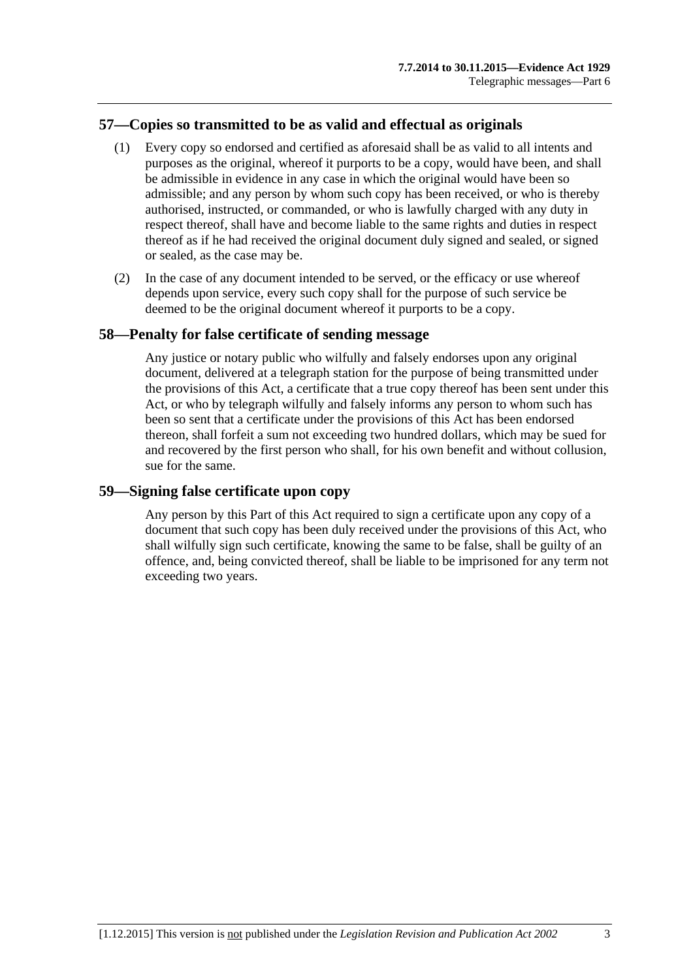# **57—Copies so transmitted to be as valid and effectual as originals**

- (1) Every copy so endorsed and certified as aforesaid shall be as valid to all intents and purposes as the original, whereof it purports to be a copy, would have been, and shall be admissible in evidence in any case in which the original would have been so admissible; and any person by whom such copy has been received, or who is thereby authorised, instructed, or commanded, or who is lawfully charged with any duty in respect thereof, shall have and become liable to the same rights and duties in respect thereof as if he had received the original document duly signed and sealed, or signed or sealed, as the case may be.
- (2) In the case of any document intended to be served, or the efficacy or use whereof depends upon service, every such copy shall for the purpose of such service be deemed to be the original document whereof it purports to be a copy.

### **58—Penalty for false certificate of sending message**

Any justice or notary public who wilfully and falsely endorses upon any original document, delivered at a telegraph station for the purpose of being transmitted under the provisions of this Act, a certificate that a true copy thereof has been sent under this Act, or who by telegraph wilfully and falsely informs any person to whom such has been so sent that a certificate under the provisions of this Act has been endorsed thereon, shall forfeit a sum not exceeding two hundred dollars, which may be sued for and recovered by the first person who shall, for his own benefit and without collusion, sue for the same.

#### **59—Signing false certificate upon copy**

Any person by this Part of this Act required to sign a certificate upon any copy of a document that such copy has been duly received under the provisions of this Act, who shall wilfully sign such certificate, knowing the same to be false, shall be guilty of an offence, and, being convicted thereof, shall be liable to be imprisoned for any term not exceeding two years.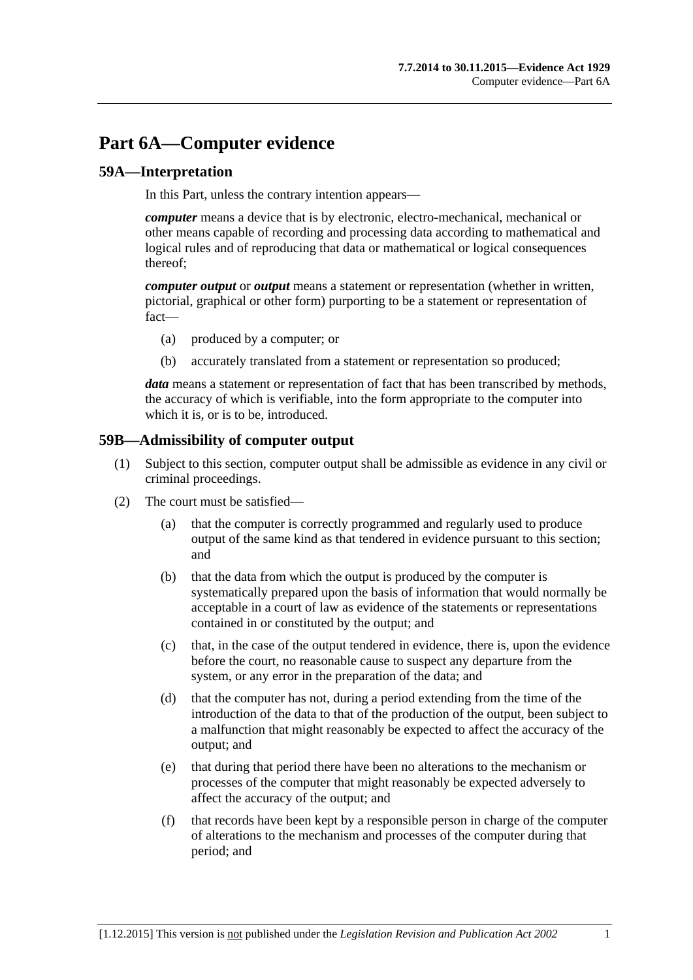# **Part 6A—Computer evidence**

# **59A—Interpretation**

In this Part, unless the contrary intention appears—

*computer* means a device that is by electronic, electro-mechanical, mechanical or other means capable of recording and processing data according to mathematical and logical rules and of reproducing that data or mathematical or logical consequences thereof;

*computer output* or *output* means a statement or representation (whether in written, pictorial, graphical or other form) purporting to be a statement or representation of fact—

- (a) produced by a computer; or
- (b) accurately translated from a statement or representation so produced;

*data* means a statement or representation of fact that has been transcribed by methods, the accuracy of which is verifiable, into the form appropriate to the computer into which it is, or is to be, introduced.

### **59B—Admissibility of computer output**

- (1) Subject to this section, computer output shall be admissible as evidence in any civil or criminal proceedings.
- <span id="page-54-0"></span>(2) The court must be satisfied—
	- (a) that the computer is correctly programmed and regularly used to produce output of the same kind as that tendered in evidence pursuant to this section; and
	- (b) that the data from which the output is produced by the computer is systematically prepared upon the basis of information that would normally be acceptable in a court of law as evidence of the statements or representations contained in or constituted by the output; and
	- (c) that, in the case of the output tendered in evidence, there is, upon the evidence before the court, no reasonable cause to suspect any departure from the system, or any error in the preparation of the data; and
	- (d) that the computer has not, during a period extending from the time of the introduction of the data to that of the production of the output, been subject to a malfunction that might reasonably be expected to affect the accuracy of the output; and
	- (e) that during that period there have been no alterations to the mechanism or processes of the computer that might reasonably be expected adversely to affect the accuracy of the output; and
	- (f) that records have been kept by a responsible person in charge of the computer of alterations to the mechanism and processes of the computer during that period; and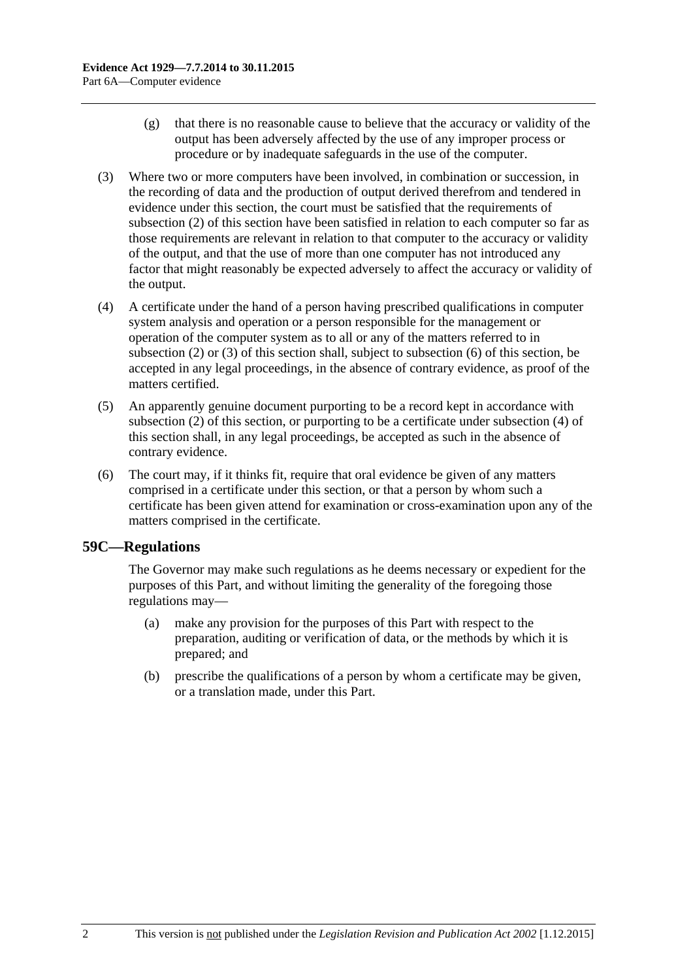- (g) that there is no reasonable cause to believe that the accuracy or validity of the output has been adversely affected by the use of any improper process or procedure or by inadequate safeguards in the use of the computer.
- <span id="page-55-0"></span>(3) Where two or more computers have been involved, in combination or succession, in the recording of data and the production of output derived therefrom and tendered in evidence under this section, the court must be satisfied that the requirements of [subsection](#page-54-0) (2) of this section have been satisfied in relation to each computer so far as those requirements are relevant in relation to that computer to the accuracy or validity of the output, and that the use of more than one computer has not introduced any factor that might reasonably be expected adversely to affect the accuracy or validity of the output.
- <span id="page-55-2"></span>(4) A certificate under the hand of a person having prescribed qualifications in computer system analysis and operation or a person responsible for the management or operation of the computer system as to all or any of the matters referred to in [subsection](#page-54-0) (2) or [\(3\)](#page-55-0) of this section shall, subject to [subsection](#page-55-1) (6) of this section, be accepted in any legal proceedings, in the absence of contrary evidence, as proof of the matters certified.
- (5) An apparently genuine document purporting to be a record kept in accordance with [subsection](#page-54-0) (2) of this section, or purporting to be a certificate under [subsection](#page-55-2) (4) of this section shall, in any legal proceedings, be accepted as such in the absence of contrary evidence.
- <span id="page-55-1"></span>(6) The court may, if it thinks fit, require that oral evidence be given of any matters comprised in a certificate under this section, or that a person by whom such a certificate has been given attend for examination or cross-examination upon any of the matters comprised in the certificate.

# **59C—Regulations**

The Governor may make such regulations as he deems necessary or expedient for the purposes of this Part, and without limiting the generality of the foregoing those regulations may—

- (a) make any provision for the purposes of this Part with respect to the preparation, auditing or verification of data, or the methods by which it is prepared; and
- (b) prescribe the qualifications of a person by whom a certificate may be given, or a translation made, under this Part.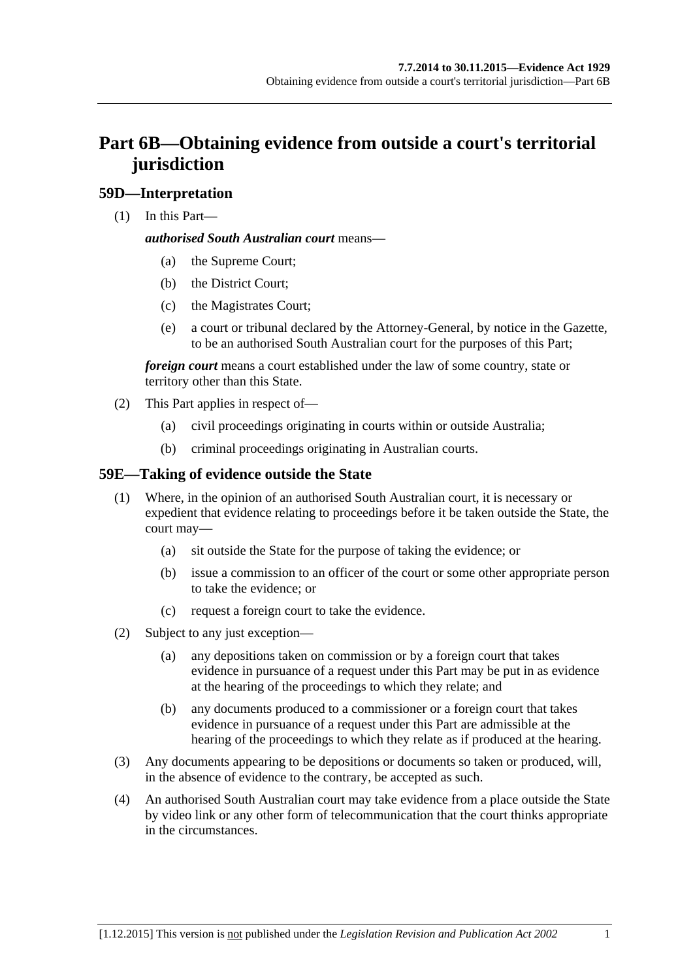# **Part 6B—Obtaining evidence from outside a court's territorial jurisdiction**

# **59D—Interpretation**

(1) In this Part—

#### *authorised South Australian court* means—

- (a) the Supreme Court;
- (b) the District Court;
- (c) the Magistrates Court;
- (e) a court or tribunal declared by the Attorney-General, by notice in the Gazette, to be an authorised South Australian court for the purposes of this Part;

*foreign court* means a court established under the law of some country, state or territory other than this State.

- (2) This Part applies in respect of—
	- (a) civil proceedings originating in courts within or outside Australia;
	- (b) criminal proceedings originating in Australian courts.

# **59E—Taking of evidence outside the State**

- (1) Where, in the opinion of an authorised South Australian court, it is necessary or expedient that evidence relating to proceedings before it be taken outside the State, the court may—
	- (a) sit outside the State for the purpose of taking the evidence; or
	- (b) issue a commission to an officer of the court or some other appropriate person to take the evidence; or
	- (c) request a foreign court to take the evidence.
- (2) Subject to any just exception—
	- (a) any depositions taken on commission or by a foreign court that takes evidence in pursuance of a request under this Part may be put in as evidence at the hearing of the proceedings to which they relate; and
	- (b) any documents produced to a commissioner or a foreign court that takes evidence in pursuance of a request under this Part are admissible at the hearing of the proceedings to which they relate as if produced at the hearing.
- (3) Any documents appearing to be depositions or documents so taken or produced, will, in the absence of evidence to the contrary, be accepted as such.
- (4) An authorised South Australian court may take evidence from a place outside the State by video link or any other form of telecommunication that the court thinks appropriate in the circumstances.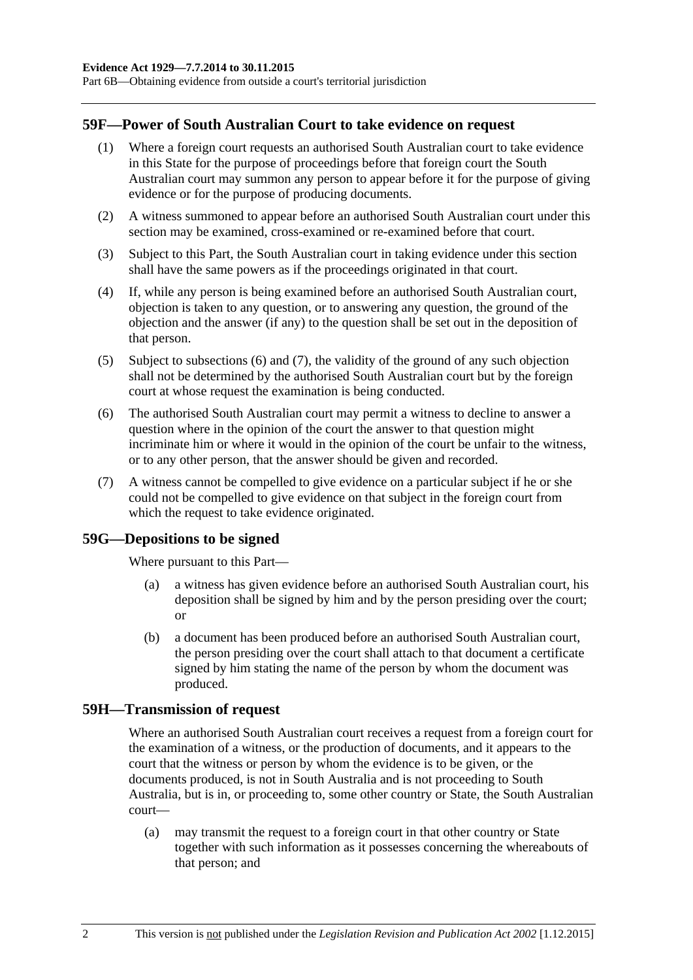Part 6B—Obtaining evidence from outside a court's territorial jurisdiction

#### **59F—Power of South Australian Court to take evidence on request**

- (1) Where a foreign court requests an authorised South Australian court to take evidence in this State for the purpose of proceedings before that foreign court the South Australian court may summon any person to appear before it for the purpose of giving evidence or for the purpose of producing documents.
- (2) A witness summoned to appear before an authorised South Australian court under this section may be examined, cross-examined or re-examined before that court.
- (3) Subject to this Part, the South Australian court in taking evidence under this section shall have the same powers as if the proceedings originated in that court.
- (4) If, while any person is being examined before an authorised South Australian court, objection is taken to any question, or to answering any question, the ground of the objection and the answer (if any) to the question shall be set out in the deposition of that person.
- (5) Subject to [subsections](#page-57-0) (6) and [\(7\),](#page-57-1) the validity of the ground of any such objection shall not be determined by the authorised South Australian court but by the foreign court at whose request the examination is being conducted.
- <span id="page-57-0"></span>(6) The authorised South Australian court may permit a witness to decline to answer a question where in the opinion of the court the answer to that question might incriminate him or where it would in the opinion of the court be unfair to the witness, or to any other person, that the answer should be given and recorded.
- <span id="page-57-1"></span>(7) A witness cannot be compelled to give evidence on a particular subject if he or she could not be compelled to give evidence on that subject in the foreign court from which the request to take evidence originated.

#### **59G—Depositions to be signed**

Where pursuant to this Part—

- (a) a witness has given evidence before an authorised South Australian court, his deposition shall be signed by him and by the person presiding over the court; or
- (b) a document has been produced before an authorised South Australian court, the person presiding over the court shall attach to that document a certificate signed by him stating the name of the person by whom the document was produced.

#### **59H—Transmission of request**

Where an authorised South Australian court receives a request from a foreign court for the examination of a witness, or the production of documents, and it appears to the court that the witness or person by whom the evidence is to be given, or the documents produced, is not in South Australia and is not proceeding to South Australia, but is in, or proceeding to, some other country or State, the South Australian court—

(a) may transmit the request to a foreign court in that other country or State together with such information as it possesses concerning the whereabouts of that person; and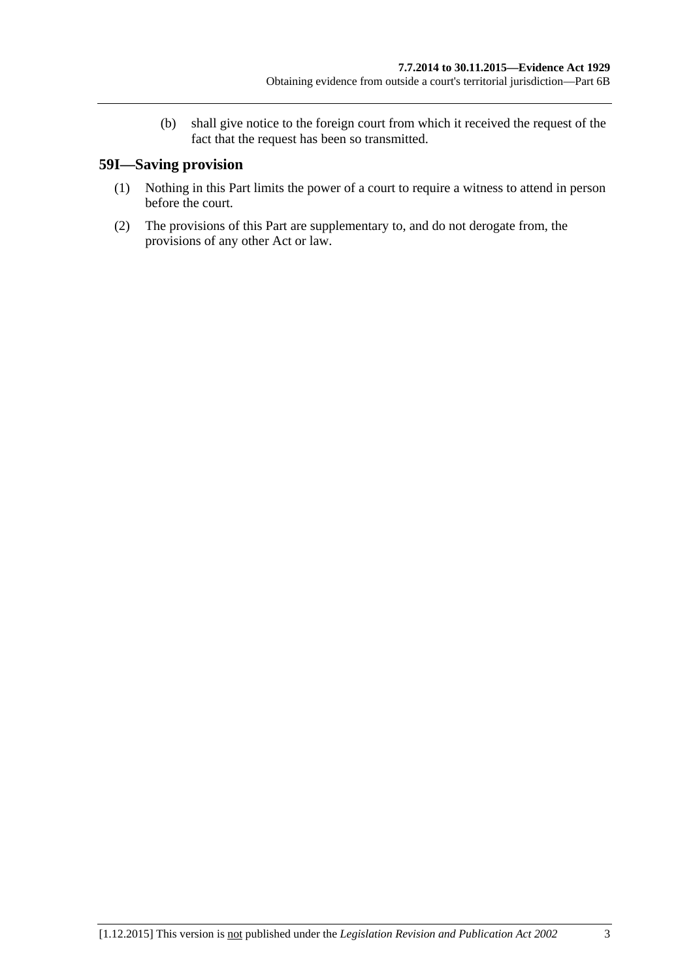(b) shall give notice to the foreign court from which it received the request of the fact that the request has been so transmitted.

# **59I—Saving provision**

- (1) Nothing in this Part limits the power of a court to require a witness to attend in person before the court.
- (2) The provisions of this Part are supplementary to, and do not derogate from, the provisions of any other Act or law.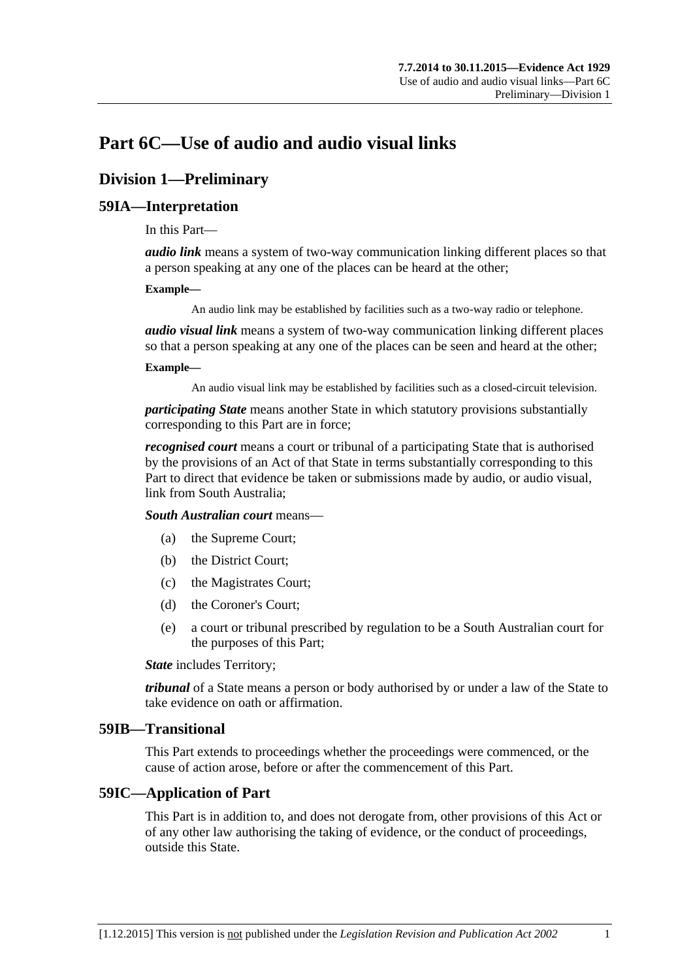# **Part 6C—Use of audio and audio visual links**

# **Division 1—Preliminary**

# **59IA—Interpretation**

In this Part—

*audio link* means a system of two-way communication linking different places so that a person speaking at any one of the places can be heard at the other;

#### **Example—**

An audio link may be established by facilities such as a two-way radio or telephone.

*audio visual link* means a system of two-way communication linking different places so that a person speaking at any one of the places can be seen and heard at the other;

#### **Example—**

An audio visual link may be established by facilities such as a closed-circuit television.

*participating State* means another State in which statutory provisions substantially corresponding to this Part are in force;

*recognised court* means a court or tribunal of a participating State that is authorised by the provisions of an Act of that State in terms substantially corresponding to this Part to direct that evidence be taken or submissions made by audio, or audio visual, link from South Australia;

*South Australian court* means—

- (a) the Supreme Court;
- (b) the District Court;
- (c) the Magistrates Court;
- (d) the Coroner's Court;
- (e) a court or tribunal prescribed by regulation to be a South Australian court for the purposes of this Part;

*State* includes Territory;

*tribunal* of a State means a person or body authorised by or under a law of the State to take evidence on oath or affirmation.

#### **59IB—Transitional**

This Part extends to proceedings whether the proceedings were commenced, or the cause of action arose, before or after the commencement of this Part.

# **59IC—Application of Part**

This Part is in addition to, and does not derogate from, other provisions of this Act or of any other law authorising the taking of evidence, or the conduct of proceedings, outside this State.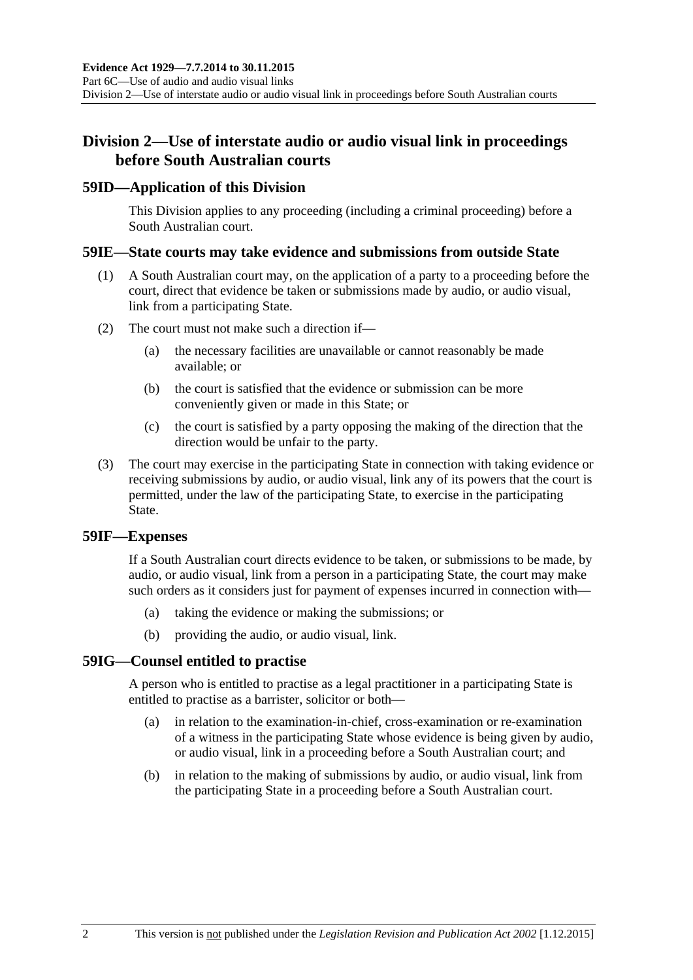# **Division 2—Use of interstate audio or audio visual link in proceedings before South Australian courts**

### **59ID—Application of this Division**

This Division applies to any proceeding (including a criminal proceeding) before a South Australian court.

### **59IE—State courts may take evidence and submissions from outside State**

- (1) A South Australian court may, on the application of a party to a proceeding before the court, direct that evidence be taken or submissions made by audio, or audio visual, link from a participating State.
- (2) The court must not make such a direction if—
	- (a) the necessary facilities are unavailable or cannot reasonably be made available; or
	- (b) the court is satisfied that the evidence or submission can be more conveniently given or made in this State; or
	- (c) the court is satisfied by a party opposing the making of the direction that the direction would be unfair to the party.
- (3) The court may exercise in the participating State in connection with taking evidence or receiving submissions by audio, or audio visual, link any of its powers that the court is permitted, under the law of the participating State, to exercise in the participating State.

#### **59IF—Expenses**

If a South Australian court directs evidence to be taken, or submissions to be made, by audio, or audio visual, link from a person in a participating State, the court may make such orders as it considers just for payment of expenses incurred in connection with—

- (a) taking the evidence or making the submissions; or
- (b) providing the audio, or audio visual, link.

# **59IG—Counsel entitled to practise**

A person who is entitled to practise as a legal practitioner in a participating State is entitled to practise as a barrister, solicitor or both—

- (a) in relation to the examination-in-chief, cross-examination or re-examination of a witness in the participating State whose evidence is being given by audio, or audio visual, link in a proceeding before a South Australian court; and
- (b) in relation to the making of submissions by audio, or audio visual, link from the participating State in a proceeding before a South Australian court.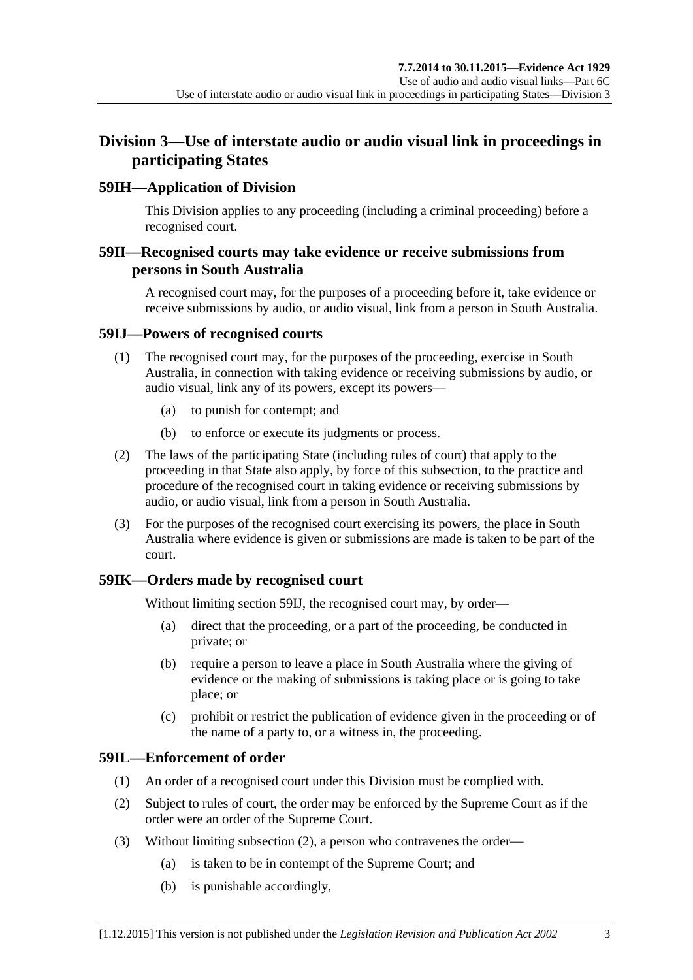# **Division 3—Use of interstate audio or audio visual link in proceedings in participating States**

# **59IH—Application of Division**

This Division applies to any proceeding (including a criminal proceeding) before a recognised court.

# **59II—Recognised courts may take evidence or receive submissions from persons in South Australia**

A recognised court may, for the purposes of a proceeding before it, take evidence or receive submissions by audio, or audio visual, link from a person in South Australia.

# <span id="page-62-0"></span>**59IJ—Powers of recognised courts**

- (1) The recognised court may, for the purposes of the proceeding, exercise in South Australia, in connection with taking evidence or receiving submissions by audio, or audio visual, link any of its powers, except its powers—
	- (a) to punish for contempt; and
	- (b) to enforce or execute its judgments or process.
- (2) The laws of the participating State (including rules of court) that apply to the proceeding in that State also apply, by force of this subsection, to the practice and procedure of the recognised court in taking evidence or receiving submissions by audio, or audio visual, link from a person in South Australia.
- (3) For the purposes of the recognised court exercising its powers, the place in South Australia where evidence is given or submissions are made is taken to be part of the court.

# **59IK—Orders made by recognised court**

Without limiting [section](#page-62-0) 59IJ, the recognised court may, by order—

- (a) direct that the proceeding, or a part of the proceeding, be conducted in private; or
- (b) require a person to leave a place in South Australia where the giving of evidence or the making of submissions is taking place or is going to take place; or
- (c) prohibit or restrict the publication of evidence given in the proceeding or of the name of a party to, or a witness in, the proceeding.

# **59IL—Enforcement of order**

- (1) An order of a recognised court under this Division must be complied with.
- <span id="page-62-1"></span>(2) Subject to rules of court, the order may be enforced by the Supreme Court as if the order were an order of the Supreme Court.
- (3) Without limiting [subsection](#page-62-1) (2), a person who contravenes the order—
	- (a) is taken to be in contempt of the Supreme Court; and
	- (b) is punishable accordingly,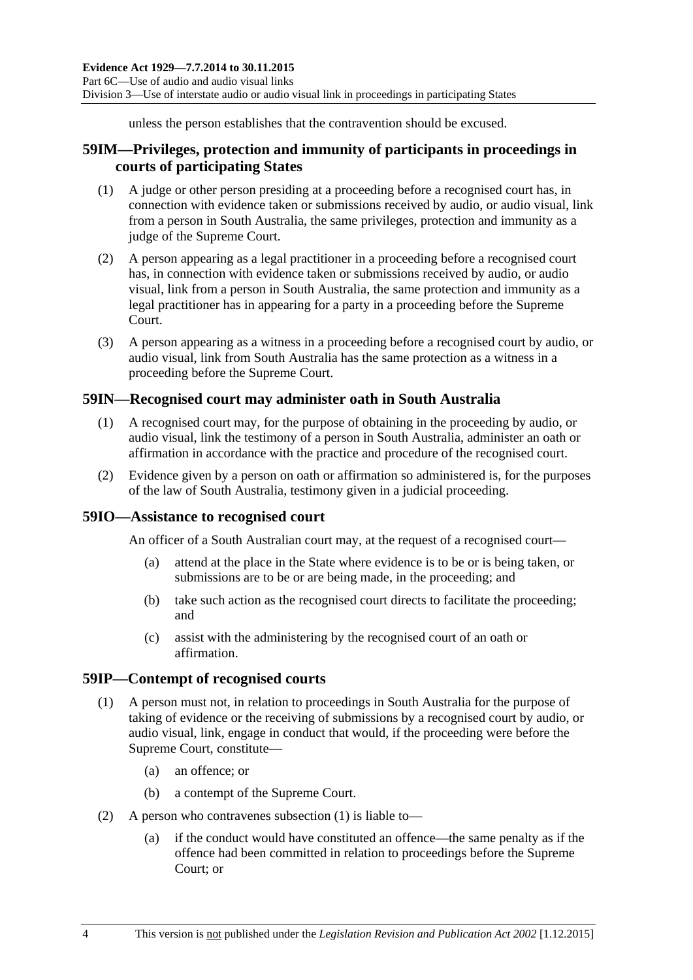unless the person establishes that the contravention should be excused.

# **59IM—Privileges, protection and immunity of participants in proceedings in courts of participating States**

- (1) A judge or other person presiding at a proceeding before a recognised court has, in connection with evidence taken or submissions received by audio, or audio visual, link from a person in South Australia, the same privileges, protection and immunity as a judge of the Supreme Court.
- (2) A person appearing as a legal practitioner in a proceeding before a recognised court has, in connection with evidence taken or submissions received by audio, or audio visual, link from a person in South Australia, the same protection and immunity as a legal practitioner has in appearing for a party in a proceeding before the Supreme Court.
- (3) A person appearing as a witness in a proceeding before a recognised court by audio, or audio visual, link from South Australia has the same protection as a witness in a proceeding before the Supreme Court.

# **59IN—Recognised court may administer oath in South Australia**

- (1) A recognised court may, for the purpose of obtaining in the proceeding by audio, or audio visual, link the testimony of a person in South Australia, administer an oath or affirmation in accordance with the practice and procedure of the recognised court.
- (2) Evidence given by a person on oath or affirmation so administered is, for the purposes of the law of South Australia, testimony given in a judicial proceeding.

# **59IO—Assistance to recognised court**

An officer of a South Australian court may, at the request of a recognised court—

- (a) attend at the place in the State where evidence is to be or is being taken, or submissions are to be or are being made, in the proceeding; and
- (b) take such action as the recognised court directs to facilitate the proceeding; and
- (c) assist with the administering by the recognised court of an oath or affirmation.

#### <span id="page-63-0"></span>**59IP—Contempt of recognised courts**

- (1) A person must not, in relation to proceedings in South Australia for the purpose of taking of evidence or the receiving of submissions by a recognised court by audio, or audio visual, link, engage in conduct that would, if the proceeding were before the Supreme Court, constitute—
	- (a) an offence; or
	- (b) a contempt of the Supreme Court.
- (2) A person who contravenes [subsection](#page-63-0) (1) is liable to—
	- (a) if the conduct would have constituted an offence—the same penalty as if the offence had been committed in relation to proceedings before the Supreme Court; or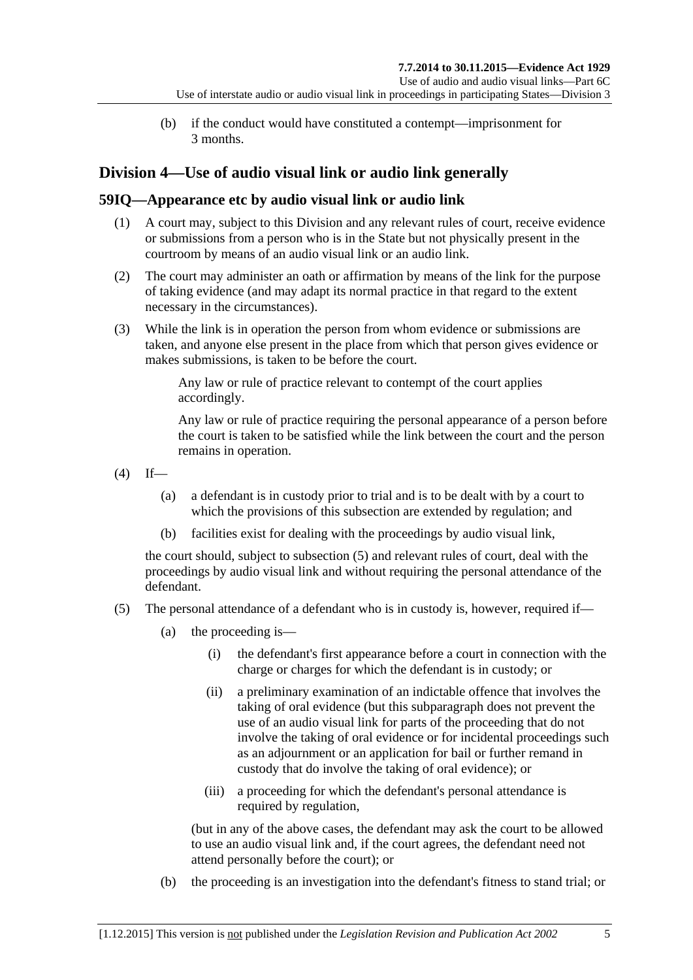(b) if the conduct would have constituted a contempt—imprisonment for 3 months.

# **Division 4—Use of audio visual link or audio link generally**

# **59IQ—Appearance etc by audio visual link or audio link**

- (1) A court may, subject to this Division and any relevant rules of court, receive evidence or submissions from a person who is in the State but not physically present in the courtroom by means of an audio visual link or an audio link.
- (2) The court may administer an oath or affirmation by means of the link for the purpose of taking evidence (and may adapt its normal practice in that regard to the extent necessary in the circumstances).
- (3) While the link is in operation the person from whom evidence or submissions are taken, and anyone else present in the place from which that person gives evidence or makes submissions, is taken to be before the court.

Any law or rule of practice relevant to contempt of the court applies accordingly.

Any law or rule of practice requiring the personal appearance of a person before the court is taken to be satisfied while the link between the court and the person remains in operation.

- <span id="page-64-1"></span> $(4)$  If—
	- (a) a defendant is in custody prior to trial and is to be dealt with by a court to which the provisions of this subsection are extended by regulation; and
	- (b) facilities exist for dealing with the proceedings by audio visual link,

the court should, subject to [subsection](#page-64-0) (5) and relevant rules of court, deal with the proceedings by audio visual link and without requiring the personal attendance of the defendant.

- <span id="page-64-0"></span>(5) The personal attendance of a defendant who is in custody is, however, required if—
	- (a) the proceeding is—
		- (i) the defendant's first appearance before a court in connection with the charge or charges for which the defendant is in custody; or
		- (ii) a preliminary examination of an indictable offence that involves the taking of oral evidence (but this subparagraph does not prevent the use of an audio visual link for parts of the proceeding that do not involve the taking of oral evidence or for incidental proceedings such as an adjournment or an application for bail or further remand in custody that do involve the taking of oral evidence); or
		- (iii) a proceeding for which the defendant's personal attendance is required by regulation,

(but in any of the above cases, the defendant may ask the court to be allowed to use an audio visual link and, if the court agrees, the defendant need not attend personally before the court); or

(b) the proceeding is an investigation into the defendant's fitness to stand trial; or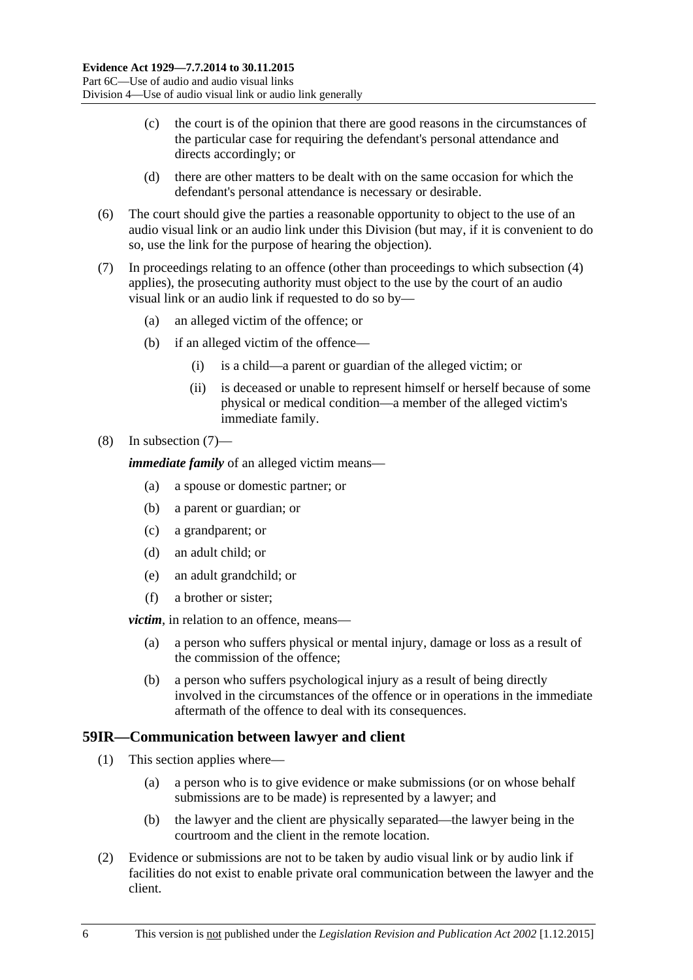- (c) the court is of the opinion that there are good reasons in the circumstances of the particular case for requiring the defendant's personal attendance and directs accordingly; or
- (d) there are other matters to be dealt with on the same occasion for which the defendant's personal attendance is necessary or desirable.
- (6) The court should give the parties a reasonable opportunity to object to the use of an audio visual link or an audio link under this Division (but may, if it is convenient to do so, use the link for the purpose of hearing the objection).
- <span id="page-65-0"></span>(7) In proceedings relating to an offence (other than proceedings to which [subsection](#page-64-1) (4) applies), the prosecuting authority must object to the use by the court of an audio visual link or an audio link if requested to do so by—
	- (a) an alleged victim of the offence; or
	- (b) if an alleged victim of the offence—
		- (i) is a child—a parent or guardian of the alleged victim; or
		- (ii) is deceased or unable to represent himself or herself because of some physical or medical condition—a member of the alleged victim's immediate family.

#### (8) In [subsection](#page-65-0) (7)—

*immediate family* of an alleged victim means—

- (a) a spouse or domestic partner; or
- (b) a parent or guardian; or
- (c) a grandparent; or
- (d) an adult child; or
- (e) an adult grandchild; or
- (f) a brother or sister;

*victim*, in relation to an offence, means—

- (a) a person who suffers physical or mental injury, damage or loss as a result of the commission of the offence;
- (b) a person who suffers psychological injury as a result of being directly involved in the circumstances of the offence or in operations in the immediate aftermath of the offence to deal with its consequences.

### **59IR—Communication between lawyer and client**

- (1) This section applies where—
	- (a) a person who is to give evidence or make submissions (or on whose behalf submissions are to be made) is represented by a lawyer; and
	- (b) the lawyer and the client are physically separated—the lawyer being in the courtroom and the client in the remote location.
- (2) Evidence or submissions are not to be taken by audio visual link or by audio link if facilities do not exist to enable private oral communication between the lawyer and the client.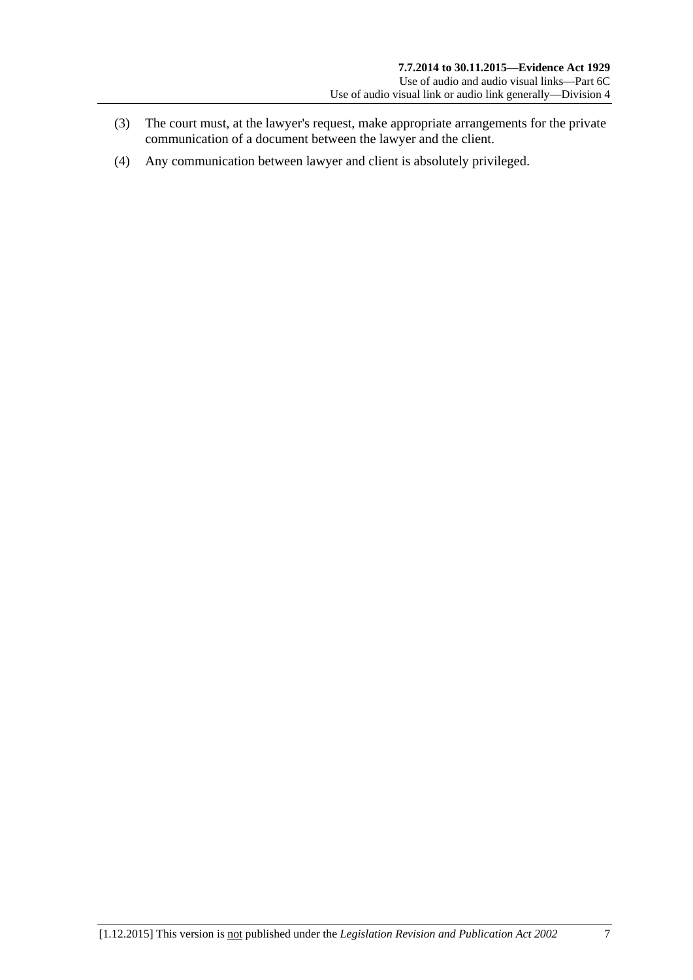- (3) The court must, at the lawyer's request, make appropriate arrangements for the private communication of a document between the lawyer and the client.
- (4) Any communication between lawyer and client is absolutely privileged.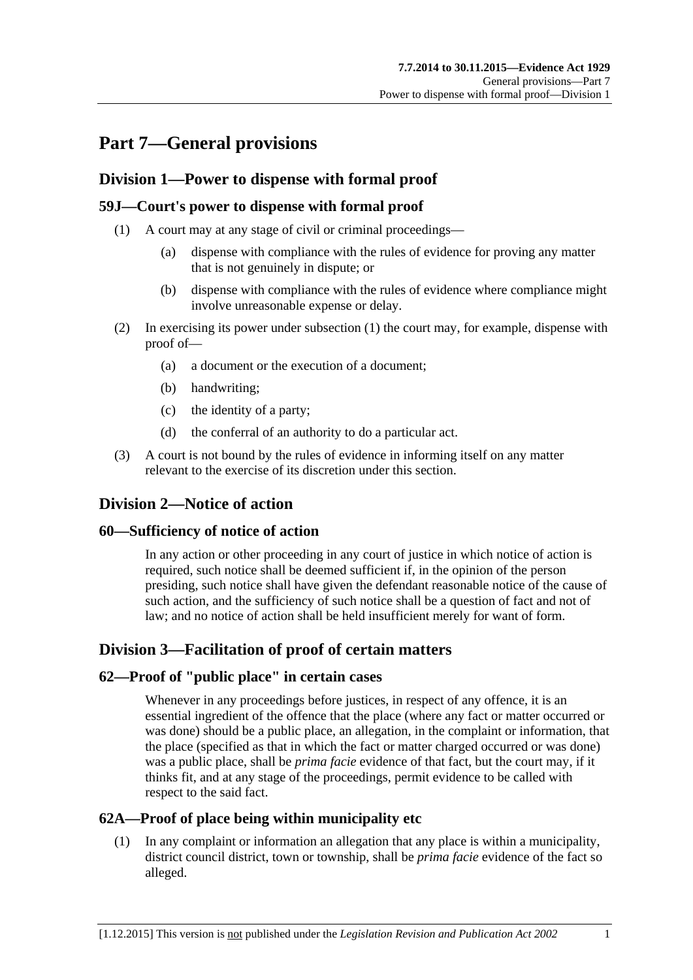# **Part 7—General provisions**

# **Division 1—Power to dispense with formal proof**

# <span id="page-68-0"></span>**59J—Court's power to dispense with formal proof**

- (1) A court may at any stage of civil or criminal proceedings—
	- (a) dispense with compliance with the rules of evidence for proving any matter that is not genuinely in dispute; or
	- (b) dispense with compliance with the rules of evidence where compliance might involve unreasonable expense or delay.
- (2) In exercising its power under [subsection](#page-68-0) (1) the court may, for example, dispense with proof of—
	- (a) a document or the execution of a document;
	- (b) handwriting;
	- (c) the identity of a party;
	- (d) the conferral of an authority to do a particular act.
- (3) A court is not bound by the rules of evidence in informing itself on any matter relevant to the exercise of its discretion under this section.

# **Division 2—Notice of action**

# **60—Sufficiency of notice of action**

In any action or other proceeding in any court of justice in which notice of action is required, such notice shall be deemed sufficient if, in the opinion of the person presiding, such notice shall have given the defendant reasonable notice of the cause of such action, and the sufficiency of such notice shall be a question of fact and not of law; and no notice of action shall be held insufficient merely for want of form.

# **Division 3—Facilitation of proof of certain matters**

# **62—Proof of "public place" in certain cases**

Whenever in any proceedings before justices, in respect of any offence, it is an essential ingredient of the offence that the place (where any fact or matter occurred or was done) should be a public place, an allegation, in the complaint or information, that the place (specified as that in which the fact or matter charged occurred or was done) was a public place, shall be *prima facie* evidence of that fact, but the court may, if it thinks fit, and at any stage of the proceedings, permit evidence to be called with respect to the said fact.

# **62A—Proof of place being within municipality etc**

(1) In any complaint or information an allegation that any place is within a municipality, district council district, town or township, shall be *prima facie* evidence of the fact so alleged.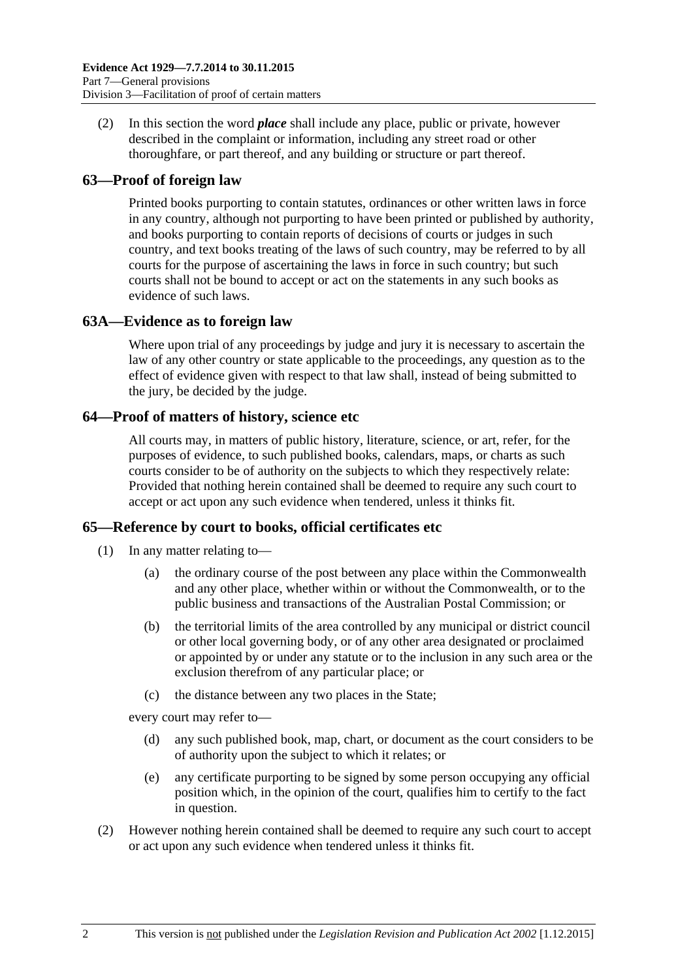(2) In this section the word *place* shall include any place, public or private, however described in the complaint or information, including any street road or other thoroughfare, or part thereof, and any building or structure or part thereof.

# **63—Proof of foreign law**

Printed books purporting to contain statutes, ordinances or other written laws in force in any country, although not purporting to have been printed or published by authority, and books purporting to contain reports of decisions of courts or judges in such country, and text books treating of the laws of such country, may be referred to by all courts for the purpose of ascertaining the laws in force in such country; but such courts shall not be bound to accept or act on the statements in any such books as evidence of such laws.

# **63A—Evidence as to foreign law**

Where upon trial of any proceedings by judge and jury it is necessary to ascertain the law of any other country or state applicable to the proceedings, any question as to the effect of evidence given with respect to that law shall, instead of being submitted to the jury, be decided by the judge.

# **64—Proof of matters of history, science etc**

All courts may, in matters of public history, literature, science, or art, refer, for the purposes of evidence, to such published books, calendars, maps, or charts as such courts consider to be of authority on the subjects to which they respectively relate: Provided that nothing herein contained shall be deemed to require any such court to accept or act upon any such evidence when tendered, unless it thinks fit.

# **65—Reference by court to books, official certificates etc**

- (1) In any matter relating to—
	- (a) the ordinary course of the post between any place within the Commonwealth and any other place, whether within or without the Commonwealth, or to the public business and transactions of the Australian Postal Commission; or
	- (b) the territorial limits of the area controlled by any municipal or district council or other local governing body, or of any other area designated or proclaimed or appointed by or under any statute or to the inclusion in any such area or the exclusion therefrom of any particular place; or
	- (c) the distance between any two places in the State;

every court may refer to—

- (d) any such published book, map, chart, or document as the court considers to be of authority upon the subject to which it relates; or
- (e) any certificate purporting to be signed by some person occupying any official position which, in the opinion of the court, qualifies him to certify to the fact in question.
- (2) However nothing herein contained shall be deemed to require any such court to accept or act upon any such evidence when tendered unless it thinks fit.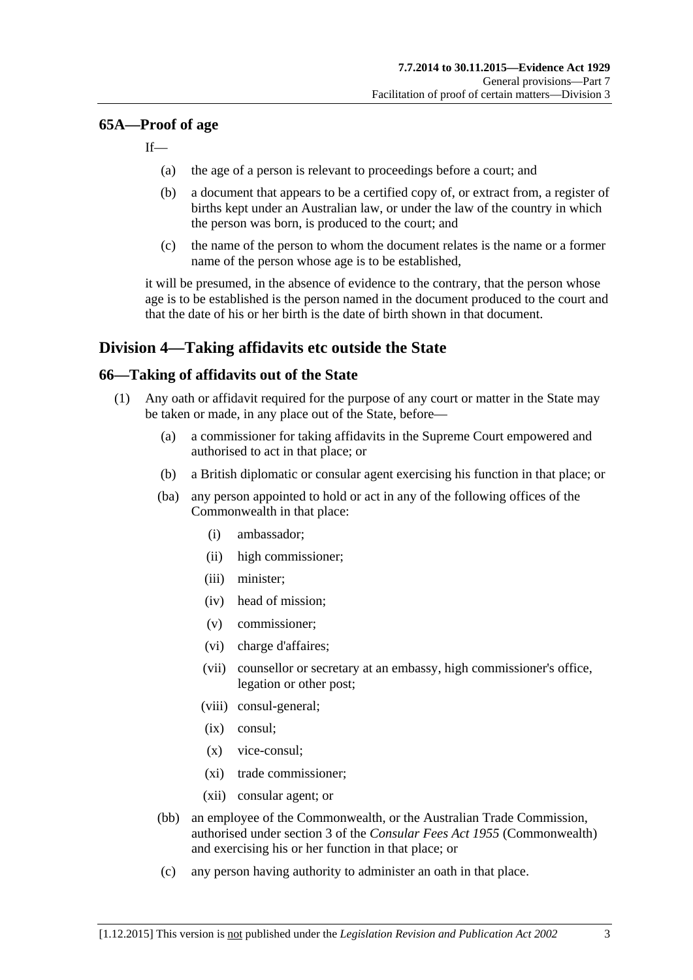### **65A—Proof of age**

If—

- (a) the age of a person is relevant to proceedings before a court; and
- (b) a document that appears to be a certified copy of, or extract from, a register of births kept under an Australian law, or under the law of the country in which the person was born, is produced to the court; and
- (c) the name of the person to whom the document relates is the name or a former name of the person whose age is to be established,

it will be presumed, in the absence of evidence to the contrary, that the person whose age is to be established is the person named in the document produced to the court and that the date of his or her birth is the date of birth shown in that document.

# **Division 4—Taking affidavits etc outside the State**

# <span id="page-70-3"></span>**66—Taking of affidavits out of the State**

- <span id="page-70-2"></span><span id="page-70-1"></span><span id="page-70-0"></span>(1) Any oath or affidavit required for the purpose of any court or matter in the State may be taken or made, in any place out of the State, before—
	- (a) a commissioner for taking affidavits in the Supreme Court empowered and authorised to act in that place; or
	- (b) a British diplomatic or consular agent exercising his function in that place; or
	- (ba) any person appointed to hold or act in any of the following offices of the Commonwealth in that place:
		- (i) ambassador;
		- (ii) high commissioner;
		- (iii) minister;
		- (iv) head of mission;
		- (v) commissioner;
		- (vi) charge d'affaires;
		- (vii) counsellor or secretary at an embassy, high commissioner's office, legation or other post;
		- (viii) consul-general;
		- (ix) consul;
		- (x) vice-consul;
		- (xi) trade commissioner;
		- (xii) consular agent; or
	- (bb) an employee of the Commonwealth, or the Australian Trade Commission, authorised under section 3 of the *Consular Fees Act 1955* (Commonwealth) and exercising his or her function in that place; or
	- (c) any person having authority to administer an oath in that place.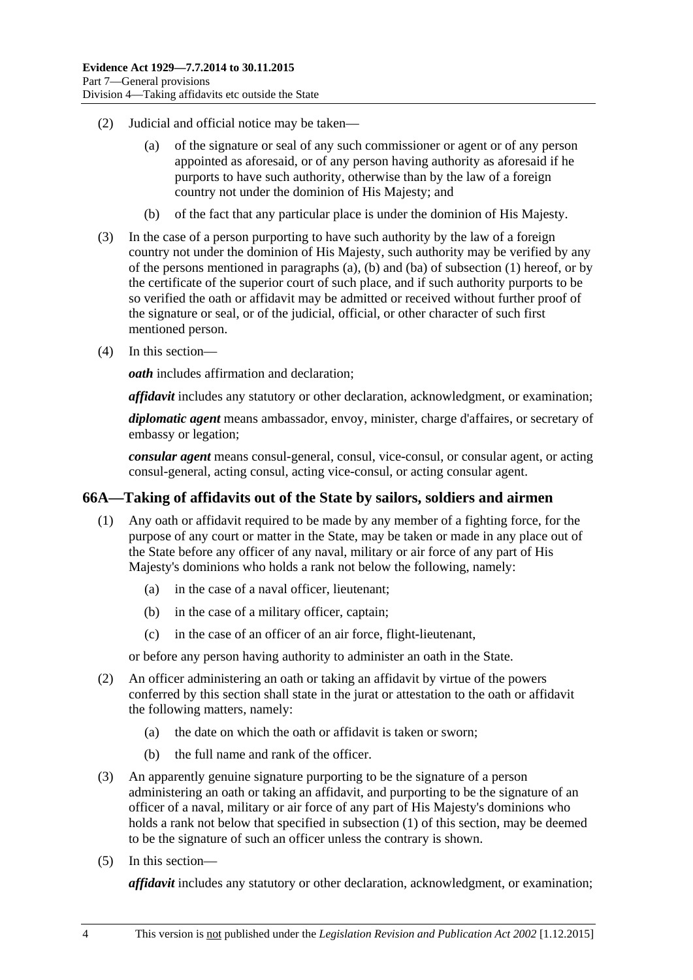- (2) Judicial and official notice may be taken—
	- (a) of the signature or seal of any such commissioner or agent or of any person appointed as aforesaid, or of any person having authority as aforesaid if he purports to have such authority, otherwise than by the law of a foreign country not under the dominion of His Majesty; and
	- (b) of the fact that any particular place is under the dominion of His Majesty.
- (3) In the case of a person purporting to have such authority by the law of a foreign country not under the dominion of His Majesty, such authority may be verified by any of the persons mentioned in [paragraphs](#page-70-0) (a), [\(b\)](#page-70-1) and [\(ba\)](#page-70-2) of [subsection](#page-70-3) (1) hereof, or by the certificate of the superior court of such place, and if such authority purports to be so verified the oath or affidavit may be admitted or received without further proof of the signature or seal, or of the judicial, official, or other character of such first mentioned person.
- (4) In this section—

*oath* includes affirmation and declaration;

*affidavit* includes any statutory or other declaration, acknowledgment, or examination;

*diplomatic agent* means ambassador, envoy, minister, charge d'affaires, or secretary of embassy or legation;

*consular agent* means consul-general, consul, vice-consul, or consular agent, or acting consul-general, acting consul, acting vice-consul, or acting consular agent.

### <span id="page-71-0"></span>**66A—Taking of affidavits out of the State by sailors, soldiers and airmen**

- (1) Any oath or affidavit required to be made by any member of a fighting force, for the purpose of any court or matter in the State, may be taken or made in any place out of the State before any officer of any naval, military or air force of any part of His Majesty's dominions who holds a rank not below the following, namely:
	- (a) in the case of a naval officer, lieutenant;
	- (b) in the case of a military officer, captain;
	- (c) in the case of an officer of an air force, flight-lieutenant,

or before any person having authority to administer an oath in the State.

- (2) An officer administering an oath or taking an affidavit by virtue of the powers conferred by this section shall state in the jurat or attestation to the oath or affidavit the following matters, namely:
	- (a) the date on which the oath or affidavit is taken or sworn;
	- (b) the full name and rank of the officer.
- (3) An apparently genuine signature purporting to be the signature of a person administering an oath or taking an affidavit, and purporting to be the signature of an officer of a naval, military or air force of any part of His Majesty's dominions who holds a rank not below that specified in [subsection](#page-71-0) (1) of this section, may be deemed to be the signature of such an officer unless the contrary is shown.
- (5) In this section—

*affidavit* includes any statutory or other declaration, acknowledgment, or examination;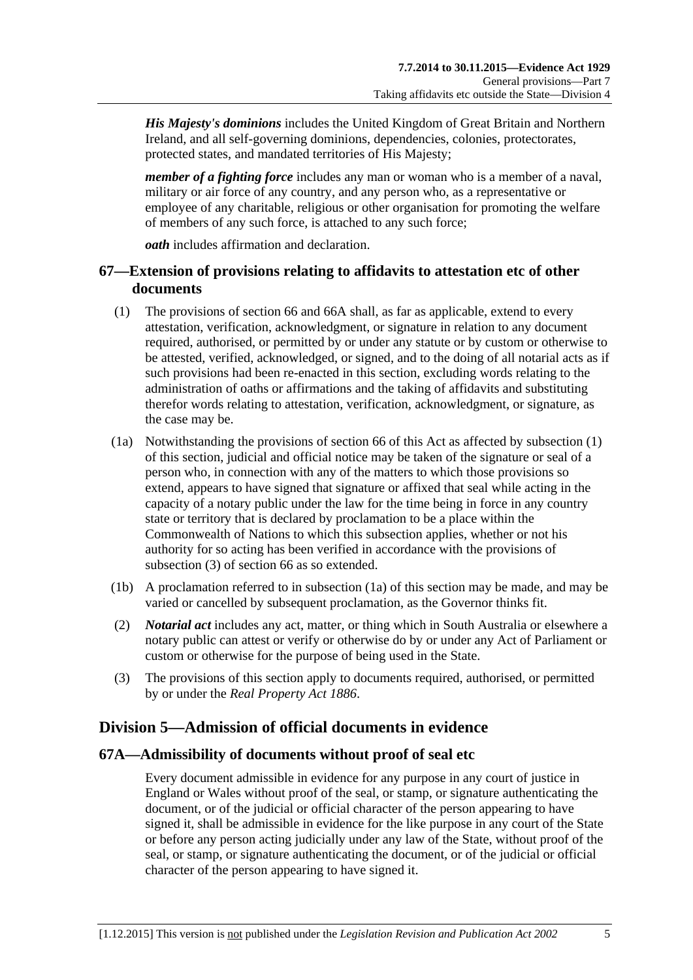*His Majesty's dominions* includes the United Kingdom of Great Britain and Northern Ireland, and all self-governing dominions, dependencies, colonies, protectorates, protected states, and mandated territories of His Majesty;

*member of a fighting force* includes any man or woman who is a member of a naval, military or air force of any country, and any person who, as a representative or employee of any charitable, religious or other organisation for promoting the welfare of members of any such force, is attached to any such force;

*oath* includes affirmation and declaration.

## **67—Extension of provisions relating to affidavits to attestation etc of other documents**

- <span id="page-72-0"></span>(1) The provisions of [section](#page-70-0) 66 and [66A](#page-71-0) shall, as far as applicable, extend to every attestation, verification, acknowledgment, or signature in relation to any document required, authorised, or permitted by or under any statute or by custom or otherwise to be attested, verified, acknowledged, or signed, and to the doing of all notarial acts as if such provisions had been re-enacted in this section, excluding words relating to the administration of oaths or affirmations and the taking of affidavits and substituting therefor words relating to attestation, verification, acknowledgment, or signature, as the case may be.
- <span id="page-72-2"></span>(1a) Notwithstanding the provisions of [section](#page-70-0) 66 of this Act as affected by [subsection](#page-72-0) (1) of this section, judicial and official notice may be taken of the signature or seal of a person who, in connection with any of the matters to which those provisions so extend, appears to have signed that signature or affixed that seal while acting in the capacity of a notary public under the law for the time being in force in any country state or territory that is declared by proclamation to be a place within the Commonwealth of Nations to which this subsection applies, whether or not his authority for so acting has been verified in accordance with the provisions of [subsection](#page-72-1) (3) of [section](#page-70-0) 66 as so extended.
- (1b) A proclamation referred to in [subsection](#page-72-2) (1a) of this section may be made, and may be varied or cancelled by subsequent proclamation, as the Governor thinks fit.
- (2) *Notarial act* includes any act, matter, or thing which in South Australia or elsewhere a notary public can attest or verify or otherwise do by or under any Act of Parliament or custom or otherwise for the purpose of being used in the State.
- <span id="page-72-1"></span>(3) The provisions of this section apply to documents required, authorised, or permitted by or under the *[Real Property Act](http://www.legislation.sa.gov.au/index.aspx?action=legref&type=act&legtitle=Real%20Property%20Act%201886) 1886*.

# **Division 5—Admission of official documents in evidence**

## **67A—Admissibility of documents without proof of seal etc**

Every document admissible in evidence for any purpose in any court of justice in England or Wales without proof of the seal, or stamp, or signature authenticating the document, or of the judicial or official character of the person appearing to have signed it, shall be admissible in evidence for the like purpose in any court of the State or before any person acting judicially under any law of the State, without proof of the seal, or stamp, or signature authenticating the document, or of the judicial or official character of the person appearing to have signed it.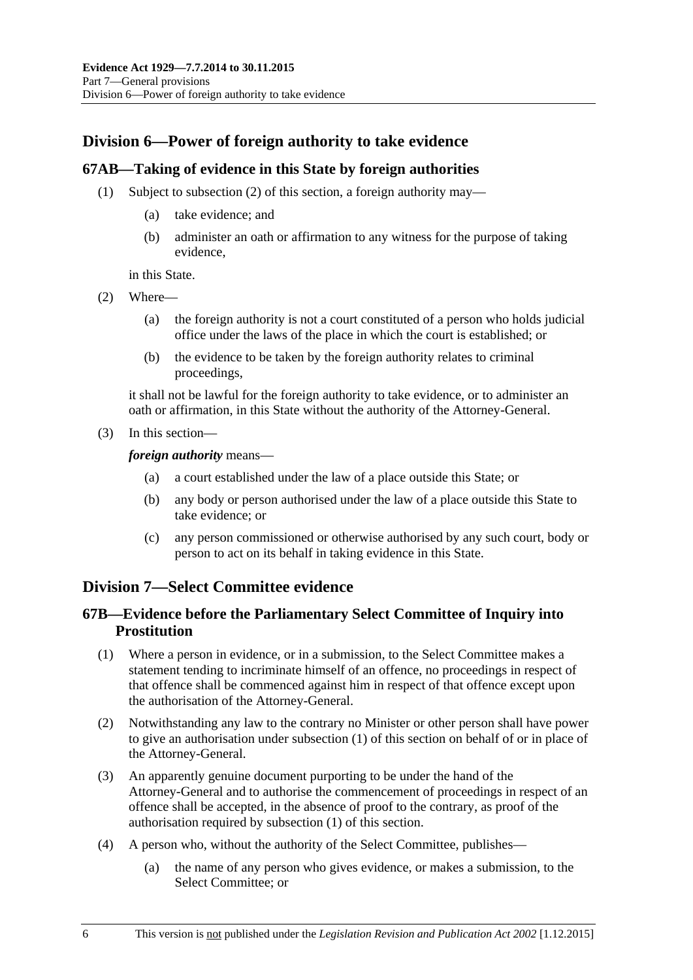# **Division 6—Power of foreign authority to take evidence**

## **67AB—Taking of evidence in this State by foreign authorities**

- (1) Subject to [subsection](#page-73-0) (2) of this section, a foreign authority may—
	- (a) take evidence; and
	- (b) administer an oath or affirmation to any witness for the purpose of taking evidence,

in this State.

- <span id="page-73-0"></span>(2) Where—
	- (a) the foreign authority is not a court constituted of a person who holds judicial office under the laws of the place in which the court is established; or
	- (b) the evidence to be taken by the foreign authority relates to criminal proceedings,

it shall not be lawful for the foreign authority to take evidence, or to administer an oath or affirmation, in this State without the authority of the Attorney-General.

(3) In this section—

*foreign authority* means—

- (a) a court established under the law of a place outside this State; or
- (b) any body or person authorised under the law of a place outside this State to take evidence; or
- (c) any person commissioned or otherwise authorised by any such court, body or person to act on its behalf in taking evidence in this State.

## **Division 7—Select Committee evidence**

## **67B—Evidence before the Parliamentary Select Committee of Inquiry into Prostitution**

- <span id="page-73-1"></span>(1) Where a person in evidence, or in a submission, to the Select Committee makes a statement tending to incriminate himself of an offence, no proceedings in respect of that offence shall be commenced against him in respect of that offence except upon the authorisation of the Attorney-General.
- (2) Notwithstanding any law to the contrary no Minister or other person shall have power to give an authorisation under [subsection](#page-73-1) (1) of this section on behalf of or in place of the Attorney-General.
- (3) An apparently genuine document purporting to be under the hand of the Attorney-General and to authorise the commencement of proceedings in respect of an offence shall be accepted, in the absence of proof to the contrary, as proof of the authorisation required by [subsection](#page-73-1) (1) of this section.
- (4) A person who, without the authority of the Select Committee, publishes—
	- (a) the name of any person who gives evidence, or makes a submission, to the Select Committee; or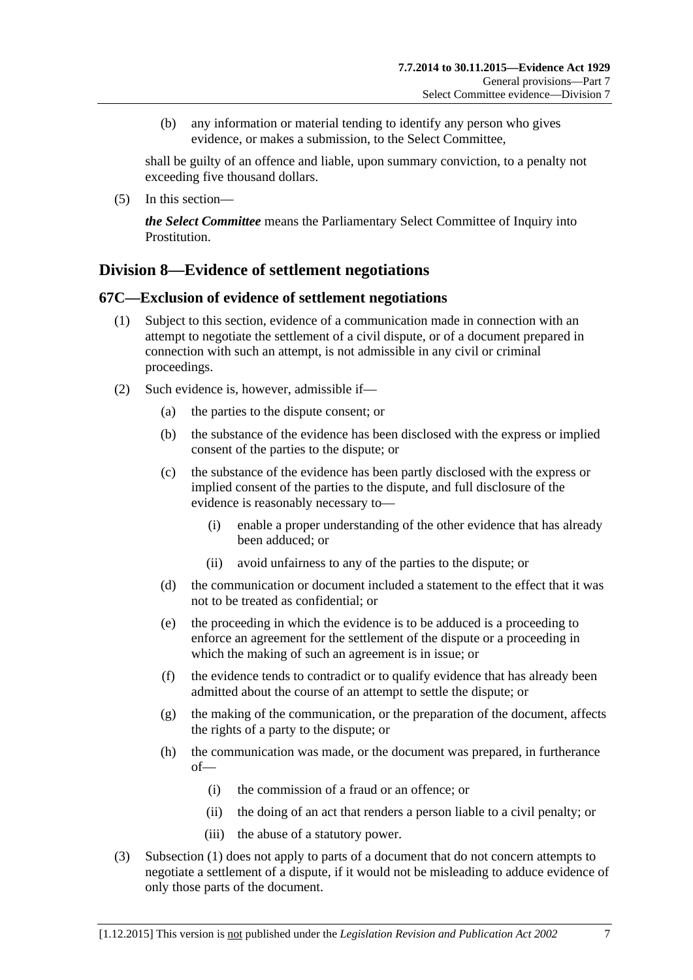(b) any information or material tending to identify any person who gives evidence, or makes a submission, to the Select Committee,

shall be guilty of an offence and liable, upon summary conviction, to a penalty not exceeding five thousand dollars.

(5) In this section—

*the Select Committee* means the Parliamentary Select Committee of Inquiry into Prostitution.

# **Division 8—Evidence of settlement negotiations**

## <span id="page-74-0"></span>**67C—Exclusion of evidence of settlement negotiations**

- (1) Subject to this section, evidence of a communication made in connection with an attempt to negotiate the settlement of a civil dispute, or of a document prepared in connection with such an attempt, is not admissible in any civil or criminal proceedings.
- (2) Such evidence is, however, admissible if—
	- (a) the parties to the dispute consent; or
	- (b) the substance of the evidence has been disclosed with the express or implied consent of the parties to the dispute; or
	- (c) the substance of the evidence has been partly disclosed with the express or implied consent of the parties to the dispute, and full disclosure of the evidence is reasonably necessary to—
		- (i) enable a proper understanding of the other evidence that has already been adduced; or
		- (ii) avoid unfairness to any of the parties to the dispute; or
	- (d) the communication or document included a statement to the effect that it was not to be treated as confidential; or
	- (e) the proceeding in which the evidence is to be adduced is a proceeding to enforce an agreement for the settlement of the dispute or a proceeding in which the making of such an agreement is in issue; or
	- (f) the evidence tends to contradict or to qualify evidence that has already been admitted about the course of an attempt to settle the dispute; or
	- (g) the making of the communication, or the preparation of the document, affects the rights of a party to the dispute; or
	- (h) the communication was made, or the document was prepared, in furtherance of—
		- (i) the commission of a fraud or an offence; or
		- (ii) the doing of an act that renders a person liable to a civil penalty; or
		- (iii) the abuse of a statutory power.
- (3) [Subsection](#page-74-0) (1) does not apply to parts of a document that do not concern attempts to negotiate a settlement of a dispute, if it would not be misleading to adduce evidence of only those parts of the document.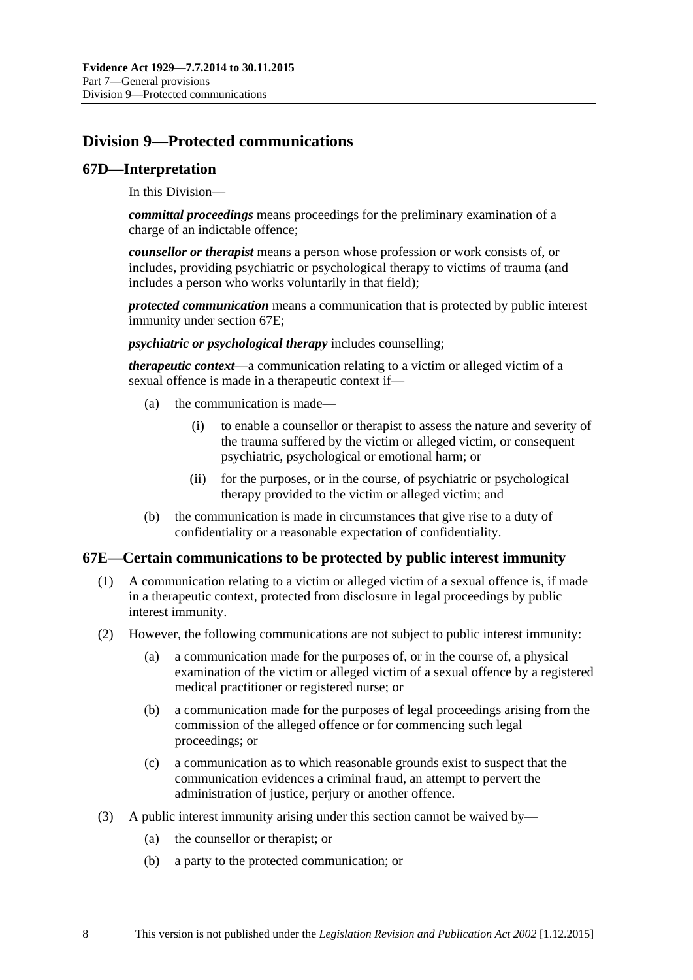# **Division 9—Protected communications**

## **67D—Interpretation**

In this Division—

*committal proceedings* means proceedings for the preliminary examination of a charge of an indictable offence;

*counsellor or therapist* means a person whose profession or work consists of, or includes, providing psychiatric or psychological therapy to victims of trauma (and includes a person who works voluntarily in that field);

*protected communication* means a communication that is protected by public interest immunity under [section](#page-75-0) 67E;

*psychiatric or psychological therapy* includes counselling;

*therapeutic context*—a communication relating to a victim or alleged victim of a sexual offence is made in a therapeutic context if—

- (a) the communication is made—
	- (i) to enable a counsellor or therapist to assess the nature and severity of the trauma suffered by the victim or alleged victim, or consequent psychiatric, psychological or emotional harm; or
	- (ii) for the purposes, or in the course, of psychiatric or psychological therapy provided to the victim or alleged victim; and
- (b) the communication is made in circumstances that give rise to a duty of confidentiality or a reasonable expectation of confidentiality.

## <span id="page-75-0"></span>**67E—Certain communications to be protected by public interest immunity**

- (1) A communication relating to a victim or alleged victim of a sexual offence is, if made in a therapeutic context, protected from disclosure in legal proceedings by public interest immunity.
- (2) However, the following communications are not subject to public interest immunity:
	- (a) a communication made for the purposes of, or in the course of, a physical examination of the victim or alleged victim of a sexual offence by a registered medical practitioner or registered nurse; or
	- (b) a communication made for the purposes of legal proceedings arising from the commission of the alleged offence or for commencing such legal proceedings; or
	- (c) a communication as to which reasonable grounds exist to suspect that the communication evidences a criminal fraud, an attempt to pervert the administration of justice, perjury or another offence.
- (3) A public interest immunity arising under this section cannot be waived by—
	- (a) the counsellor or therapist; or
	- (b) a party to the protected communication; or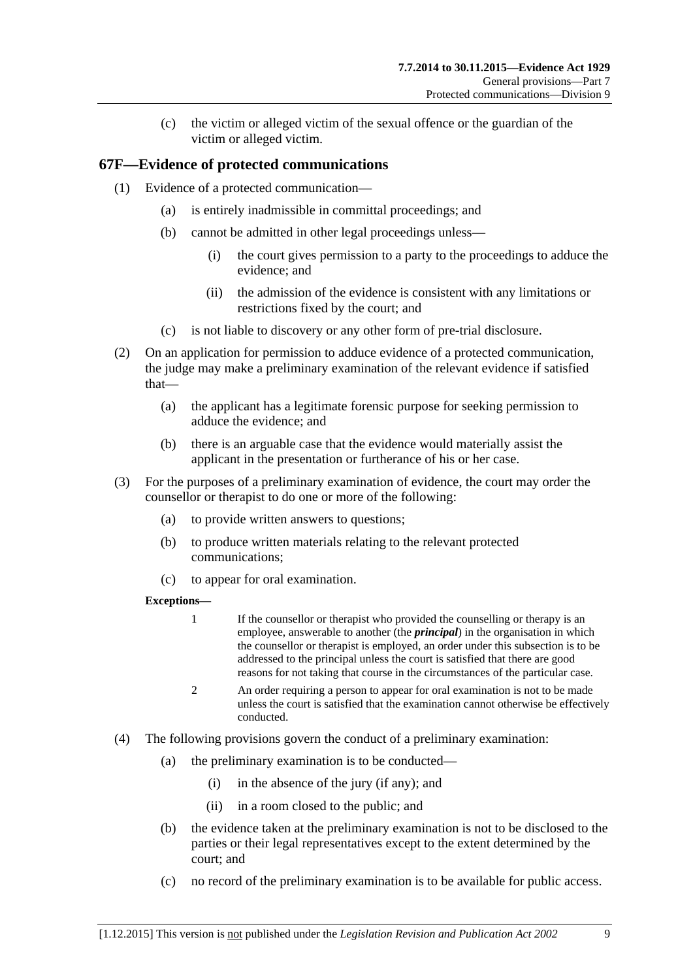(c) the victim or alleged victim of the sexual offence or the guardian of the victim or alleged victim.

## **67F—Evidence of protected communications**

- (1) Evidence of a protected communication—
	- (a) is entirely inadmissible in committal proceedings; and
	- (b) cannot be admitted in other legal proceedings unless—
		- (i) the court gives permission to a party to the proceedings to adduce the evidence; and
		- (ii) the admission of the evidence is consistent with any limitations or restrictions fixed by the court; and
	- (c) is not liable to discovery or any other form of pre-trial disclosure.
- (2) On an application for permission to adduce evidence of a protected communication, the judge may make a preliminary examination of the relevant evidence if satisfied that—
	- (a) the applicant has a legitimate forensic purpose for seeking permission to adduce the evidence; and
	- (b) there is an arguable case that the evidence would materially assist the applicant in the presentation or furtherance of his or her case.
- (3) For the purposes of a preliminary examination of evidence, the court may order the counsellor or therapist to do one or more of the following:
	- (a) to provide written answers to questions;
	- (b) to produce written materials relating to the relevant protected communications;
	- (c) to appear for oral examination.

#### **Exceptions—**

- 1 If the counsellor or therapist who provided the counselling or therapy is an employee, answerable to another (the *principal*) in the organisation in which the counsellor or therapist is employed, an order under this subsection is to be addressed to the principal unless the court is satisfied that there are good reasons for not taking that course in the circumstances of the particular case.
- 2 An order requiring a person to appear for oral examination is not to be made unless the court is satisfied that the examination cannot otherwise be effectively conducted.
- (4) The following provisions govern the conduct of a preliminary examination:
	- (a) the preliminary examination is to be conducted—
		- (i) in the absence of the jury (if any); and
		- (ii) in a room closed to the public; and
	- (b) the evidence taken at the preliminary examination is not to be disclosed to the parties or their legal representatives except to the extent determined by the court; and
	- (c) no record of the preliminary examination is to be available for public access.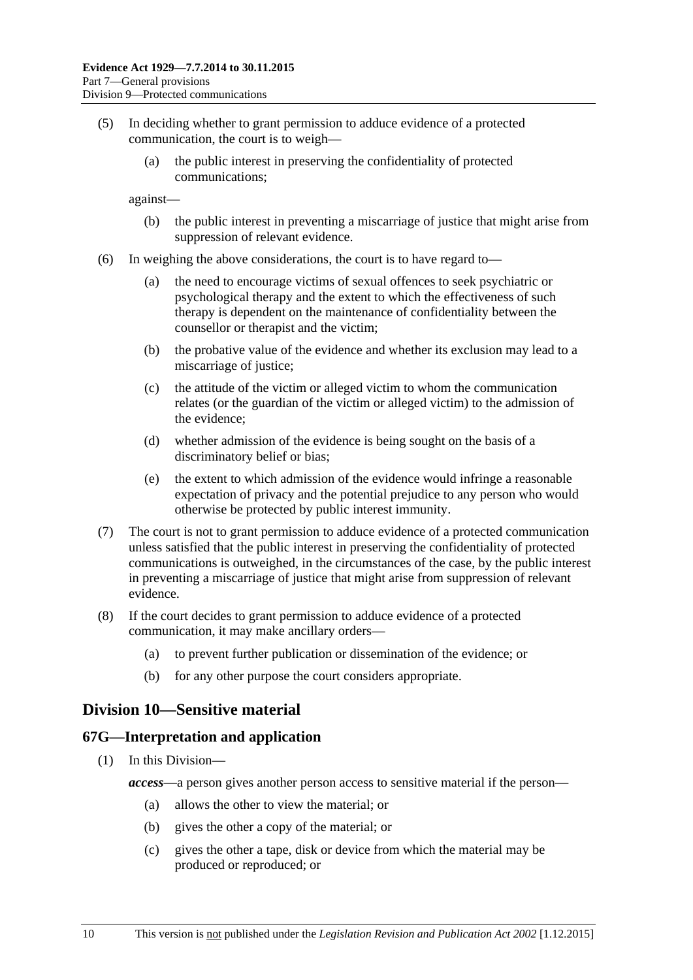- (5) In deciding whether to grant permission to adduce evidence of a protected communication, the court is to weigh—
	- (a) the public interest in preserving the confidentiality of protected communications;

against—

- (b) the public interest in preventing a miscarriage of justice that might arise from suppression of relevant evidence.
- (6) In weighing the above considerations, the court is to have regard to—
	- (a) the need to encourage victims of sexual offences to seek psychiatric or psychological therapy and the extent to which the effectiveness of such therapy is dependent on the maintenance of confidentiality between the counsellor or therapist and the victim;
	- (b) the probative value of the evidence and whether its exclusion may lead to a miscarriage of justice;
	- (c) the attitude of the victim or alleged victim to whom the communication relates (or the guardian of the victim or alleged victim) to the admission of the evidence;
	- (d) whether admission of the evidence is being sought on the basis of a discriminatory belief or bias;
	- (e) the extent to which admission of the evidence would infringe a reasonable expectation of privacy and the potential prejudice to any person who would otherwise be protected by public interest immunity.
- (7) The court is not to grant permission to adduce evidence of a protected communication unless satisfied that the public interest in preserving the confidentiality of protected communications is outweighed, in the circumstances of the case, by the public interest in preventing a miscarriage of justice that might arise from suppression of relevant evidence.
- (8) If the court decides to grant permission to adduce evidence of a protected communication, it may make ancillary orders—
	- (a) to prevent further publication or dissemination of the evidence; or
	- (b) for any other purpose the court considers appropriate.

## **Division 10—Sensitive material**

#### **67G—Interpretation and application**

- (1) In this Division
	- *access*—a person gives another person access to sensitive material if the person—
		- (a) allows the other to view the material; or
		- (b) gives the other a copy of the material; or
		- (c) gives the other a tape, disk or device from which the material may be produced or reproduced; or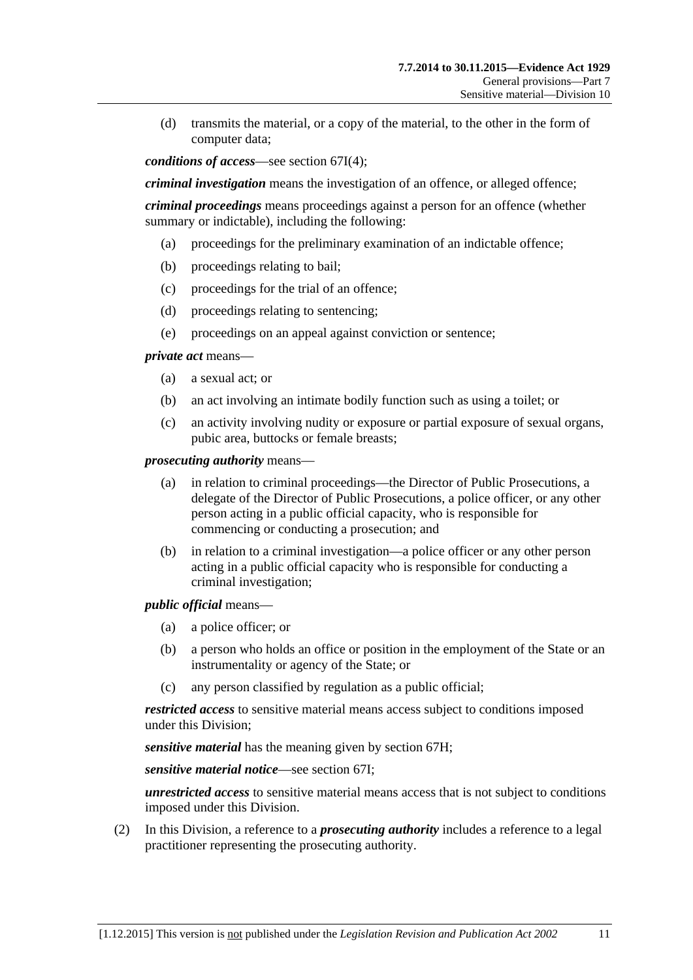(d) transmits the material, or a copy of the material, to the other in the form of computer data;

*conditions of access*—see [section](#page-79-0) 67I(4);

*criminal investigation* means the investigation of an offence, or alleged offence;

*criminal proceedings* means proceedings against a person for an offence (whether summary or indictable), including the following:

- (a) proceedings for the preliminary examination of an indictable offence;
- (b) proceedings relating to bail;
- (c) proceedings for the trial of an offence;
- (d) proceedings relating to sentencing;
- (e) proceedings on an appeal against conviction or sentence;

*private act* means—

- (a) a sexual act; or
- (b) an act involving an intimate bodily function such as using a toilet; or
- (c) an activity involving nudity or exposure or partial exposure of sexual organs, pubic area, buttocks or female breasts;

*prosecuting authority* means—

- (a) in relation to criminal proceedings—the Director of Public Prosecutions, a delegate of the Director of Public Prosecutions, a police officer, or any other person acting in a public official capacity, who is responsible for commencing or conducting a prosecution; and
- (b) in relation to a criminal investigation—a police officer or any other person acting in a public official capacity who is responsible for conducting a criminal investigation;

*public official* means—

- (a) a police officer; or
- (b) a person who holds an office or position in the employment of the State or an instrumentality or agency of the State; or
- (c) any person classified by regulation as a public official;

*restricted access* to sensitive material means access subject to conditions imposed under this Division;

*sensitive material* has the meaning given by [section](#page-79-1) 67H;

*sensitive material notice*—see [section](#page-79-2) 67I;

*unrestricted access* to sensitive material means access that is not subject to conditions imposed under this Division.

(2) In this Division, a reference to a *prosecuting authority* includes a reference to a legal practitioner representing the prosecuting authority.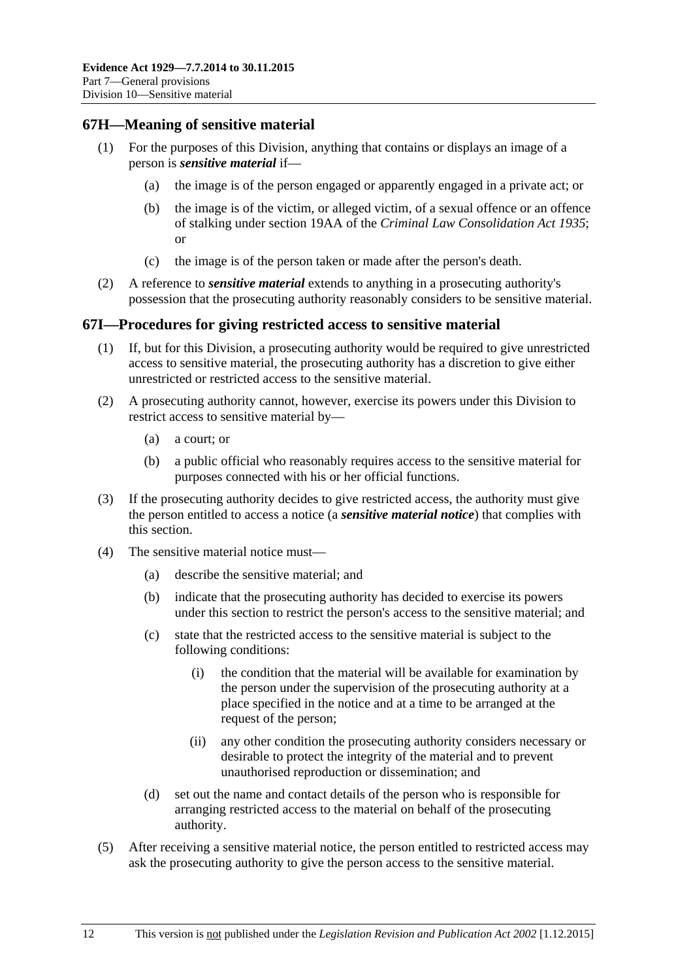## <span id="page-79-1"></span>**67H—Meaning of sensitive material**

- (1) For the purposes of this Division, anything that contains or displays an image of a person is *sensitive material* if—
	- (a) the image is of the person engaged or apparently engaged in a private act; or
	- (b) the image is of the victim, or alleged victim, of a sexual offence or an offence of stalking under section 19AA of the *[Criminal Law Consolidation Act](http://www.legislation.sa.gov.au/index.aspx?action=legref&type=act&legtitle=Criminal%20Law%20Consolidation%20Act%201935) 1935*; or
	- (c) the image is of the person taken or made after the person's death.
- (2) A reference to *sensitive material* extends to anything in a prosecuting authority's possession that the prosecuting authority reasonably considers to be sensitive material.

### <span id="page-79-2"></span>**67I—Procedures for giving restricted access to sensitive material**

- (1) If, but for this Division, a prosecuting authority would be required to give unrestricted access to sensitive material, the prosecuting authority has a discretion to give either unrestricted or restricted access to the sensitive material.
- (2) A prosecuting authority cannot, however, exercise its powers under this Division to restrict access to sensitive material by—
	- (a) a court; or
	- (b) a public official who reasonably requires access to the sensitive material for purposes connected with his or her official functions.
- (3) If the prosecuting authority decides to give restricted access, the authority must give the person entitled to access a notice (a *sensitive material notice*) that complies with this section.
- <span id="page-79-0"></span>(4) The sensitive material notice must—
	- (a) describe the sensitive material; and
	- (b) indicate that the prosecuting authority has decided to exercise its powers under this section to restrict the person's access to the sensitive material; and
	- (c) state that the restricted access to the sensitive material is subject to the following conditions:
		- (i) the condition that the material will be available for examination by the person under the supervision of the prosecuting authority at a place specified in the notice and at a time to be arranged at the request of the person;
		- (ii) any other condition the prosecuting authority considers necessary or desirable to protect the integrity of the material and to prevent unauthorised reproduction or dissemination; and
	- (d) set out the name and contact details of the person who is responsible for arranging restricted access to the material on behalf of the prosecuting authority.
- (5) After receiving a sensitive material notice, the person entitled to restricted access may ask the prosecuting authority to give the person access to the sensitive material.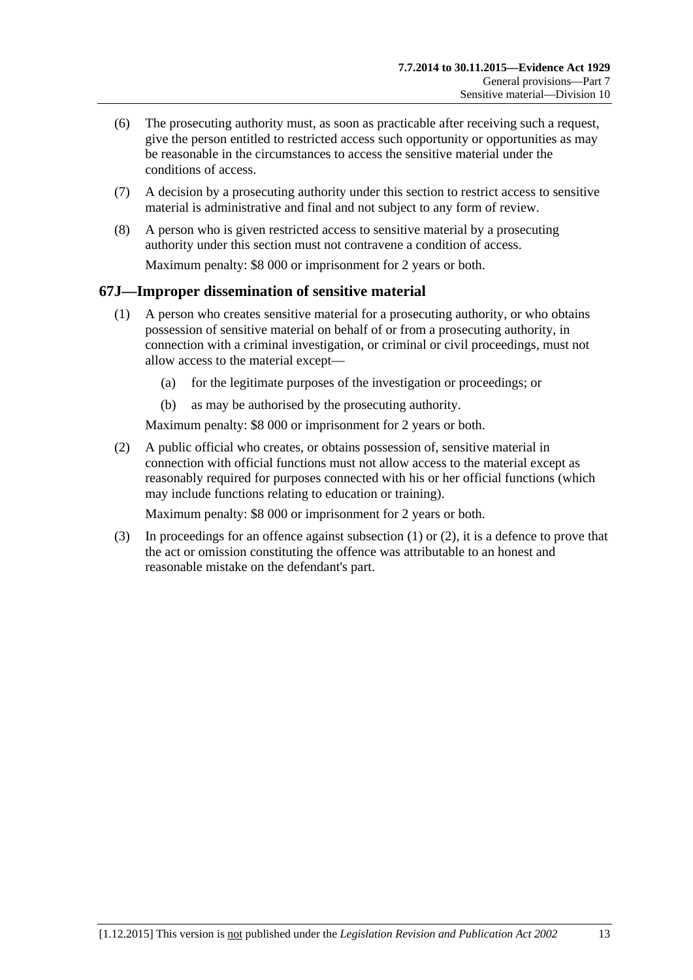- (6) The prosecuting authority must, as soon as practicable after receiving such a request, give the person entitled to restricted access such opportunity or opportunities as may be reasonable in the circumstances to access the sensitive material under the conditions of access.
- (7) A decision by a prosecuting authority under this section to restrict access to sensitive material is administrative and final and not subject to any form of review.
- (8) A person who is given restricted access to sensitive material by a prosecuting authority under this section must not contravene a condition of access. Maximum penalty: \$8 000 or imprisonment for 2 years or both.

## <span id="page-80-0"></span>**67J—Improper dissemination of sensitive material**

- (1) A person who creates sensitive material for a prosecuting authority, or who obtains possession of sensitive material on behalf of or from a prosecuting authority, in connection with a criminal investigation, or criminal or civil proceedings, must not allow access to the material except—
	- (a) for the legitimate purposes of the investigation or proceedings; or
	- (b) as may be authorised by the prosecuting authority.

Maximum penalty: \$8 000 or imprisonment for 2 years or both.

<span id="page-80-1"></span>(2) A public official who creates, or obtains possession of, sensitive material in connection with official functions must not allow access to the material except as reasonably required for purposes connected with his or her official functions (which may include functions relating to education or training).

Maximum penalty: \$8 000 or imprisonment for 2 years or both.

(3) In proceedings for an offence against [subsection](#page-80-0) (1) or [\(2\),](#page-80-1) it is a defence to prove that the act or omission constituting the offence was attributable to an honest and reasonable mistake on the defendant's part.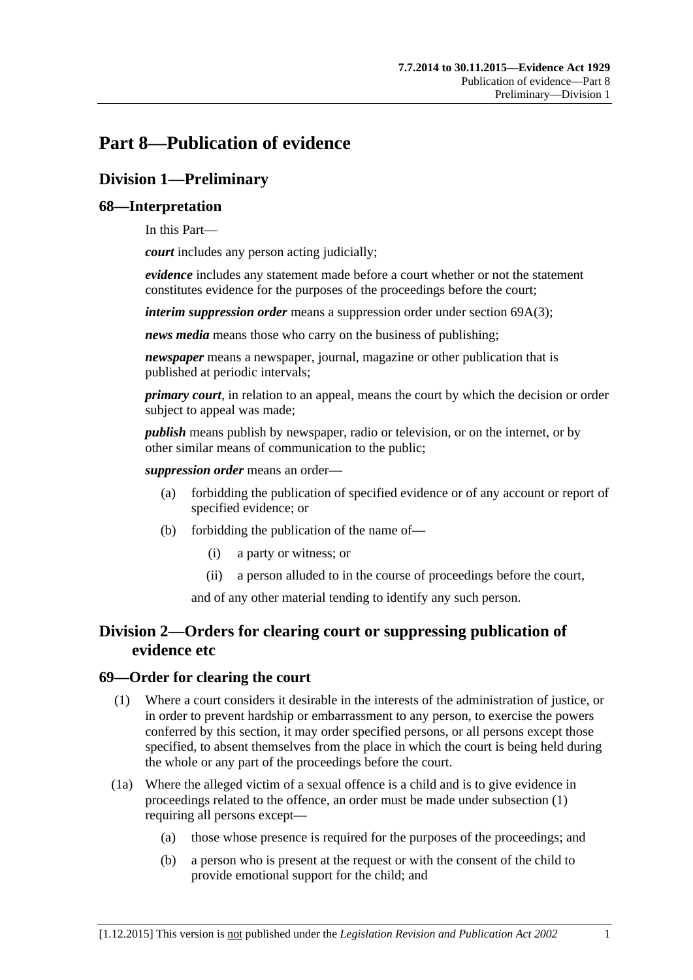# **Part 8—Publication of evidence**

# **Division 1—Preliminary**

## **68—Interpretation**

In this Part—

*court* includes any person acting judicially;

*evidence* includes any statement made before a court whether or not the statement constitutes evidence for the purposes of the proceedings before the court;

*interim suppression order* means a suppression order under section [69A\(3\);](#page-83-0)

*news media* means those who carry on the business of publishing;

*newspaper* means a newspaper, journal, magazine or other publication that is published at periodic intervals;

*primary court*, in relation to an appeal, means the court by which the decision or order subject to appeal was made;

*publish* means publish by newspaper, radio or television, or on the internet, or by other similar means of communication to the public;

*suppression order* means an order—

- (a) forbidding the publication of specified evidence or of any account or report of specified evidence; or
- (b) forbidding the publication of the name of—
	- (i) a party or witness; or
	- (ii) a person alluded to in the course of proceedings before the court,

and of any other material tending to identify any such person.

# **Division 2—Orders for clearing court or suppressing publication of evidence etc**

## <span id="page-82-0"></span>**69—Order for clearing the court**

- (1) Where a court considers it desirable in the interests of the administration of justice, or in order to prevent hardship or embarrassment to any person, to exercise the powers conferred by this section, it may order specified persons, or all persons except those specified, to absent themselves from the place in which the court is being held during the whole or any part of the proceedings before the court.
- (1a) Where the alleged victim of a sexual offence is a child and is to give evidence in proceedings related to the offence, an order must be made under [subsection](#page-82-0) (1) requiring all persons except—
	- (a) those whose presence is required for the purposes of the proceedings; and
	- (b) a person who is present at the request or with the consent of the child to provide emotional support for the child; and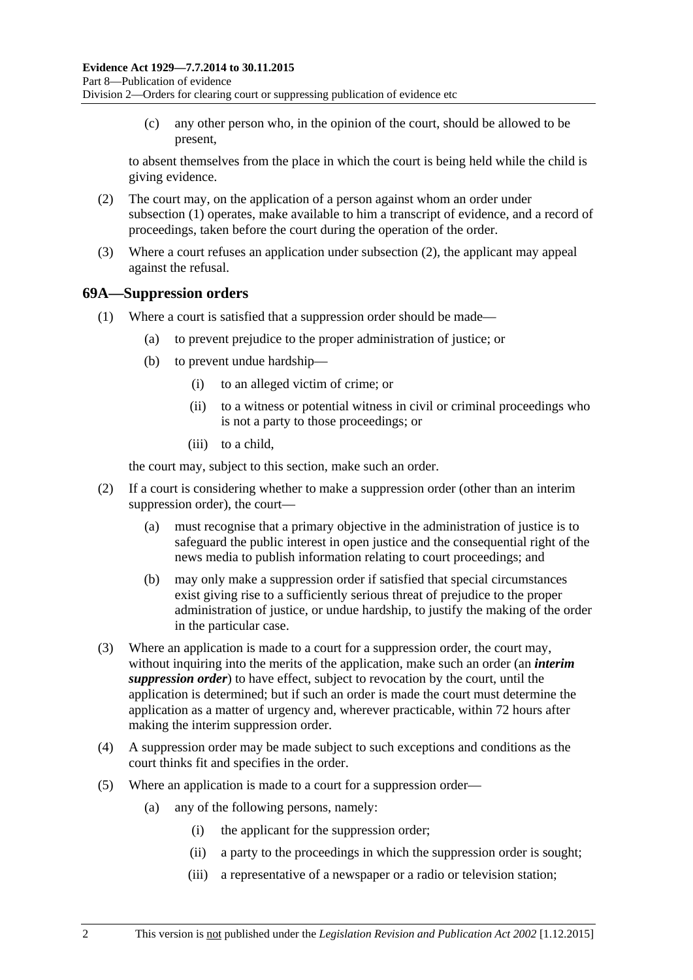(c) any other person who, in the opinion of the court, should be allowed to be present,

to absent themselves from the place in which the court is being held while the child is giving evidence.

- <span id="page-83-1"></span>(2) The court may, on the application of a person against whom an order under [subsection](#page-82-0) (1) operates, make available to him a transcript of evidence, and a record of proceedings, taken before the court during the operation of the order.
- (3) Where a court refuses an application under [subsection](#page-83-1) (2), the applicant may appeal against the refusal.

## **69A—Suppression orders**

- (1) Where a court is satisfied that a suppression order should be made—
	- (a) to prevent prejudice to the proper administration of justice; or
	- (b) to prevent undue hardship—
		- (i) to an alleged victim of crime; or
		- (ii) to a witness or potential witness in civil or criminal proceedings who is not a party to those proceedings; or
		- (iii) to a child,

the court may, subject to this section, make such an order.

- (2) If a court is considering whether to make a suppression order (other than an interim suppression order), the court—
	- (a) must recognise that a primary objective in the administration of justice is to safeguard the public interest in open justice and the consequential right of the news media to publish information relating to court proceedings; and
	- (b) may only make a suppression order if satisfied that special circumstances exist giving rise to a sufficiently serious threat of prejudice to the proper administration of justice, or undue hardship, to justify the making of the order in the particular case.
- <span id="page-83-0"></span>(3) Where an application is made to a court for a suppression order, the court may, without inquiring into the merits of the application, make such an order (an *interim suppression order*) to have effect, subject to revocation by the court, until the application is determined; but if such an order is made the court must determine the application as a matter of urgency and, wherever practicable, within 72 hours after making the interim suppression order.
- (4) A suppression order may be made subject to such exceptions and conditions as the court thinks fit and specifies in the order.
- <span id="page-83-3"></span><span id="page-83-2"></span>(5) Where an application is made to a court for a suppression order—
	- (a) any of the following persons, namely:
		- (i) the applicant for the suppression order;
		- (ii) a party to the proceedings in which the suppression order is sought;
		- (iii) a representative of a newspaper or a radio or television station;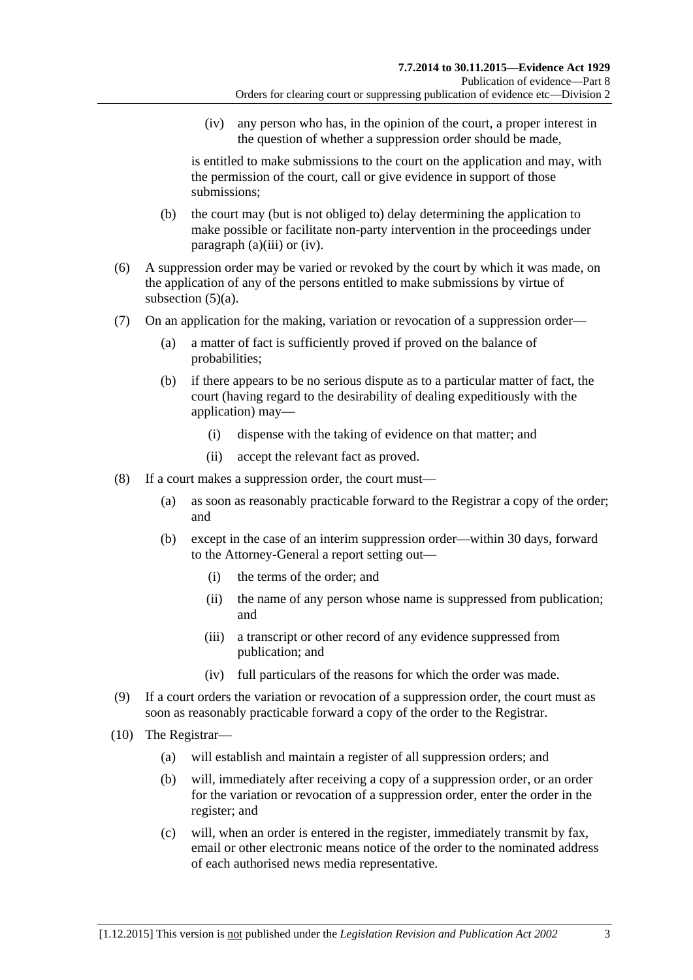(iv) any person who has, in the opinion of the court, a proper interest in the question of whether a suppression order should be made,

<span id="page-84-0"></span>is entitled to make submissions to the court on the application and may, with the permission of the court, call or give evidence in support of those submissions;

- (b) the court may (but is not obliged to) delay determining the application to make possible or facilitate non-party intervention in the proceedings under [paragraph](#page-83-2) (a)(iii) or [\(iv\).](#page-84-0)
- (6) A suppression order may be varied or revoked by the court by which it was made, on the application of any of the persons entitled to make submissions by virtue of [subsection](#page-83-3)  $(5)(a)$ .
- (7) On an application for the making, variation or revocation of a suppression order—
	- (a) a matter of fact is sufficiently proved if proved on the balance of probabilities;
	- (b) if there appears to be no serious dispute as to a particular matter of fact, the court (having regard to the desirability of dealing expeditiously with the application) may—
		- (i) dispense with the taking of evidence on that matter; and
		- (ii) accept the relevant fact as proved.
- (8) If a court makes a suppression order, the court must—
	- (a) as soon as reasonably practicable forward to the Registrar a copy of the order; and
	- (b) except in the case of an interim suppression order—within 30 days, forward to the Attorney-General a report setting out—
		- (i) the terms of the order; and
		- (ii) the name of any person whose name is suppressed from publication; and
		- (iii) a transcript or other record of any evidence suppressed from publication; and
		- (iv) full particulars of the reasons for which the order was made.
- (9) If a court orders the variation or revocation of a suppression order, the court must as soon as reasonably practicable forward a copy of the order to the Registrar.
- <span id="page-84-1"></span>(10) The Registrar—
	- (a) will establish and maintain a register of all suppression orders; and
	- (b) will, immediately after receiving a copy of a suppression order, or an order for the variation or revocation of a suppression order, enter the order in the register; and
	- (c) will, when an order is entered in the register, immediately transmit by fax, email or other electronic means notice of the order to the nominated address of each authorised news media representative.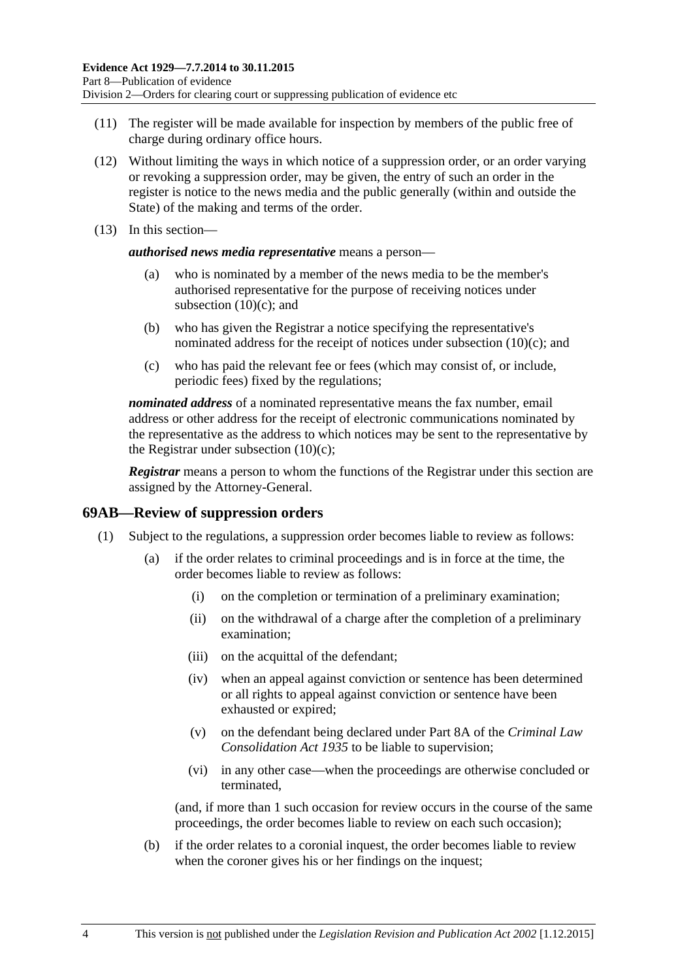- (11) The register will be made available for inspection by members of the public free of charge during ordinary office hours.
- (12) Without limiting the ways in which notice of a suppression order, or an order varying or revoking a suppression order, may be given, the entry of such an order in the register is notice to the news media and the public generally (within and outside the State) of the making and terms of the order.
- (13) In this section—

*authorised news media representative* means a person—

- (a) who is nominated by a member of the news media to be the member's authorised representative for the purpose of receiving notices under [subsection](#page-84-1)  $(10)(c)$ ; and
- (b) who has given the Registrar a notice specifying the representative's nominated address for the receipt of notices under [subsection](#page-84-1) (10)(c); and
- (c) who has paid the relevant fee or fees (which may consist of, or include, periodic fees) fixed by the regulations;

*nominated address* of a nominated representative means the fax number, email address or other address for the receipt of electronic communications nominated by the representative as the address to which notices may be sent to the representative by the Registrar under [subsection](#page-84-1)  $(10)(c)$ ;

*Registrar* means a person to whom the functions of the Registrar under this section are assigned by the Attorney-General.

#### **69AB—Review of suppression orders**

- (1) Subject to the regulations, a suppression order becomes liable to review as follows:
	- (a) if the order relates to criminal proceedings and is in force at the time, the order becomes liable to review as follows:
		- (i) on the completion or termination of a preliminary examination;
		- (ii) on the withdrawal of a charge after the completion of a preliminary examination;
		- (iii) on the acquittal of the defendant;
		- (iv) when an appeal against conviction or sentence has been determined or all rights to appeal against conviction or sentence have been exhausted or expired;
		- (v) on the defendant being declared under Part 8A of the *[Criminal Law](http://www.legislation.sa.gov.au/index.aspx?action=legref&type=act&legtitle=Criminal%20Law%20Consolidation%20Act%201935)  [Consolidation Act](http://www.legislation.sa.gov.au/index.aspx?action=legref&type=act&legtitle=Criminal%20Law%20Consolidation%20Act%201935) 1935* to be liable to supervision;
		- (vi) in any other case—when the proceedings are otherwise concluded or terminated,

(and, if more than 1 such occasion for review occurs in the course of the same proceedings, the order becomes liable to review on each such occasion);

(b) if the order relates to a coronial inquest, the order becomes liable to review when the coroner gives his or her findings on the inquest;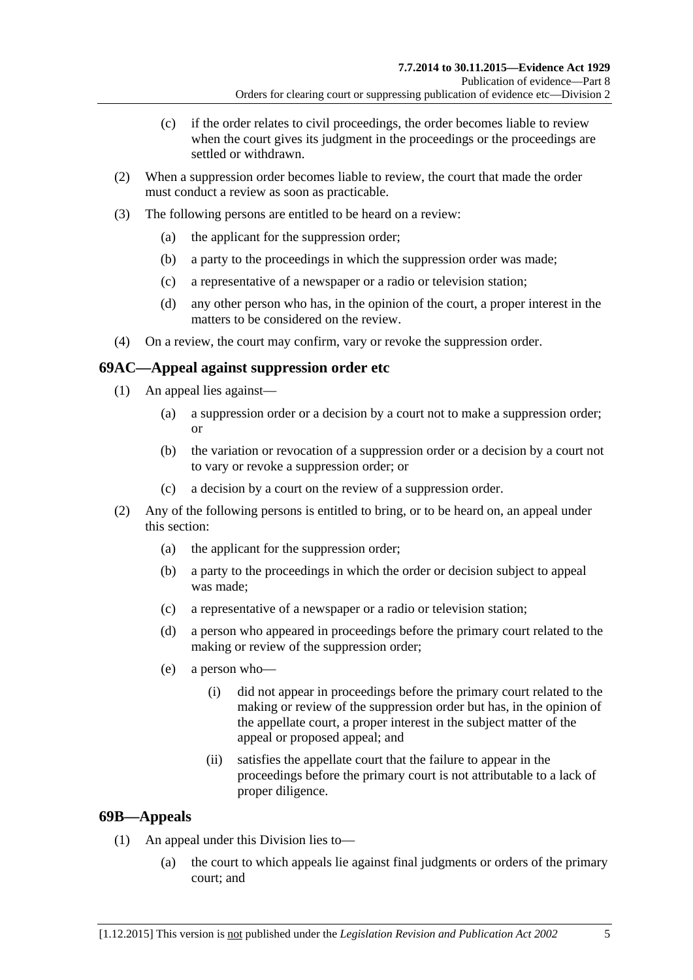- (c) if the order relates to civil proceedings, the order becomes liable to review when the court gives its judgment in the proceedings or the proceedings are settled or withdrawn.
- (2) When a suppression order becomes liable to review, the court that made the order must conduct a review as soon as practicable.
- (3) The following persons are entitled to be heard on a review:
	- (a) the applicant for the suppression order;
	- (b) a party to the proceedings in which the suppression order was made;
	- (c) a representative of a newspaper or a radio or television station;
	- (d) any other person who has, in the opinion of the court, a proper interest in the matters to be considered on the review.
- (4) On a review, the court may confirm, vary or revoke the suppression order.

## **69AC—Appeal against suppression order etc**

- (1) An appeal lies against—
	- (a) a suppression order or a decision by a court not to make a suppression order; or
	- (b) the variation or revocation of a suppression order or a decision by a court not to vary or revoke a suppression order; or
	- (c) a decision by a court on the review of a suppression order.
- (2) Any of the following persons is entitled to bring, or to be heard on, an appeal under this section:
	- (a) the applicant for the suppression order;
	- (b) a party to the proceedings in which the order or decision subject to appeal was made;
	- (c) a representative of a newspaper or a radio or television station;
	- (d) a person who appeared in proceedings before the primary court related to the making or review of the suppression order;
	- (e) a person who—
		- (i) did not appear in proceedings before the primary court related to the making or review of the suppression order but has, in the opinion of the appellate court, a proper interest in the subject matter of the appeal or proposed appeal; and
		- (ii) satisfies the appellate court that the failure to appear in the proceedings before the primary court is not attributable to a lack of proper diligence.

## **69B—Appeals**

- (1) An appeal under this Division lies to—
	- (a) the court to which appeals lie against final judgments or orders of the primary court; and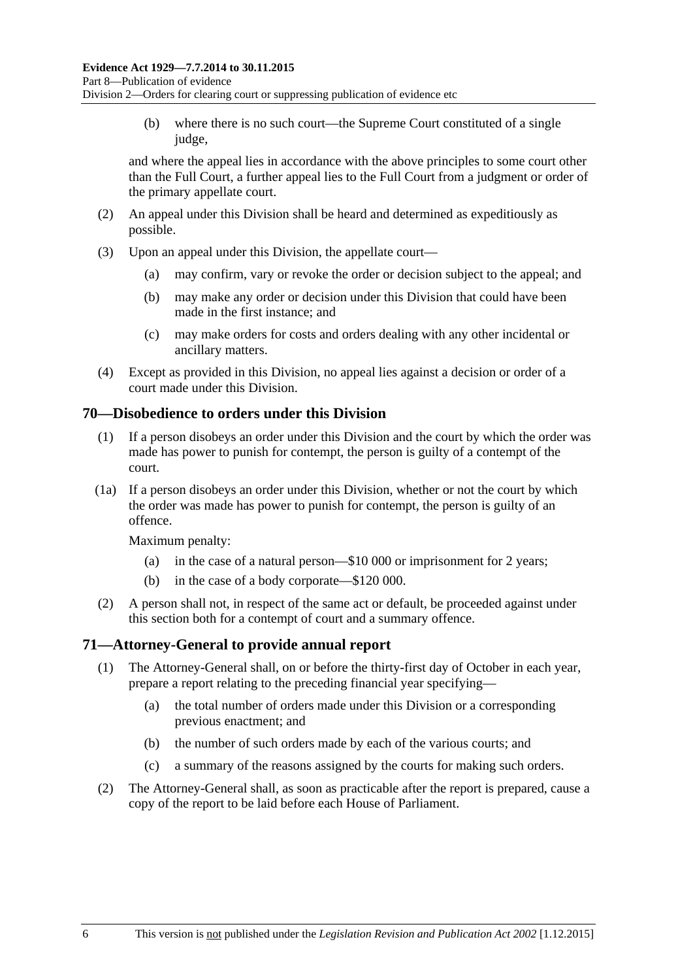(b) where there is no such court—the Supreme Court constituted of a single judge,

and where the appeal lies in accordance with the above principles to some court other than the Full Court, a further appeal lies to the Full Court from a judgment or order of the primary appellate court.

- (2) An appeal under this Division shall be heard and determined as expeditiously as possible.
- (3) Upon an appeal under this Division, the appellate court—
	- (a) may confirm, vary or revoke the order or decision subject to the appeal; and
	- (b) may make any order or decision under this Division that could have been made in the first instance; and
	- (c) may make orders for costs and orders dealing with any other incidental or ancillary matters.
- (4) Except as provided in this Division, no appeal lies against a decision or order of a court made under this Division.

## **70—Disobedience to orders under this Division**

- (1) If a person disobeys an order under this Division and the court by which the order was made has power to punish for contempt, the person is guilty of a contempt of the court.
- (1a) If a person disobeys an order under this Division, whether or not the court by which the order was made has power to punish for contempt, the person is guilty of an offence.

Maximum penalty:

- (a) in the case of a natural person—\$10 000 or imprisonment for 2 years;
- (b) in the case of a body corporate—\$120 000.
- (2) A person shall not, in respect of the same act or default, be proceeded against under this section both for a contempt of court and a summary offence.

## **71—Attorney-General to provide annual report**

- (1) The Attorney-General shall, on or before the thirty-first day of October in each year, prepare a report relating to the preceding financial year specifying—
	- (a) the total number of orders made under this Division or a corresponding previous enactment; and
	- (b) the number of such orders made by each of the various courts; and
	- (c) a summary of the reasons assigned by the courts for making such orders.
- (2) The Attorney-General shall, as soon as practicable after the report is prepared, cause a copy of the report to be laid before each House of Parliament.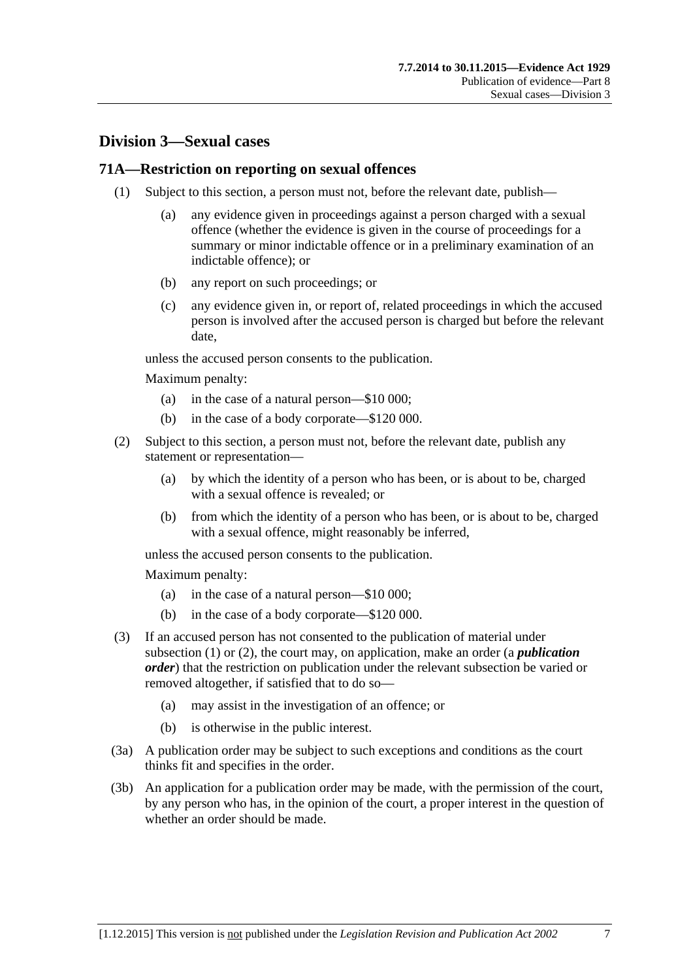## **Division 3—Sexual cases**

### <span id="page-88-0"></span>**71A—Restriction on reporting on sexual offences**

- (1) Subject to this section, a person must not, before the relevant date, publish—
	- (a) any evidence given in proceedings against a person charged with a sexual offence (whether the evidence is given in the course of proceedings for a summary or minor indictable offence or in a preliminary examination of an indictable offence); or
	- (b) any report on such proceedings; or
	- (c) any evidence given in, or report of, related proceedings in which the accused person is involved after the accused person is charged but before the relevant date,

unless the accused person consents to the publication.

Maximum penalty:

- (a) in the case of a natural person—\$10 000;
- (b) in the case of a body corporate—\$120 000.
- <span id="page-88-1"></span>(2) Subject to this section, a person must not, before the relevant date, publish any statement or representation—
	- (a) by which the identity of a person who has been, or is about to be, charged with a sexual offence is revealed; or
	- (b) from which the identity of a person who has been, or is about to be, charged with a sexual offence, might reasonably be inferred,

unless the accused person consents to the publication.

Maximum penalty:

- (a) in the case of a natural person—\$10 000;
- (b) in the case of a body corporate—\$120 000.
- (3) If an accused person has not consented to the publication of material under [subsection](#page-88-0) (1) or [\(2\),](#page-88-1) the court may, on application, make an order (a *publication order*) that the restriction on publication under the relevant subsection be varied or removed altogether, if satisfied that to do so—
	- (a) may assist in the investigation of an offence; or
	- (b) is otherwise in the public interest.
- (3a) A publication order may be subject to such exceptions and conditions as the court thinks fit and specifies in the order.
- (3b) An application for a publication order may be made, with the permission of the court, by any person who has, in the opinion of the court, a proper interest in the question of whether an order should be made.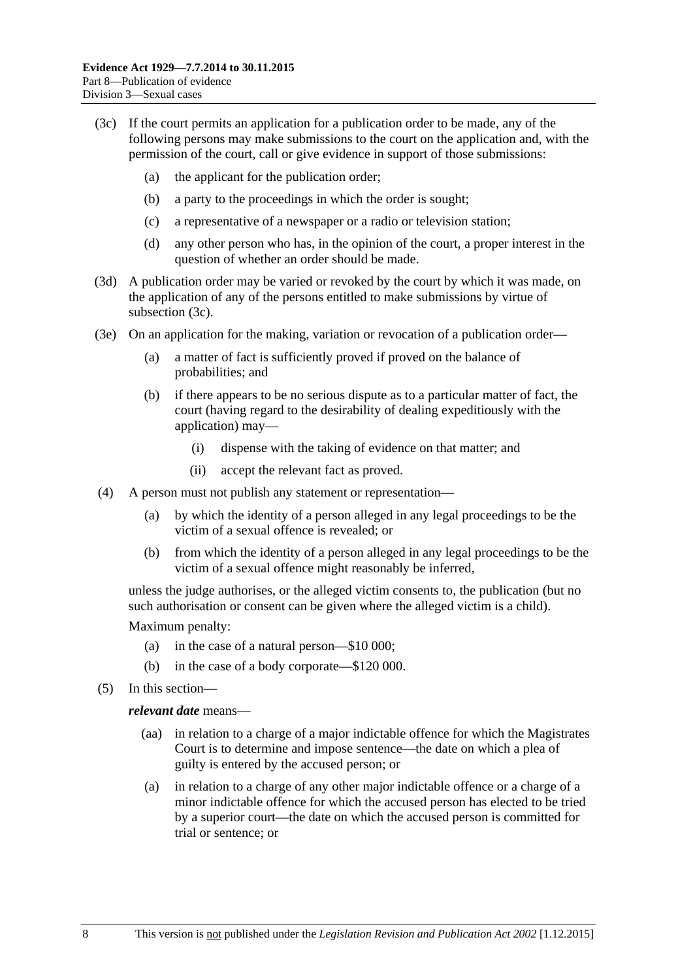- <span id="page-89-0"></span>(3c) If the court permits an application for a publication order to be made, any of the following persons may make submissions to the court on the application and, with the permission of the court, call or give evidence in support of those submissions:
	- (a) the applicant for the publication order;
	- (b) a party to the proceedings in which the order is sought;
	- (c) a representative of a newspaper or a radio or television station;
	- (d) any other person who has, in the opinion of the court, a proper interest in the question of whether an order should be made.
- (3d) A publication order may be varied or revoked by the court by which it was made, on the application of any of the persons entitled to make submissions by virtue of [subsection](#page-89-0) (3c).
- (3e) On an application for the making, variation or revocation of a publication order—
	- (a) a matter of fact is sufficiently proved if proved on the balance of probabilities; and
	- (b) if there appears to be no serious dispute as to a particular matter of fact, the court (having regard to the desirability of dealing expeditiously with the application) may—
		- (i) dispense with the taking of evidence on that matter; and
		- (ii) accept the relevant fact as proved.
- (4) A person must not publish any statement or representation—
	- (a) by which the identity of a person alleged in any legal proceedings to be the victim of a sexual offence is revealed; or
	- (b) from which the identity of a person alleged in any legal proceedings to be the victim of a sexual offence might reasonably be inferred,

unless the judge authorises, or the alleged victim consents to, the publication (but no such authorisation or consent can be given where the alleged victim is a child).

Maximum penalty:

- (a) in the case of a natural person—\$10 000;
- (b) in the case of a body corporate—\$120 000.
- (5) In this section—

#### *relevant date* means—

- (aa) in relation to a charge of a major indictable offence for which the Magistrates Court is to determine and impose sentence—the date on which a plea of guilty is entered by the accused person; or
- (a) in relation to a charge of any other major indictable offence or a charge of a minor indictable offence for which the accused person has elected to be tried by a superior court—the date on which the accused person is committed for trial or sentence; or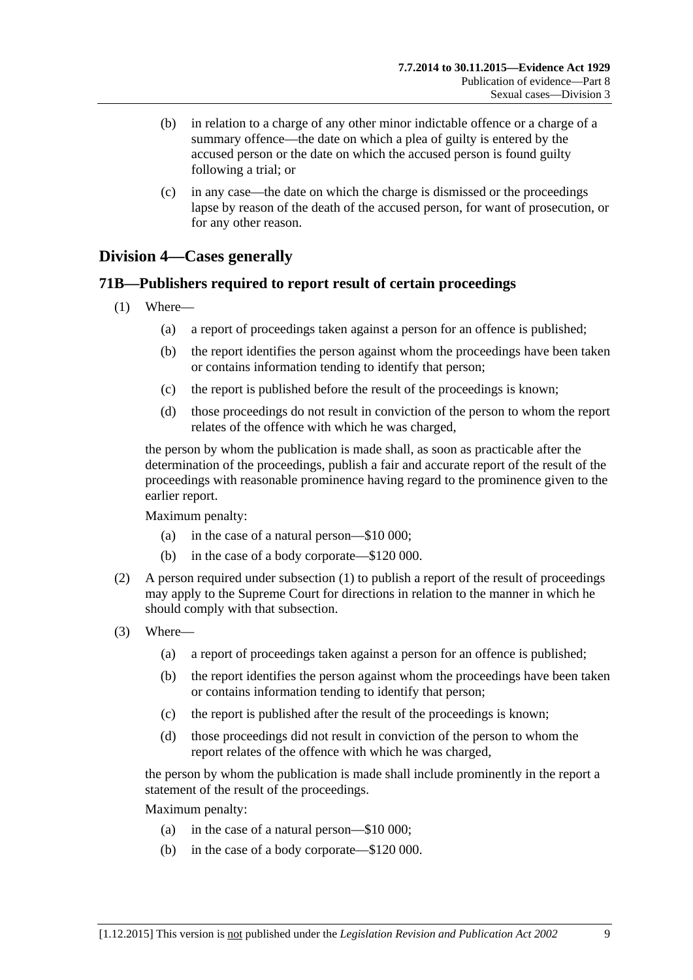- (b) in relation to a charge of any other minor indictable offence or a charge of a summary offence—the date on which a plea of guilty is entered by the accused person or the date on which the accused person is found guilty following a trial; or
- (c) in any case—the date on which the charge is dismissed or the proceedings lapse by reason of the death of the accused person, for want of prosecution, or for any other reason.

# **Division 4—Cases generally**

## <span id="page-90-0"></span>**71B—Publishers required to report result of certain proceedings**

- (1) Where—
	- (a) a report of proceedings taken against a person for an offence is published;
	- (b) the report identifies the person against whom the proceedings have been taken or contains information tending to identify that person;
	- (c) the report is published before the result of the proceedings is known;
	- (d) those proceedings do not result in conviction of the person to whom the report relates of the offence with which he was charged,

the person by whom the publication is made shall, as soon as practicable after the determination of the proceedings, publish a fair and accurate report of the result of the proceedings with reasonable prominence having regard to the prominence given to the earlier report.

Maximum penalty:

- (a) in the case of a natural person—\$10 000;
- (b) in the case of a body corporate—\$120 000.
- (2) A person required under [subsection](#page-90-0) (1) to publish a report of the result of proceedings may apply to the Supreme Court for directions in relation to the manner in which he should comply with that subsection.
- (3) Where—
	- (a) a report of proceedings taken against a person for an offence is published;
	- (b) the report identifies the person against whom the proceedings have been taken or contains information tending to identify that person;
	- (c) the report is published after the result of the proceedings is known;
	- (d) those proceedings did not result in conviction of the person to whom the report relates of the offence with which he was charged,

the person by whom the publication is made shall include prominently in the report a statement of the result of the proceedings.

Maximum penalty:

- (a) in the case of a natural person—\$10 000;
- (b) in the case of a body corporate—\$120 000.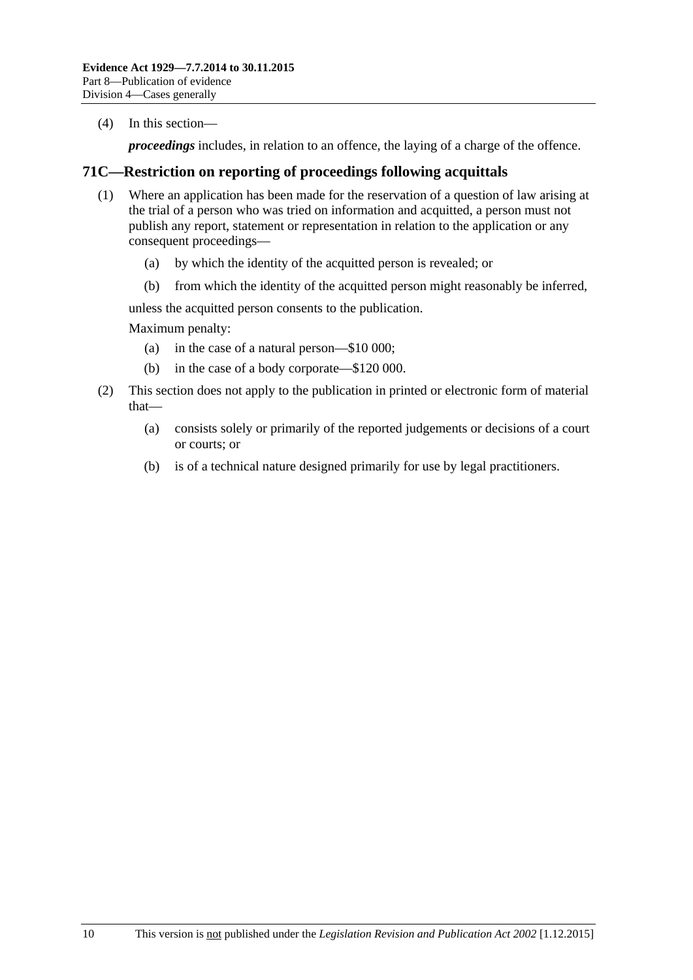(4) In this section—

*proceedings* includes, in relation to an offence, the laying of a charge of the offence.

## **71C—Restriction on reporting of proceedings following acquittals**

- (1) Where an application has been made for the reservation of a question of law arising at the trial of a person who was tried on information and acquitted, a person must not publish any report, statement or representation in relation to the application or any consequent proceedings—
	- (a) by which the identity of the acquitted person is revealed; or
	- (b) from which the identity of the acquitted person might reasonably be inferred,

unless the acquitted person consents to the publication.

Maximum penalty:

- (a) in the case of a natural person—\$10 000;
- (b) in the case of a body corporate—\$120 000.
- (2) This section does not apply to the publication in printed or electronic form of material that—
	- (a) consists solely or primarily of the reported judgements or decisions of a court or courts; or
	- (b) is of a technical nature designed primarily for use by legal practitioners.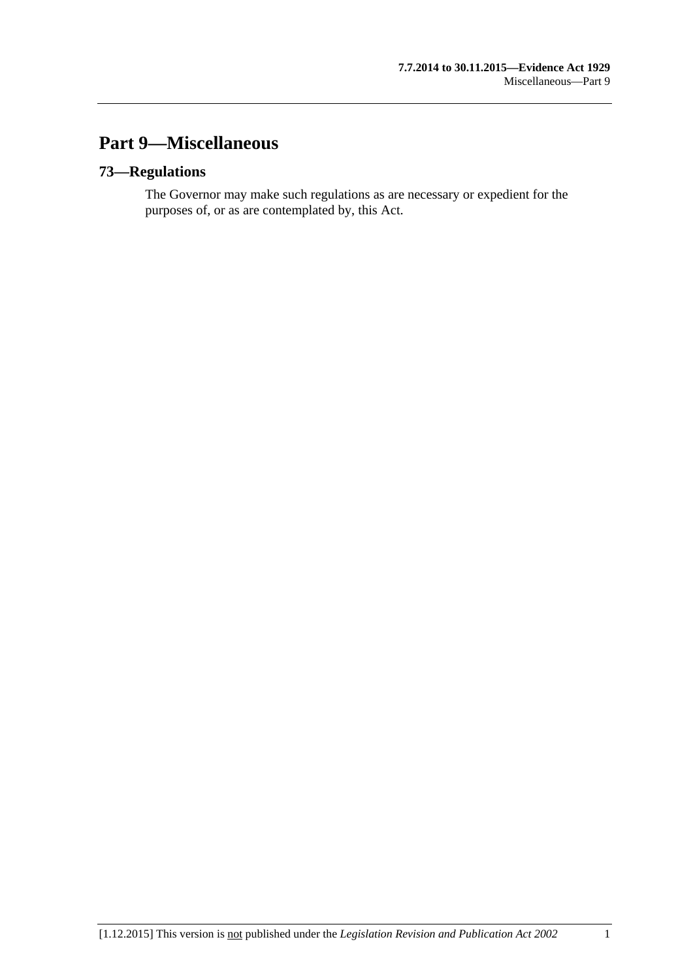# **Part 9—Miscellaneous**

## **73—Regulations**

The Governor may make such regulations as are necessary or expedient for the purposes of, or as are contemplated by, this Act.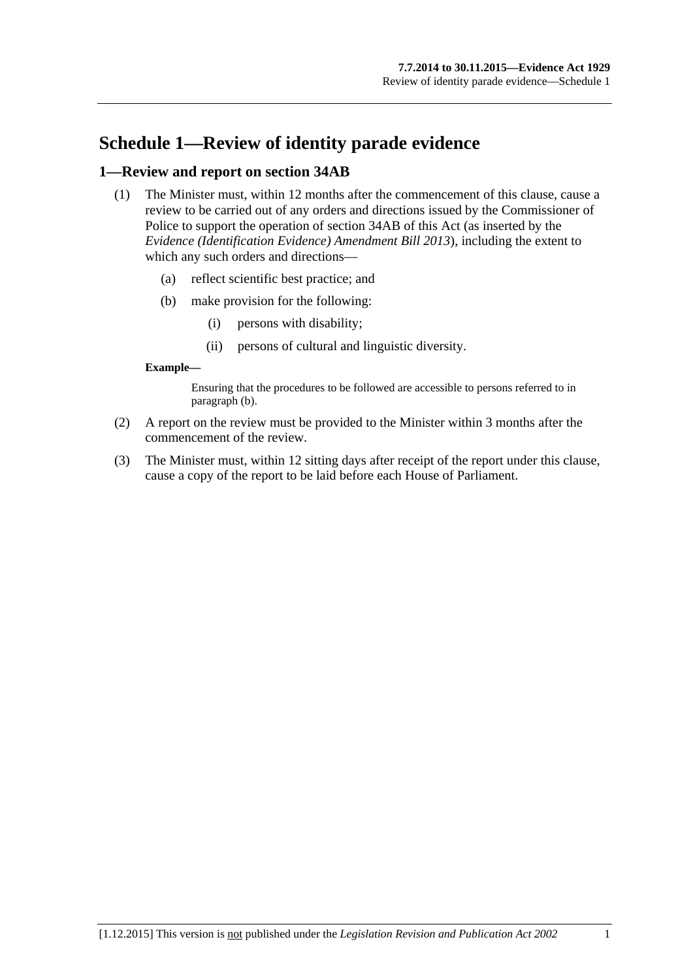# **Schedule 1—Review of identity parade evidence**

## **1—Review and report on section 34AB**

- (1) The Minister must, within 12 months after the commencement of this clause, cause a review to be carried out of any orders and directions issued by the Commissioner of Police to support the operation of section 34AB of this Act (as inserted by the *[Evidence \(Identification Evidence\) Amendment Bill](http://www.legislation.sa.gov.au/index.aspx?action=legref&type=act&legtitle=Evidence%20(Identification%20Evidence)%20Amendment%20Bill%202013) 2013*), including the extent to which any such orders and directions—
	- (a) reflect scientific best practice; and
	- (b) make provision for the following:
		- (i) persons with disability;
		- (ii) persons of cultural and linguistic diversity.

#### <span id="page-94-0"></span>**Example—**

Ensuring that the procedures to be followed are accessible to persons referred to in [paragraph](#page-94-0) (b).

- (2) A report on the review must be provided to the Minister within 3 months after the commencement of the review.
- (3) The Minister must, within 12 sitting days after receipt of the report under this clause, cause a copy of the report to be laid before each House of Parliament.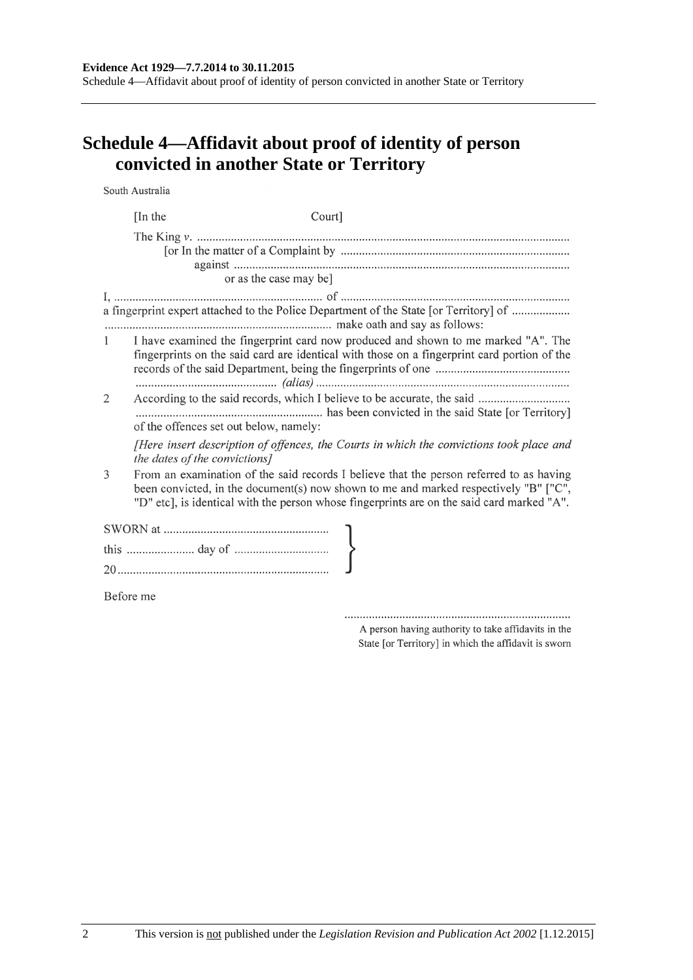#### **Evidence Act 1929—7.7.2014 to 30.11.2015**

Schedule 4—Affidavit about proof of identity of person convicted in another State or Territory

# **Schedule 4—Affidavit about proof of identity of person convicted in another State or Territory**

South Australia

|              | [In the | Court]                                                                                                                                                                                                                                                                        |  |  |
|--------------|---------|-------------------------------------------------------------------------------------------------------------------------------------------------------------------------------------------------------------------------------------------------------------------------------|--|--|
|              |         |                                                                                                                                                                                                                                                                               |  |  |
|              |         | or as the case may be]                                                                                                                                                                                                                                                        |  |  |
|              |         | a fingerprint expert attached to the Police Department of the State [or Territory] of                                                                                                                                                                                         |  |  |
| $\mathbf{1}$ |         | I have examined the fingerprint card now produced and shown to me marked "A". The<br>fingerprints on the said card are identical with those on a fingerprint card portion of the                                                                                              |  |  |
| 2            |         | of the offences set out below, namely:                                                                                                                                                                                                                                        |  |  |
|              |         | [Here insert description of offences, the Courts in which the convictions took place and<br>the dates of the convictions]                                                                                                                                                     |  |  |
| 3            |         | From an examination of the said records I believe that the person referred to as having<br>been convicted, in the document(s) now shown to me and marked respectively "B" ["C",<br>"D" etc], is identical with the person whose fingerprints are on the said card marked "A". |  |  |
|              |         |                                                                                                                                                                                                                                                                               |  |  |
|              |         |                                                                                                                                                                                                                                                                               |  |  |
|              |         |                                                                                                                                                                                                                                                                               |  |  |
| Before me    |         |                                                                                                                                                                                                                                                                               |  |  |

A person having authority to take affidavits in the State [or Territory] in which the affidavit is sworn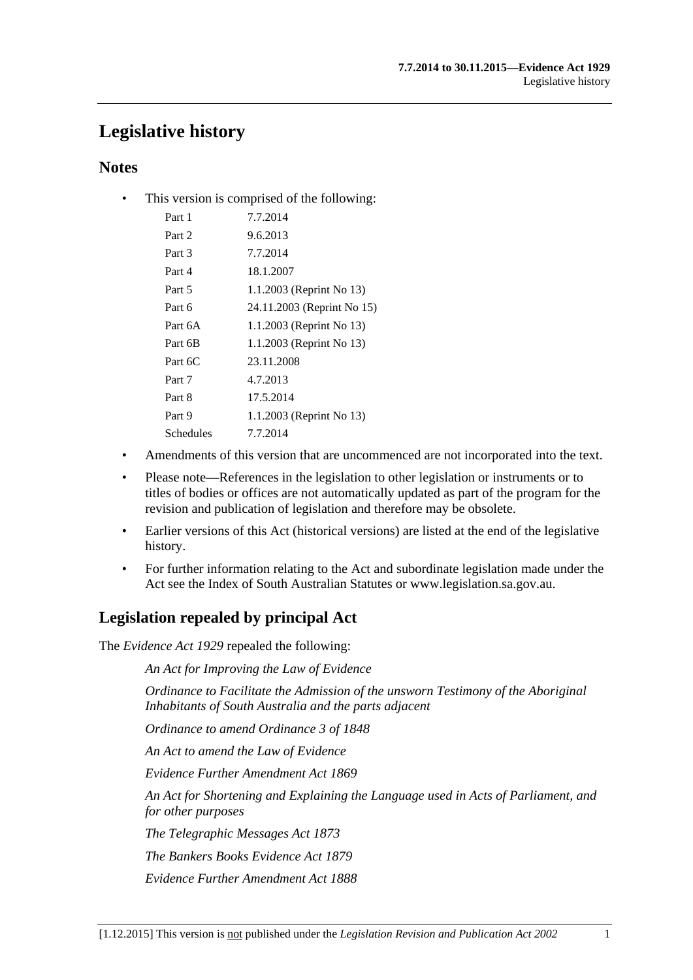# **Legislative history**

## **Notes**

• This version is comprised of the following:

| Part 1    | 7.7.2014                   |
|-----------|----------------------------|
| Part 2    | 9.6.2013                   |
| Part 3    | 7.7.2014                   |
| Part 4    | 18.1.2007                  |
| Part 5    | 1.1.2003 (Reprint No 13)   |
| Part 6    | 24.11.2003 (Reprint No 15) |
| Part 6A   | 1.1.2003 (Reprint No 13)   |
| Part 6B   | 1.1.2003 (Reprint No 13)   |
| Part 6C   | 23.11.2008                 |
| Part 7    | 4.7.2013                   |
| Part 8    | 17.5.2014                  |
| Part 9    | 1.1.2003 (Reprint No 13)   |
| Schedules | 7.7.2014                   |
|           |                            |

- Amendments of this version that are uncommenced are not incorporated into the text.
- Please note—References in the legislation to other legislation or instruments or to titles of bodies or offices are not automatically updated as part of the program for the revision and publication of legislation and therefore may be obsolete.
- Earlier versions of this Act (historical versions) are listed at the end of the legislative history.
- For further information relating to the Act and subordinate legislation made under the Act see the Index of South Australian Statutes or www.legislation.sa.gov.au.

# **Legislation repealed by principal Act**

The *Evidence Act 1929* repealed the following:

*An Act for Improving the Law of Evidence*

*Ordinance to Facilitate the Admission of the unsworn Testimony of the Aboriginal Inhabitants of South Australia and the parts adjacent*

*Ordinance to amend Ordinance 3 of 1848*

*An Act to amend the Law of Evidence*

*Evidence Further Amendment Act 1869*

*An Act for Shortening and Explaining the Language used in Acts of Parliament, and for other purposes*

*The Telegraphic Messages Act 1873*

*The Bankers Books Evidence Act 1879*

*Evidence Further Amendment Act 1888*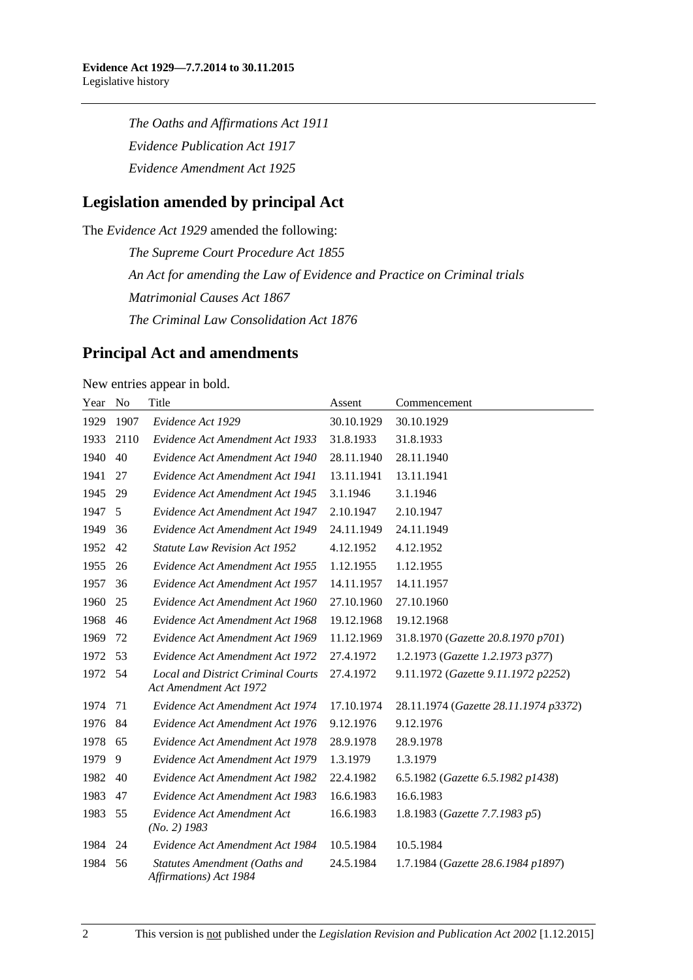*The Oaths and Affirmations Act 1911 Evidence Publication Act 1917 Evidence Amendment Act 1925*

# **Legislation amended by principal Act**

The *Evidence Act 1929* amended the following:

*The Supreme Court Procedure Act 1855 An Act for amending the Law of Evidence and Practice on Criminal trials Matrimonial Causes Act 1867 The Criminal Law Consolidation Act 1876*

# **Principal Act and amendments**

New entries appear in bold.

| Year | N <sub>0</sub> | Title                                                               | Assent     | Commencement                          |
|------|----------------|---------------------------------------------------------------------|------------|---------------------------------------|
| 1929 | 1907           | Evidence Act 1929                                                   | 30.10.1929 | 30.10.1929                            |
| 1933 | 2110           | Evidence Act Amendment Act 1933                                     | 31.8.1933  | 31.8.1933                             |
| 1940 | 40             | Evidence Act Amendment Act 1940                                     | 28.11.1940 | 28.11.1940                            |
| 1941 | 27             | Evidence Act Amendment Act 1941                                     | 13.11.1941 | 13.11.1941                            |
| 1945 | 29             | Evidence Act Amendment Act 1945                                     | 3.1.1946   | 3.1.1946                              |
| 1947 | 5              | Evidence Act Amendment Act 1947                                     | 2.10.1947  | 2.10.1947                             |
| 1949 | 36             | Evidence Act Amendment Act 1949                                     | 24.11.1949 | 24.11.1949                            |
| 1952 | 42             | <b>Statute Law Revision Act 1952</b>                                | 4.12.1952  | 4.12.1952                             |
| 1955 | 26             | Evidence Act Amendment Act 1955                                     | 1.12.1955  | 1.12.1955                             |
| 1957 | 36             | Evidence Act Amendment Act 1957                                     | 14.11.1957 | 14.11.1957                            |
| 1960 | 25             | Evidence Act Amendment Act 1960                                     | 27.10.1960 | 27.10.1960                            |
| 1968 | 46             | Evidence Act Amendment Act 1968                                     | 19.12.1968 | 19.12.1968                            |
| 1969 | 72             | Evidence Act Amendment Act 1969                                     | 11.12.1969 | 31.8.1970 (Gazette 20.8.1970 p701)    |
| 1972 | 53             | Evidence Act Amendment Act 1972                                     | 27.4.1972  | 1.2.1973 (Gazette 1.2.1973 p377)      |
| 1972 | .54            | <b>Local and District Criminal Courts</b><br>Act Amendment Act 1972 | 27.4.1972  | 9.11.1972 (Gazette 9.11.1972 p2252)   |
| 1974 | 71             | Evidence Act Amendment Act 1974                                     | 17.10.1974 | 28.11.1974 (Gazette 28.11.1974 p3372) |
| 1976 | 84             | Evidence Act Amendment Act 1976                                     | 9.12.1976  | 9.12.1976                             |
| 1978 | 65             | Evidence Act Amendment Act 1978                                     | 28.9.1978  | 28.9.1978                             |
| 1979 | 9              | Evidence Act Amendment Act 1979                                     | 1.3.1979   | 1.3.1979                              |
| 1982 | 40             | Evidence Act Amendment Act 1982                                     | 22.4.1982  | 6.5.1982 (Gazette 6.5.1982 p1438)     |
| 1983 | 47             | Evidence Act Amendment Act 1983                                     | 16.6.1983  | 16.6.1983                             |
| 1983 | 55             | Evidence Act Amendment Act<br>$(No. 2)$ 1983                        | 16.6.1983  | 1.8.1983 (Gazette 7.7.1983 p5)        |
| 1984 | 24             | Evidence Act Amendment Act 1984                                     | 10.5.1984  | 10.5.1984                             |
| 1984 | 56             | Statutes Amendment (Oaths and<br>Affirmations) Act 1984             | 24.5.1984  | 1.7.1984 (Gazette 28.6.1984 p1897)    |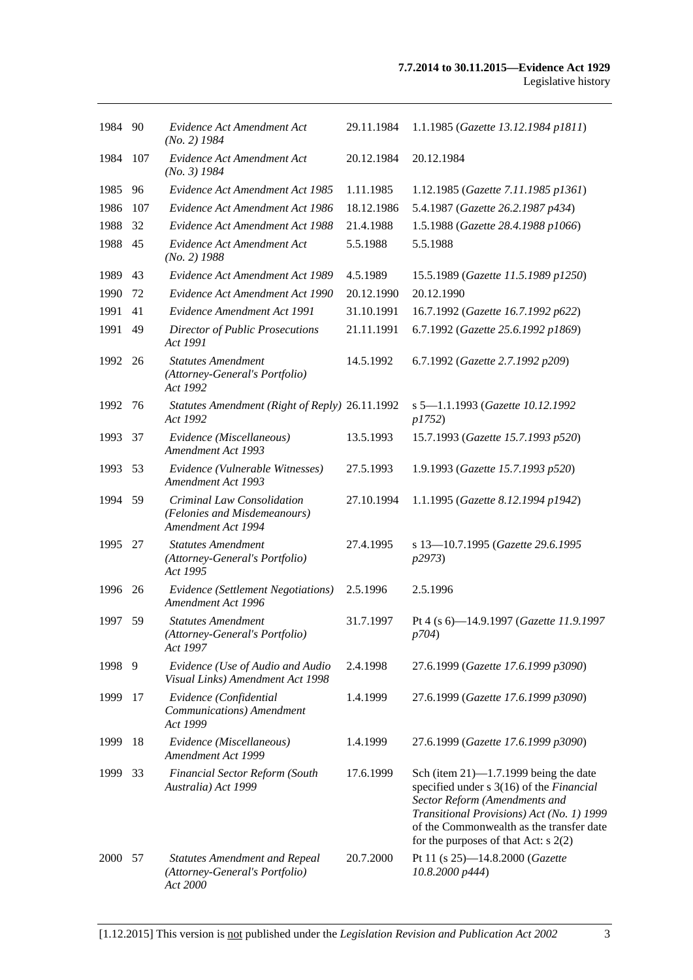| 1984 90 |     | Evidence Act Amendment Act<br>$(No. 2)$ 1984                                       | 29.11.1984 | 1.1.1985 (Gazette 13.12.1984 p1811)                                                                                                                                                                                                                      |
|---------|-----|------------------------------------------------------------------------------------|------------|----------------------------------------------------------------------------------------------------------------------------------------------------------------------------------------------------------------------------------------------------------|
| 1984    | 107 | Evidence Act Amendment Act<br>$(No. 3)$ 1984                                       | 20.12.1984 | 20.12.1984                                                                                                                                                                                                                                               |
| 1985    | 96  | Evidence Act Amendment Act 1985                                                    | 1.11.1985  | 1.12.1985 (Gazette 7.11.1985 p1361)                                                                                                                                                                                                                      |
| 1986    | 107 | Evidence Act Amendment Act 1986                                                    | 18.12.1986 | 5.4.1987 (Gazette 26.2.1987 p434)                                                                                                                                                                                                                        |
| 1988    | 32  | Evidence Act Amendment Act 1988                                                    | 21.4.1988  | 1.5.1988 (Gazette 28.4.1988 p1066)                                                                                                                                                                                                                       |
| 1988    | 45  | Evidence Act Amendment Act<br>$(No. 2)$ 1988                                       | 5.5.1988   | 5.5.1988                                                                                                                                                                                                                                                 |
| 1989    | 43  | Evidence Act Amendment Act 1989                                                    | 4.5.1989   | 15.5.1989 (Gazette 11.5.1989 p1250)                                                                                                                                                                                                                      |
| 1990    | 72  | Evidence Act Amendment Act 1990                                                    | 20.12.1990 | 20.12.1990                                                                                                                                                                                                                                               |
| 1991    | 41  | Evidence Amendment Act 1991                                                        | 31.10.1991 | 16.7.1992 (Gazette 16.7.1992 p622)                                                                                                                                                                                                                       |
| 1991    | 49  | <b>Director of Public Prosecutions</b><br>Act 1991                                 | 21.11.1991 | 6.7.1992 (Gazette 25.6.1992 p1869)                                                                                                                                                                                                                       |
| 1992 26 |     | <b>Statutes Amendment</b><br>(Attorney-General's Portfolio)<br>Act 1992            | 14.5.1992  | 6.7.1992 (Gazette 2.7.1992 p209)                                                                                                                                                                                                                         |
| 1992    | 76  | Statutes Amendment (Right of Reply) 26.11.1992<br>Act 1992                         |            | s 5-1.1.1993 (Gazette 10.12.1992<br>p1752)                                                                                                                                                                                                               |
| 1993    | 37  | Evidence (Miscellaneous)<br>Amendment Act 1993                                     | 13.5.1993  | 15.7.1993 (Gazette 15.7.1993 p520)                                                                                                                                                                                                                       |
| 1993    | 53  | Evidence (Vulnerable Witnesses)<br>Amendment Act 1993                              | 27.5.1993  | 1.9.1993 (Gazette 15.7.1993 p520)                                                                                                                                                                                                                        |
| 1994 59 |     | Criminal Law Consolidation<br>(Felonies and Misdemeanours)<br>Amendment Act 1994   | 27.10.1994 | 1.1.1995 (Gazette 8.12.1994 p1942)                                                                                                                                                                                                                       |
| 1995    | 27  | <b>Statutes Amendment</b><br>(Attorney-General's Portfolio)<br>Act 1995            | 27.4.1995  | s 13-10.7.1995 (Gazette 29.6.1995<br>p2973)                                                                                                                                                                                                              |
| 1996    | 26  | Evidence (Settlement Negotiations)<br>Amendment Act 1996                           | 2.5.1996   | 2.5.1996                                                                                                                                                                                                                                                 |
| 1997    | 59  | <b>Statutes Amendment</b><br>(Attorney-General's Portfolio)<br>Act 1997            | 31.7.1997  | Pt 4 (s 6)-14.9.1997 (Gazette 11.9.1997<br><i>p</i> 704)                                                                                                                                                                                                 |
| 1998    | 9   | Evidence (Use of Audio and Audio<br>Visual Links) Amendment Act 1998               | 2.4.1998   | 27.6.1999 (Gazette 17.6.1999 p3090)                                                                                                                                                                                                                      |
| 1999    | 17  | Evidence (Confidential<br>Communications) Amendment<br>Act 1999                    | 1.4.1999   | 27.6.1999 (Gazette 17.6.1999 p3090)                                                                                                                                                                                                                      |
| 1999    | 18  | Evidence (Miscellaneous)<br>Amendment Act 1999                                     | 1.4.1999   | 27.6.1999 (Gazette 17.6.1999 p3090)                                                                                                                                                                                                                      |
| 1999    | 33  | <b>Financial Sector Reform (South</b><br>Australia) Act 1999                       | 17.6.1999  | Sch (item $21$ )—1.7.1999 being the date<br>specified under s 3(16) of the Financial<br>Sector Reform (Amendments and<br>Transitional Provisions) Act (No. 1) 1999<br>of the Commonwealth as the transfer date<br>for the purposes of that Act: $s$ 2(2) |
| 2000 57 |     | <b>Statutes Amendment and Repeal</b><br>(Attorney-General's Portfolio)<br>Act 2000 | 20.7.2000  | Pt 11 (s 25)-14.8.2000 (Gazette<br>10.8.2000 p444)                                                                                                                                                                                                       |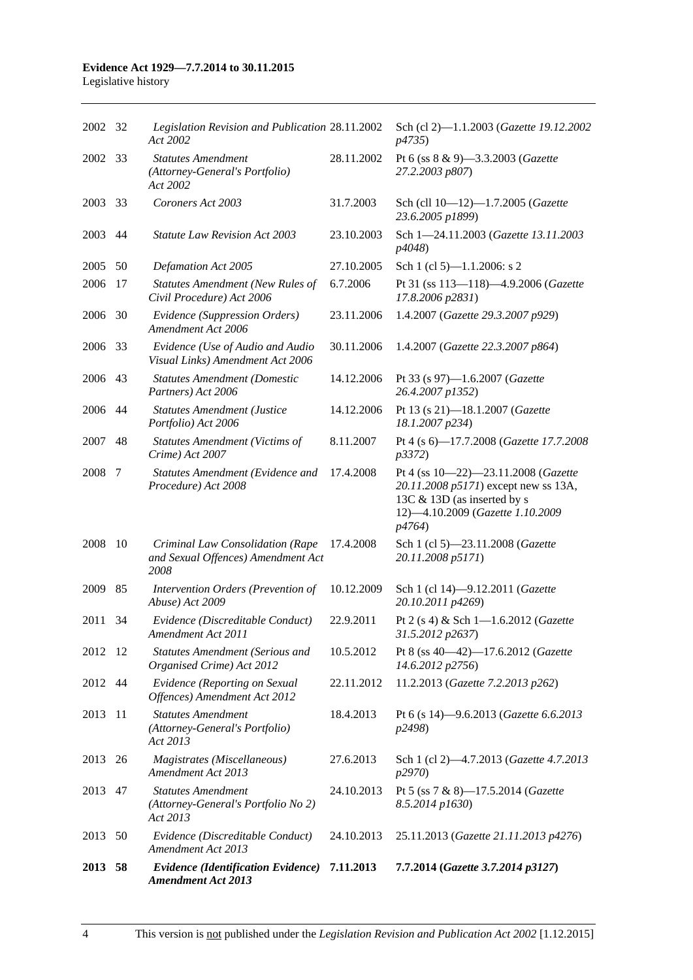#### **Evidence Act 1929—7.7.2014 to 30.11.2015** Legislative history

| 2002 32 |      | Legislation Revision and Publication 28.11.2002<br>Act 2002                    |            | Sch (cl 2)-1.1.2003 (Gazette 19.12.2002<br><i>p</i> 4735)                                                                                                |
|---------|------|--------------------------------------------------------------------------------|------------|----------------------------------------------------------------------------------------------------------------------------------------------------------|
| 2002    | 33   | <b>Statutes Amendment</b><br>(Attorney-General's Portfolio)<br>Act 2002        | 28.11.2002 | Pt 6 (ss 8 & 9)-3.3.2003 (Gazette<br>27.2.2003 p807)                                                                                                     |
| 2003    | -33  | Coroners Act 2003                                                              | 31.7.2003  | Sch (cll 10-12)-1.7.2005 (Gazette<br>23.6.2005 p1899)                                                                                                    |
| 2003    | 44   | <b>Statute Law Revision Act 2003</b>                                           | 23.10.2003 | Sch 1-24.11.2003 (Gazette 13.11.2003<br>p4048)                                                                                                           |
| 2005    | 50   | Defamation Act 2005                                                            | 27.10.2005 | Sch 1 (cl 5)— $1.1.2006$ : s 2                                                                                                                           |
| 2006    | 17   | <b>Statutes Amendment (New Rules of</b><br>Civil Procedure) Act 2006           | 6.7.2006   | Pt 31 (ss 113-118)-4.9.2006 (Gazette<br>17.8.2006 p2831)                                                                                                 |
| 2006    | 30   | Evidence (Suppression Orders)<br>Amendment Act 2006                            | 23.11.2006 | 1.4.2007 (Gazette 29.3.2007 p929)                                                                                                                        |
| 2006    | 33   | Evidence (Use of Audio and Audio<br>Visual Links) Amendment Act 2006           | 30.11.2006 | 1.4.2007 (Gazette 22.3.2007 p864)                                                                                                                        |
| 2006    | 43   | <b>Statutes Amendment (Domestic</b><br>Partners) Act 2006                      | 14.12.2006 | Pt 33 (s 97)-1.6.2007 (Gazette<br>26.4.2007 p1352)                                                                                                       |
| 2006    | 44   | <b>Statutes Amendment (Justice</b><br>Portfolio) Act 2006                      | 14.12.2006 | Pt 13 (s 21)-18.1.2007 (Gazette<br>18.1.2007 p234)                                                                                                       |
| 2007    | 48   | <b>Statutes Amendment (Victims of</b><br>Crime) Act 2007                       | 8.11.2007  | Pt 4 (s 6)-17.7.2008 (Gazette 17.7.2008)<br><i>p</i> 3372)                                                                                               |
| 2008    | 7    | Statutes Amendment (Evidence and<br>Procedure) Act 2008                        | 17.4.2008  | Pt 4 (ss 10-22)-23.11.2008 (Gazette<br>20.11.2008 p5171) except new ss 13A,<br>13C & 13D (as inserted by s<br>12)-4.10.2009 (Gazette 1.10.2009<br>p4764) |
| 2008    | 10   | Criminal Law Consolidation (Rape<br>and Sexual Offences) Amendment Act<br>2008 | 17.4.2008  | Sch 1 (cl 5)-23.11.2008 (Gazette<br>20.11.2008 p5171)                                                                                                    |
| 2009    | 85   | Intervention Orders (Prevention of<br>Abuse) Act 2009                          | 10.12.2009 | Sch 1 (cl 14)-9.12.2011 (Gazette<br>20.10.2011 p4269)                                                                                                    |
| 2011    | 34   | Evidence (Discreditable Conduct)<br>Amendment Act 2011                         | 22.9.2011  | Pt 2 (s 4) & Sch 1-1.6.2012 (Gazette<br>31.5.2012 p2637)                                                                                                 |
| 2012 12 |      | <b>Statutes Amendment (Serious and</b><br>Organised Crime) Act 2012            | 10.5.2012  | Pt 8 (ss 40-42)-17.6.2012 (Gazette<br>14.6.2012 p2756)                                                                                                   |
| 2012 44 |      | Evidence (Reporting on Sexual<br>Offences) Amendment Act 2012                  | 22.11.2012 | 11.2.2013 (Gazette 7.2.2013 p262)                                                                                                                        |
| 2013    | -11  | <b>Statutes Amendment</b><br>(Attorney-General's Portfolio)<br>Act 2013        | 18.4.2013  | Pt 6 (s 14)-9.6.2013 (Gazette 6.6.2013<br>p2498)                                                                                                         |
| 2013 26 |      | Magistrates (Miscellaneous)<br>Amendment Act 2013                              | 27.6.2013  | Sch 1 (cl 2)-4.7.2013 (Gazette 4.7.2013<br>p2970)                                                                                                        |
| 2013 47 |      | <b>Statutes Amendment</b><br>(Attorney-General's Portfolio No 2)<br>Act 2013   | 24.10.2013 | Pt 5 (ss 7 & 8)-17.5.2014 (Gazette<br>8.5.2014 p1630)                                                                                                    |
| 2013    | - 50 | Evidence (Discreditable Conduct)<br>Amendment Act 2013                         | 24.10.2013 | 25.11.2013 (Gazette 21.11.2013 p4276)                                                                                                                    |
| 2013 58 |      | <b>Evidence (Identification Evidence)</b><br><b>Amendment Act 2013</b>         | 7.11.2013  | 7.7.2014 (Gazette 3.7.2014 p3127)                                                                                                                        |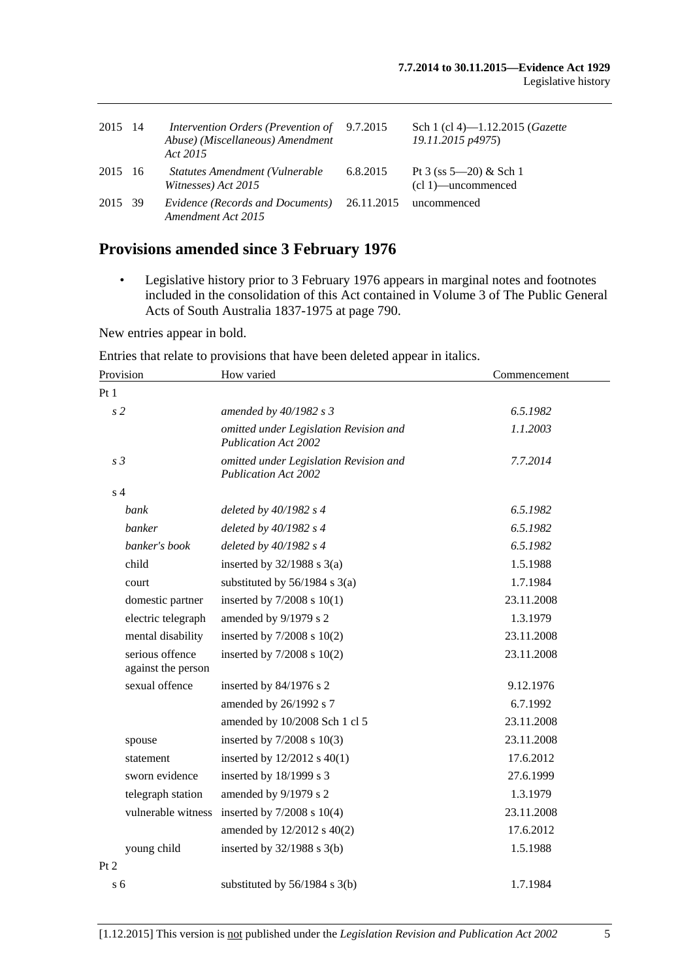| 2015    | - 14 | <i>Intervention Orders (Prevention of</i> 9.7.2015)<br>Abuse) (Miscellaneous) Amendment<br>Act 2015 |          | Sch 1 (cl 4)—1.12.2015 ( <i>Gazette</i><br>19.11.2015 p4975) |
|---------|------|-----------------------------------------------------------------------------------------------------|----------|--------------------------------------------------------------|
| 2015 16 |      | Statutes Amendment (Vulnerable<br>Witnesses) Act 2015                                               | 6.8.2015 | Pt 3 (ss $5-20$ ) & Sch 1<br>$(cl 1)$ —uncommenced           |
| 2015 39 |      | Evidence (Records and Documents) 26.11.2015<br>Amendment Act 2015                                   |          | uncommenced                                                  |

# **Provisions amended since 3 February 1976**

• Legislative history prior to 3 February 1976 appears in marginal notes and footnotes included in the consolidation of this Act contained in Volume 3 of The Public General Acts of South Australia 1837-1975 at page 790.

New entries appear in bold.

Entries that relate to provisions that have been deleted appear in italics.

| Provision                             | How varied                                                            | Commencement |
|---------------------------------------|-----------------------------------------------------------------------|--------------|
| Pt1                                   |                                                                       |              |
| s <sub>2</sub>                        | amended by 40/1982 s 3                                                | 6.5.1982     |
|                                       | omitted under Legislation Revision and<br><b>Publication Act 2002</b> | 1.1.2003     |
| s <sub>3</sub>                        | omitted under Legislation Revision and<br><b>Publication Act 2002</b> | 7.7.2014     |
| s <sub>4</sub>                        |                                                                       |              |
| bank                                  | deleted by $40/1982$ s 4                                              | 6.5.1982     |
| banker                                | deleted by $40/1982 s 4$                                              | 6.5.1982     |
| banker's book                         | deleted by $40/1982$ s 4                                              | 6.5.1982     |
| child                                 | inserted by $32/1988$ s $3(a)$                                        | 1.5.1988     |
| court                                 | substituted by $56/1984$ s $3(a)$                                     | 1.7.1984     |
| domestic partner                      | inserted by $7/2008$ s $10(1)$                                        | 23.11.2008   |
| electric telegraph                    | amended by 9/1979 s 2                                                 | 1.3.1979     |
| mental disability                     | inserted by $7/2008$ s $10(2)$                                        | 23.11.2008   |
| serious offence<br>against the person | inserted by 7/2008 s 10(2)                                            | 23.11.2008   |
| sexual offence                        | inserted by 84/1976 s 2                                               | 9.12.1976    |
|                                       | amended by 26/1992 s 7                                                | 6.7.1992     |
|                                       | amended by 10/2008 Sch 1 cl 5                                         | 23.11.2008   |
| spouse                                | inserted by $7/2008$ s $10(3)$                                        | 23.11.2008   |
| statement                             | inserted by $12/2012$ s $40(1)$                                       | 17.6.2012    |
| sworn evidence                        | inserted by 18/1999 s 3                                               | 27.6.1999    |
| telegraph station                     | amended by 9/1979 s 2                                                 | 1.3.1979     |
| vulnerable witness                    | inserted by $7/2008$ s $10(4)$                                        | 23.11.2008   |
|                                       | amended by 12/2012 s 40(2)                                            | 17.6.2012    |
| young child                           | inserted by $32/1988$ s $3(b)$                                        | 1.5.1988     |
| Pt 2                                  |                                                                       |              |
| s <sub>6</sub>                        | substituted by 56/1984 s 3(b)                                         | 1.7.1984     |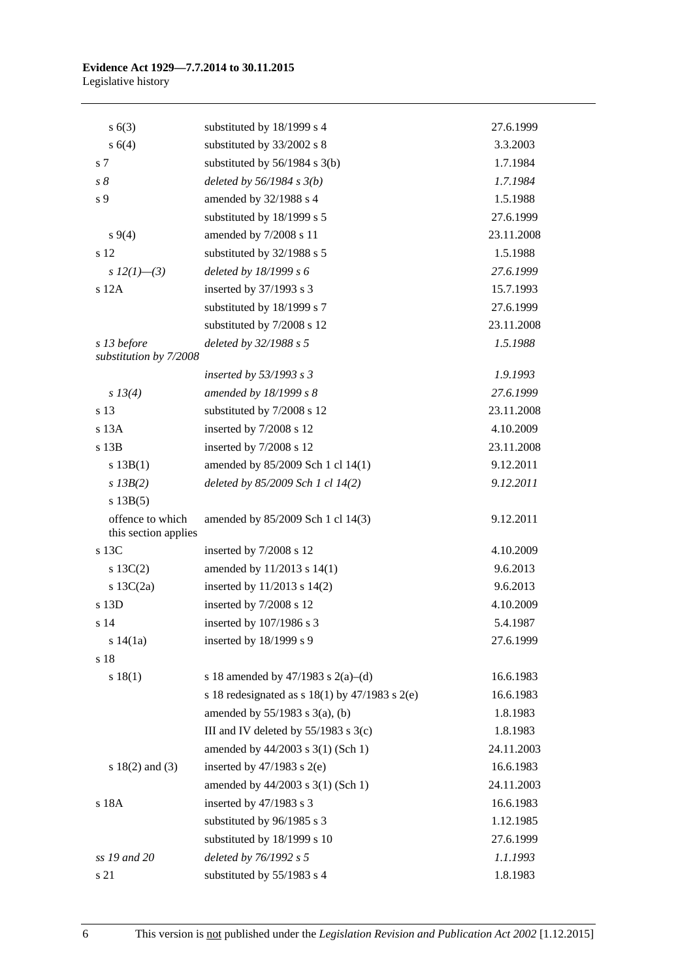#### **Evidence Act 1929—7.7.2014 to 30.11.2015** Legislative history

| s(6(3))                                  | substituted by 18/1999 s 4                           | 27.6.1999  |
|------------------------------------------|------------------------------------------------------|------------|
| s(4)                                     | substituted by 33/2002 s 8                           | 3.3.2003   |
| s 7                                      | substituted by $56/1984$ s $3(b)$                    | 1.7.1984   |
| $s\delta$                                | deleted by $56/1984 s 3(b)$                          | 1.7.1984   |
| s <sub>9</sub>                           | amended by 32/1988 s 4                               | 1.5.1988   |
|                                          | substituted by 18/1999 s 5                           | 27.6.1999  |
| $s\,9(4)$                                | amended by 7/2008 s 11                               | 23.11.2008 |
| s 12                                     | substituted by 32/1988 s 5                           | 1.5.1988   |
| s $12(1)$ —(3)                           | deleted by 18/1999 s 6                               | 27.6.1999  |
| $s$ 12 $A$                               | inserted by 37/1993 s 3                              | 15.7.1993  |
|                                          | substituted by 18/1999 s 7                           | 27.6.1999  |
|                                          | substituted by 7/2008 s 12                           | 23.11.2008 |
| s 13 before                              | deleted by 32/1988 s 5                               | 1.5.1988   |
| substitution by 7/2008                   |                                                      |            |
|                                          | inserted by $53/1993$ s 3                            | 1.9.1993   |
| s 13(4)                                  | amended by 18/1999 s 8                               | 27.6.1999  |
| s 13                                     | substituted by 7/2008 s 12                           | 23.11.2008 |
| s <sub>13A</sub>                         | inserted by 7/2008 s 12                              | 4.10.2009  |
| s 13B                                    | inserted by 7/2008 s 12                              | 23.11.2008 |
| s 13B(1)                                 | amended by 85/2009 Sch 1 cl 14(1)                    | 9.12.2011  |
| $s$ 13B(2)                               | deleted by 85/2009 Sch 1 cl 14(2)                    | 9.12.2011  |
| s 13B(5)                                 |                                                      |            |
| offence to which<br>this section applies | amended by 85/2009 Sch 1 cl 14(3)                    | 9.12.2011  |
| s 13C                                    | inserted by 7/2008 s 12                              | 4.10.2009  |
| $s \ 13C(2)$                             | amended by 11/2013 s 14(1)                           | 9.6.2013   |
| s $13C(2a)$                              | inserted by $11/2013$ s $14(2)$                      | 9.6.2013   |
| s 13D                                    | inserted by 7/2008 s 12                              | 4.10.2009  |
| s 14                                     | inserted by 107/1986 s 3                             | 5.4.1987   |
| s 14(1a)                                 | inserted by 18/1999 s 9                              | 27.6.1999  |
| s 18                                     |                                                      |            |
| s 18(1)                                  | s 18 amended by 47/1983 s 2(a)–(d)                   | 16.6.1983  |
|                                          | s 18 redesignated as s $18(1)$ by $47/1983$ s $2(e)$ | 16.6.1983  |
|                                          | amended by $55/1983$ s 3(a), (b)                     | 1.8.1983   |
|                                          | III and IV deleted by $55/1983$ s $3(c)$             | 1.8.1983   |
|                                          | amended by 44/2003 s 3(1) (Sch 1)                    | 24.11.2003 |
| s $18(2)$ and $(3)$                      | inserted by $47/1983$ s $2(e)$                       | 16.6.1983  |
|                                          | amended by 44/2003 s 3(1) (Sch 1)                    | 24.11.2003 |
| s 18A                                    | inserted by 47/1983 s 3                              | 16.6.1983  |
|                                          | substituted by 96/1985 s 3                           | 1.12.1985  |
|                                          | substituted by 18/1999 s 10                          | 27.6.1999  |
| ss 19 and 20                             | deleted by 76/1992 s 5                               | 1.1.1993   |
| s 21                                     | substituted by 55/1983 s 4                           | 1.8.1983   |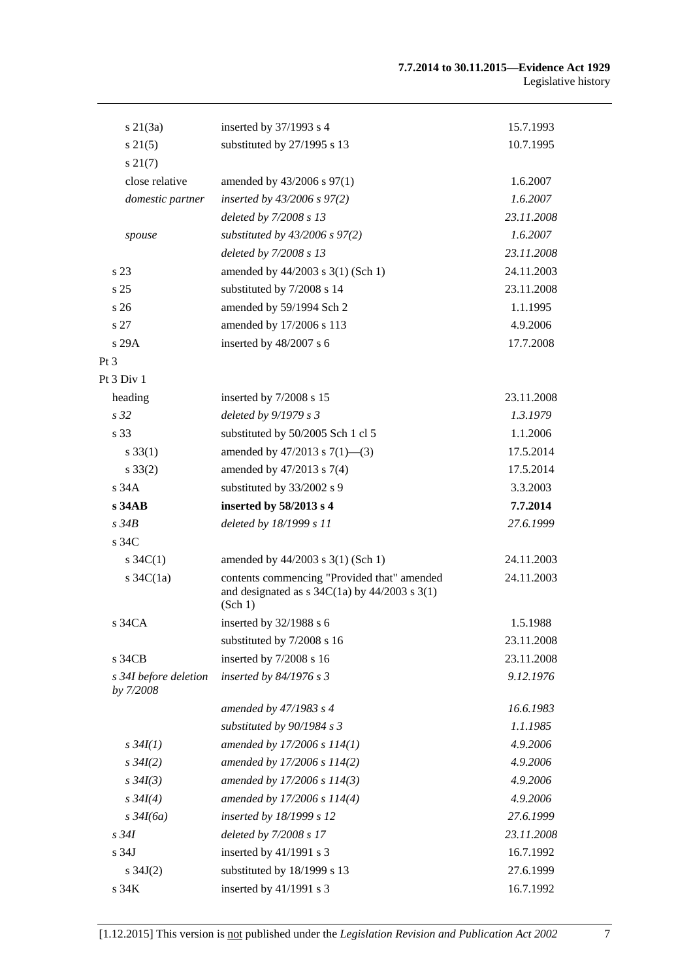| $s \, 21(3a)$                        | inserted by $37/1993$ s 4                                                                                   | 15.7.1993  |
|--------------------------------------|-------------------------------------------------------------------------------------------------------------|------------|
| $s \, 21(5)$                         | substituted by 27/1995 s 13                                                                                 | 10.7.1995  |
| $s\,21(7)$                           |                                                                                                             |            |
| close relative                       | amended by 43/2006 s 97(1)                                                                                  | 1.6.2007   |
| domestic partner                     | inserted by $43/2006$ s $97(2)$                                                                             | 1.6.2007   |
|                                      | deleted by 7/2008 s 13                                                                                      | 23.11.2008 |
| spouse                               | substituted by $43/2006$ s $97(2)$                                                                          | 1.6.2007   |
|                                      | deleted by 7/2008 s 13                                                                                      | 23.11.2008 |
| s 23                                 | amended by 44/2003 s 3(1) (Sch 1)                                                                           | 24.11.2003 |
| s 25                                 | substituted by 7/2008 s 14                                                                                  | 23.11.2008 |
| s 26                                 | amended by 59/1994 Sch 2                                                                                    | 1.1.1995   |
| s 27                                 | amended by 17/2006 s 113                                                                                    | 4.9.2006   |
| s 29A                                | inserted by 48/2007 s 6                                                                                     | 17.7.2008  |
| Pt 3                                 |                                                                                                             |            |
| Pt 3 Div 1                           |                                                                                                             |            |
| heading                              | inserted by 7/2008 s 15                                                                                     | 23.11.2008 |
| s <sub>32</sub>                      | deleted by 9/1979 s 3                                                                                       | 1.3.1979   |
| s 33                                 | substituted by 50/2005 Sch 1 cl 5                                                                           | 1.1.2006   |
| $s \, 33(1)$                         | amended by $47/2013$ s $7(1)$ —(3)                                                                          | 17.5.2014  |
| $s \, 33(2)$                         | amended by 47/2013 s 7(4)                                                                                   | 17.5.2014  |
| s34A                                 | substituted by 33/2002 s 9                                                                                  | 3.3.2003   |
| s34AB                                | inserted by 58/2013 s 4                                                                                     | 7.7.2014   |
| $s\,34B$                             | deleted by 18/1999 s 11                                                                                     | 27.6.1999  |
| s 34C                                |                                                                                                             |            |
| $s \, 34C(1)$                        | amended by 44/2003 s 3(1) (Sch 1)                                                                           | 24.11.2003 |
| s $34C(1a)$                          | contents commencing "Provided that" amended<br>and designated as $s$ 34C(1a) by 44/2003 $s$ 3(1)<br>(Sch 1) | 24.11.2003 |
| $s\,34CA$                            | inserted by 32/1988 s 6                                                                                     | 1.5.1988   |
|                                      | substituted by 7/2008 s 16                                                                                  | 23.11.2008 |
| s 34CB                               | inserted by 7/2008 s 16                                                                                     | 23.11.2008 |
| s 34I before deletion<br>by $7/2008$ | inserted by $84/1976$ s 3                                                                                   | 9.12.1976  |
|                                      | amended by 47/1983 s 4                                                                                      | 16.6.1983  |
|                                      | substituted by $90/1984 s 3$                                                                                | 1.1.1985   |
| $s \, 34I(1)$                        | amended by 17/2006 s 114(1)                                                                                 | 4.9.2006   |
| $s \, 34I(2)$                        | amended by 17/2006 s 114(2)                                                                                 | 4.9.2006   |
| $s \, 34I(3)$                        | amended by 17/2006 s 114(3)                                                                                 | 4.9.2006   |
| $s \, 34I(4)$                        | amended by 17/2006 s 114(4)                                                                                 | 4.9.2006   |
| $s \frac{34I(6a)}{2}$                | inserted by 18/1999 s 12                                                                                    | 27.6.1999  |
| $s\,34I$                             | deleted by 7/2008 s 17                                                                                      | 23.11.2008 |
| s 34J                                | inserted by $41/1991$ s 3                                                                                   | 16.7.1992  |
| s $34J(2)$                           | substituted by 18/1999 s 13                                                                                 | 27.6.1999  |
| s 34K                                | inserted by 41/1991 s 3                                                                                     | 16.7.1992  |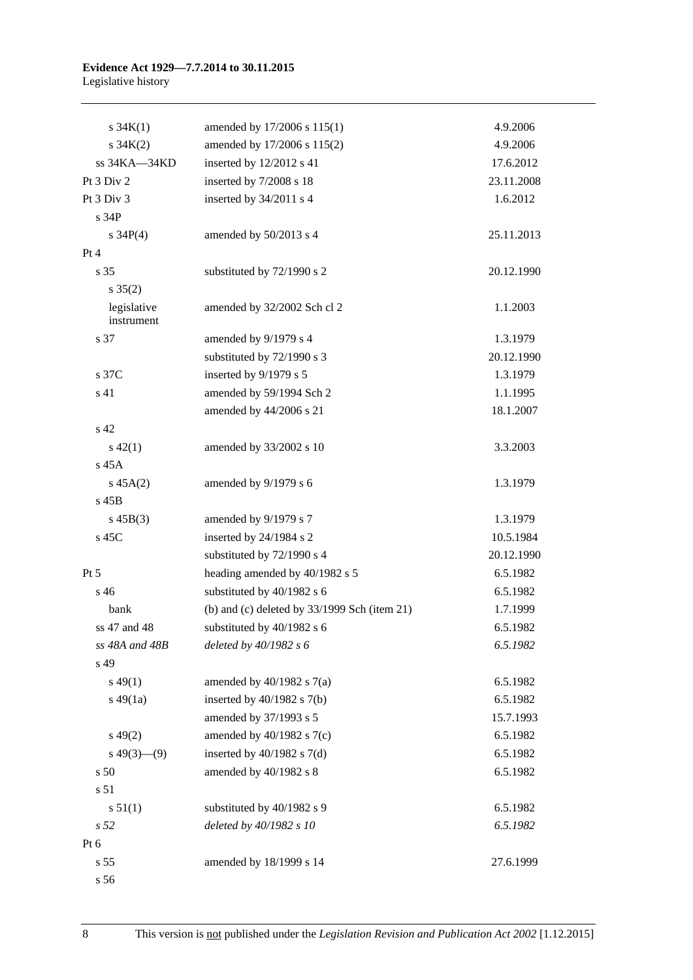#### **Evidence Act 1929—7.7.2014 to 30.11.2015** Legislative history

| $s \, 34K(1)$             | amended by 17/2006 s 115(1)                    | 4.9.2006   |
|---------------------------|------------------------------------------------|------------|
| $s \, 34K(2)$             | amended by 17/2006 s 115(2)                    | 4.9.2006   |
| ss 34KA-34KD              | inserted by 12/2012 s 41                       | 17.6.2012  |
| Pt 3 Div 2                | inserted by 7/2008 s 18                        | 23.11.2008 |
| Pt 3 Div 3                | inserted by 34/2011 s 4                        | 1.6.2012   |
| s 34P                     |                                                |            |
| s $34P(4)$                | amended by 50/2013 s 4                         | 25.11.2013 |
| Pt 4                      |                                                |            |
| s <sub>35</sub>           | substituted by 72/1990 s 2                     | 20.12.1990 |
| $s \; 35(2)$              |                                                |            |
| legislative<br>instrument | amended by 32/2002 Sch cl 2                    | 1.1.2003   |
| s 37                      | amended by 9/1979 s 4                          | 1.3.1979   |
|                           | substituted by 72/1990 s 3                     | 20.12.1990 |
| s 37C                     | inserted by 9/1979 s 5                         | 1.3.1979   |
| s 41                      | amended by 59/1994 Sch 2                       | 1.1.1995   |
|                           | amended by 44/2006 s 21                        | 18.1.2007  |
| s 42                      |                                                |            |
| $s\ 42(1)$                | amended by 33/2002 s 10                        | 3.3.2003   |
| $s$ 45 $A$                |                                                |            |
| $s\,45A(2)$               | amended by 9/1979 s 6                          | 1.3.1979   |
| $s$ 45 $B$                |                                                |            |
| $s\,45B(3)$               | amended by 9/1979 s 7                          | 1.3.1979   |
| s 45C                     | inserted by 24/1984 s 2                        | 10.5.1984  |
|                           | substituted by 72/1990 s 4                     | 20.12.1990 |
| $Pt\,5$                   | heading amended by 40/1982 s 5                 | 6.5.1982   |
| $s\,46$                   | substituted by 40/1982 s 6                     | 6.5.1982   |
| bank                      | (b) and (c) deleted by $33/1999$ Sch (item 21) | 1.7.1999   |
| ss 47 and 48              | substituted by 40/1982 s 6                     | 6.5.1982   |
| ss 48A and 48B            | deleted by $40/1982 s 6$                       | 6.5.1982   |
| s 49                      |                                                |            |
| $s\,49(1)$                | amended by $40/1982$ s $7(a)$                  | 6.5.1982   |
| $s\ 49(1a)$               | inserted by $40/1982$ s $7(b)$                 | 6.5.1982   |
|                           | amended by 37/1993 s 5                         | 15.7.1993  |
| $s\,49(2)$                | amended by $40/1982$ s $7(c)$                  | 6.5.1982   |
| $s\,49(3)$ (9)            | inserted by $40/1982$ s $7(d)$                 | 6.5.1982   |
| s 50                      | amended by 40/1982 s 8                         | 6.5.1982   |
| s 51                      |                                                |            |
| s 51(1)                   | substituted by 40/1982 s 9                     | 6.5.1982   |
| s <sub>52</sub>           | deleted by 40/1982 s 10                        | 6.5.1982   |
| Pt 6                      |                                                |            |
| s 55                      | amended by 18/1999 s 14                        | 27.6.1999  |
| s 56                      |                                                |            |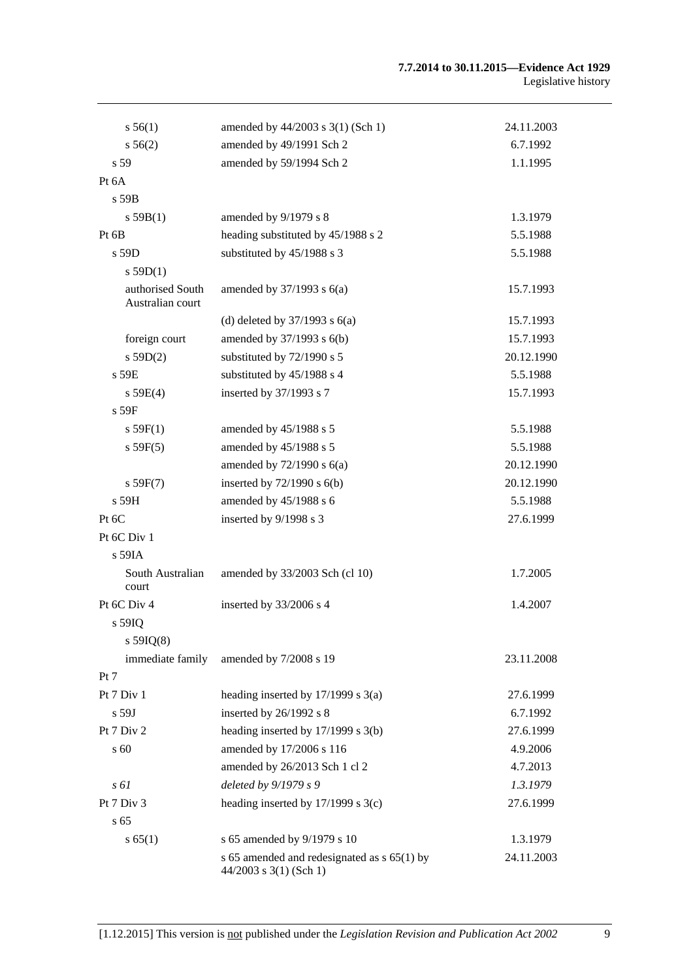#### **7.7.2014 to 30.11.2015—Evidence Act 1929** Legislative history

| s 56(1)                              | amended by $44/2003$ s 3(1) (Sch 1)           | 24.11.2003 |
|--------------------------------------|-----------------------------------------------|------------|
| $s\,56(2)$                           | amended by 49/1991 Sch 2                      | 6.7.1992   |
| s 59                                 | amended by 59/1994 Sch 2                      | 1.1.1995   |
| Pt 6A                                |                                               |            |
| s 59B                                |                                               |            |
| s 59B(1)                             | amended by 9/1979 s 8                         | 1.3.1979   |
| Pt 6B                                | heading substituted by 45/1988 s 2            | 5.5.1988   |
| $s$ 59D                              | substituted by 45/1988 s 3                    | 5.5.1988   |
| s 59D(1)                             |                                               |            |
| authorised South<br>Australian court | amended by $37/1993$ s $6(a)$                 | 15.7.1993  |
|                                      | (d) deleted by $37/1993$ s $6(a)$             | 15.7.1993  |
| foreign court                        | amended by 37/1993 s 6(b)                     | 15.7.1993  |
| s 59D(2)                             | substituted by 72/1990 s 5                    | 20.12.1990 |
| s 59E                                | substituted by 45/1988 s 4                    | 5.5.1988   |
| s 59E(4)                             | inserted by 37/1993 s 7                       | 15.7.1993  |
| $s$ 59 $F$                           |                                               |            |
| s 59F(1)                             | amended by 45/1988 s 5                        | 5.5.1988   |
| s 59F(5)                             | amended by 45/1988 s 5                        | 5.5.1988   |
|                                      | amended by $72/1990$ s $6(a)$                 | 20.12.1990 |
| s 59F(7)                             | inserted by $72/1990$ s $6(b)$                | 20.12.1990 |
| s 59H                                | amended by 45/1988 s 6                        | 5.5.1988   |
| Pt 6C                                | inserted by 9/1998 s 3                        | 27.6.1999  |
| Pt 6C Div 1                          |                                               |            |
| s 59IA                               |                                               |            |
| South Australian<br>court            | amended by 33/2003 Sch (cl 10)                | 1.7.2005   |
| Pt 6C Div 4                          | inserted by 33/2006 s 4                       | 1.4.2007   |
| s 59IQ                               |                                               |            |
| $s$ 59IQ(8)                          |                                               |            |
| immediate family                     | amended by 7/2008 s 19                        | 23.11.2008 |
| Pt 7                                 |                                               |            |
| Pt 7 Div 1                           | heading inserted by $17/1999$ s $3(a)$        | 27.6.1999  |
| $s$ 59J                              | inserted by 26/1992 s 8                       | 6.7.1992   |
| Pt 7 Div 2                           | heading inserted by $17/1999$ s $3(b)$        | 27.6.1999  |
| s 60                                 | amended by 17/2006 s 116                      | 4.9.2006   |
|                                      | amended by 26/2013 Sch 1 cl 2                 | 4.7.2013   |
| $s \, \delta l$                      | deleted by 9/1979 s 9                         | 1.3.1979   |
| Pt 7 Div 3                           | heading inserted by $17/1999$ s $3(c)$        | 27.6.1999  |
| s <sub>65</sub>                      |                                               |            |
| s 65(1)                              | s 65 amended by 9/1979 s 10                   | 1.3.1979   |
|                                      | s 65 amended and redesignated as $s$ 65(1) by | 24.11.2003 |
|                                      | $44/2003$ s 3(1) (Sch 1)                      |            |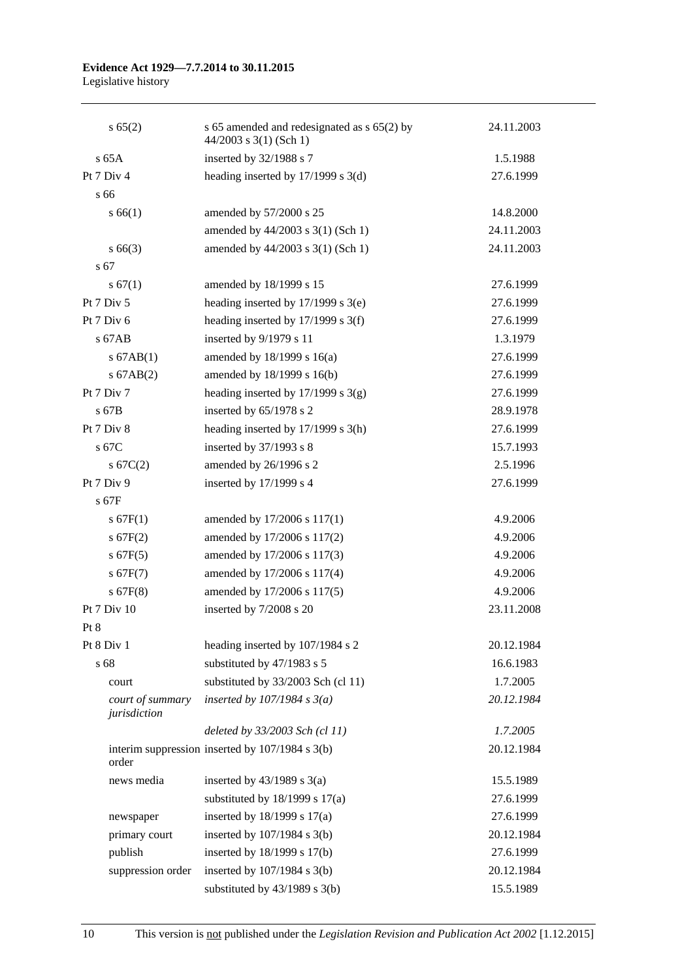# **Evidence Act 1929—7.7.2014 to 30.11.2015**

Legislative history

| s 65(2)                          | s 65 amended and redesignated as s 65(2) by<br>$44/2003$ s 3(1) (Sch 1) | 24.11.2003 |
|----------------------------------|-------------------------------------------------------------------------|------------|
| $s$ 65A                          | inserted by 32/1988 s 7                                                 | 1.5.1988   |
| Pt 7 Div 4                       | heading inserted by $17/1999$ s $3(d)$                                  | 27.6.1999  |
| s 66                             |                                                                         |            |
| s 66(1)                          | amended by 57/2000 s 25                                                 | 14.8.2000  |
|                                  | amended by 44/2003 s 3(1) (Sch 1)                                       | 24.11.2003 |
| $s\,66(3)$                       | amended by 44/2003 s 3(1) (Sch 1)                                       | 24.11.2003 |
| s 67                             |                                                                         |            |
| s 67(1)                          | amended by 18/1999 s 15                                                 | 27.6.1999  |
| Pt 7 Div 5                       | heading inserted by $17/1999$ s $3(e)$                                  | 27.6.1999  |
| Pt $7$ Div $6$                   | heading inserted by 17/1999 s 3(f)                                      | 27.6.1999  |
| s 67AB                           | inserted by 9/1979 s 11                                                 | 1.3.1979   |
| $s$ 67AB(1)                      | amended by 18/1999 s 16(a)                                              | 27.6.1999  |
| $s$ 67AB $(2)$                   | amended by 18/1999 s 16(b)                                              | 27.6.1999  |
| Pt 7 Div 7                       | heading inserted by $17/1999$ s $3(g)$                                  | 27.6.1999  |
| $s$ 67B                          | inserted by 65/1978 s 2                                                 | 28.9.1978  |
| Pt 7 Div 8                       | heading inserted by $17/1999$ s $3(h)$                                  | 27.6.1999  |
| s 67C                            | inserted by $37/1993$ s 8                                               | 15.7.1993  |
| s 67C(2)                         | amended by 26/1996 s 2                                                  | 2.5.1996   |
| Pt 7 Div 9                       | inserted by 17/1999 s 4                                                 | 27.6.1999  |
| $s$ 67F                          |                                                                         |            |
| s 67F(1)                         | amended by 17/2006 s 117(1)                                             | 4.9.2006   |
| s 67F(2)                         | amended by 17/2006 s 117(2)                                             | 4.9.2006   |
| $s$ 67F(5)                       | amended by 17/2006 s 117(3)                                             | 4.9.2006   |
| s 67F(7)                         | amended by 17/2006 s 117(4)                                             | 4.9.2006   |
| $s$ 67F(8)                       | amended by 17/2006 s 117(5)                                             | 4.9.2006   |
| Pt 7 Div 10                      | inserted by 7/2008 s 20                                                 | 23.11.2008 |
| Pt 8                             |                                                                         |            |
| Pt 8 Div 1                       | heading inserted by 107/1984 s 2                                        | 20.12.1984 |
| s 68                             | substituted by 47/1983 s 5                                              | 16.6.1983  |
| court                            | substituted by 33/2003 Sch (cl 11)                                      | 1.7.2005   |
| court of summary<br>jurisdiction | inserted by $107/1984$ s $3(a)$                                         | 20.12.1984 |
|                                  | deleted by 33/2003 Sch (cl 11)                                          | 1.7.2005   |
| order                            | interim suppression inserted by 107/1984 s 3(b)                         | 20.12.1984 |
| news media                       | inserted by $43/1989$ s $3(a)$                                          | 15.5.1989  |
|                                  | substituted by $18/1999$ s $17(a)$                                      | 27.6.1999  |
| newspaper                        | inserted by $18/1999$ s $17(a)$                                         | 27.6.1999  |
| primary court                    | inserted by $107/1984$ s $3(b)$                                         | 20.12.1984 |
| publish                          | inserted by 18/1999 s 17(b)                                             | 27.6.1999  |
| suppression order                | inserted by $107/1984$ s $3(b)$                                         | 20.12.1984 |
|                                  | substituted by $43/1989$ s $3(b)$                                       | 15.5.1989  |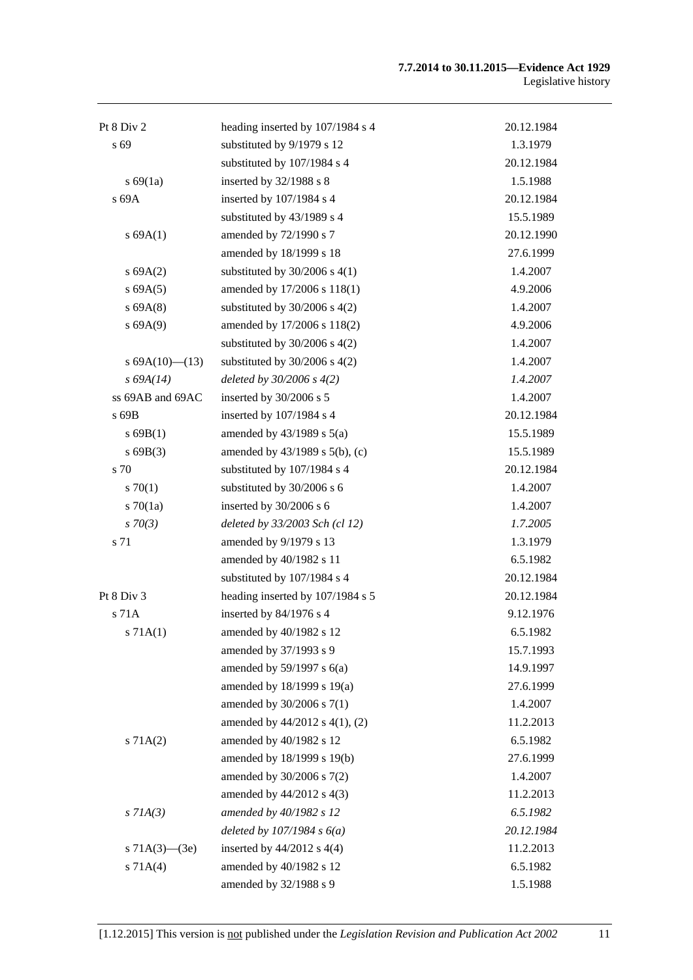#### **7.7.2014 to 30.11.2015—Evidence Act 1929** Legislative history

| Pt 8 Div 2           | heading inserted by 107/1984 s 4    | 20.12.1984 |
|----------------------|-------------------------------------|------------|
| s 69                 | substituted by 9/1979 s 12          | 1.3.1979   |
|                      | substituted by 107/1984 s 4         | 20.12.1984 |
| s 69(1a)             | inserted by 32/1988 s 8             | 1.5.1988   |
| s 69A                | inserted by 107/1984 s 4            | 20.12.1984 |
|                      | substituted by 43/1989 s 4          | 15.5.1989  |
| s 69A(1)             | amended by 72/1990 s 7              | 20.12.1990 |
|                      | amended by 18/1999 s 18             | 27.6.1999  |
| s 69A(2)             | substituted by $30/2006$ s $4(1)$   | 1.4.2007   |
| s 69A(5)             | amended by 17/2006 s 118(1)         | 4.9.2006   |
| s 69A(8)             | substituted by $30/2006$ s $4(2)$   | 1.4.2007   |
| s 69A(9)             | amended by 17/2006 s 118(2)         | 4.9.2006   |
|                      | substituted by $30/2006$ s $4(2)$   | 1.4.2007   |
| s $69A(10)$ — $(13)$ | substituted by $30/2006$ s $4(2)$   | 1.4.2007   |
| s 69A(14)            | deleted by $30/2006 s 4(2)$         | 1.4.2007   |
| ss 69AB and 69AC     | inserted by 30/2006 s 5             | 1.4.2007   |
| s 69B                | inserted by 107/1984 s 4            | 20.12.1984 |
| s69B(1)              | amended by $43/1989$ s $5(a)$       | 15.5.1989  |
| s69B(3)              | amended by $43/1989$ s $5(b)$ , (c) | 15.5.1989  |
| s 70                 | substituted by 107/1984 s 4         | 20.12.1984 |
| 570(1)               | substituted by 30/2006 s 6          | 1.4.2007   |
| $s \, 70(1a)$        | inserted by 30/2006 s 6             | 1.4.2007   |
| $s \, 70(3)$         | deleted by 33/2003 Sch (cl 12)      | 1.7.2005   |
| s 71                 | amended by 9/1979 s 13              | 1.3.1979   |
|                      | amended by 40/1982 s 11             | 6.5.1982   |
|                      | substituted by 107/1984 s 4         | 20.12.1984 |
| Pt 8 Div 3           | heading inserted by 107/1984 s 5    | 20.12.1984 |
| s 71A                | inserted by 84/1976 s 4             | 9.12.1976  |
| s 71A(1)             | amended by 40/1982 s 12             | 6.5.1982   |
|                      | amended by 37/1993 s 9              | 15.7.1993  |
|                      | amended by $59/1997$ s $6(a)$       | 14.9.1997  |
|                      | amended by 18/1999 s 19(a)          | 27.6.1999  |
|                      | amended by 30/2006 s 7(1)           | 1.4.2007   |
|                      | amended by 44/2012 s 4(1), (2)      | 11.2.2013  |
| s 71A(2)             | amended by 40/1982 s 12             | 6.5.1982   |
|                      | amended by 18/1999 s 19(b)          | 27.6.1999  |
|                      | amended by 30/2006 s 7(2)           | 1.4.2007   |
|                      | amended by 44/2012 s 4(3)           | 11.2.2013  |
| $s$ 71A(3)           | amended by 40/1982 s 12             | 6.5.1982   |
|                      | deleted by $107/1984 s 6(a)$        | 20.12.1984 |
| s $71A(3)$ — $(3e)$  | inserted by $44/2012$ s $4(4)$      | 11.2.2013  |
| s 71A(4)             | amended by 40/1982 s 12             | 6.5.1982   |
|                      | amended by 32/1988 s 9              | 1.5.1988   |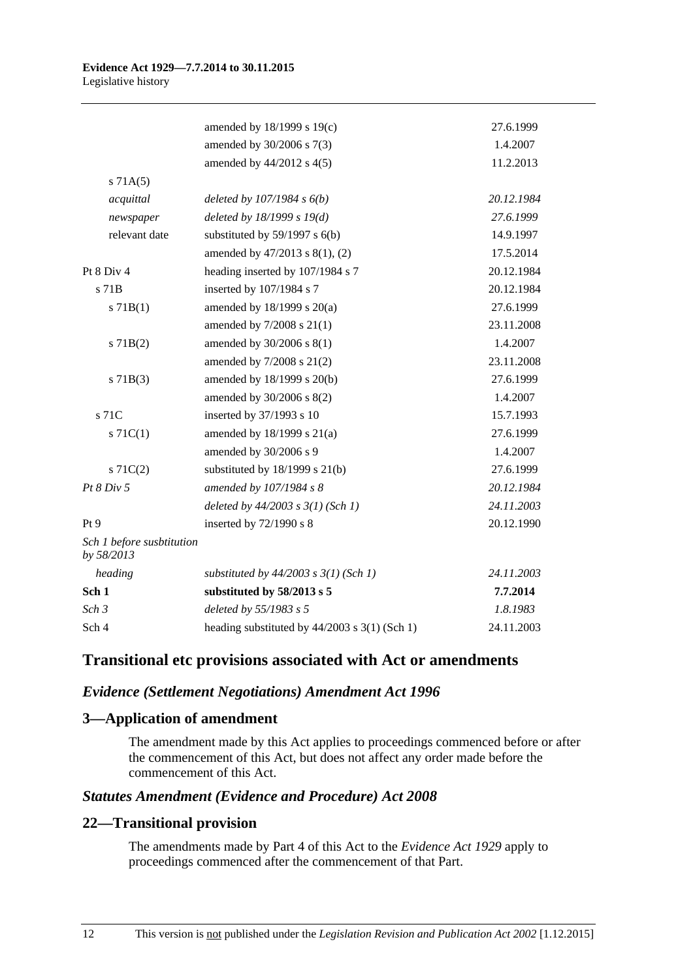|                                         | amended by 18/1999 s 19(c)                    | 27.6.1999  |
|-----------------------------------------|-----------------------------------------------|------------|
|                                         | amended by 30/2006 s 7(3)                     | 1.4.2007   |
|                                         | amended by 44/2012 s 4(5)                     | 11.2.2013  |
| s 71A(5)                                |                                               |            |
| acquittal                               | deleted by $107/1984 s 6(b)$                  | 20.12.1984 |
| newspaper                               | deleted by $18/1999 s 19(d)$                  | 27.6.1999  |
| relevant date                           | substituted by $59/1997$ s $6(b)$             | 14.9.1997  |
|                                         | amended by 47/2013 s 8(1), (2)                | 17.5.2014  |
| Pt 8 Div 4                              | heading inserted by 107/1984 s 7              | 20.12.1984 |
| s 71B                                   | inserted by 107/1984 s 7                      | 20.12.1984 |
| $s$ 71B(1)                              | amended by $18/1999$ s $20(a)$                | 27.6.1999  |
|                                         | amended by $7/2008$ s $21(1)$                 | 23.11.2008 |
| $s$ 71B(2)                              | amended by 30/2006 s 8(1)                     | 1.4.2007   |
|                                         | amended by 7/2008 s 21(2)                     | 23.11.2008 |
| $s$ 71B(3)                              | amended by 18/1999 s 20(b)                    | 27.6.1999  |
|                                         | amended by 30/2006 s 8(2)                     | 1.4.2007   |
| s 71C                                   | inserted by 37/1993 s 10                      | 15.7.1993  |
| $s \, 71C(1)$                           | amended by 18/1999 s 21(a)                    | 27.6.1999  |
|                                         | amended by 30/2006 s 9                        | 1.4.2007   |
| $s \, 71C(2)$                           | substituted by $18/1999$ s $21(b)$            | 27.6.1999  |
| Pt 8 Div 5                              | amended by 107/1984 s 8                       | 20.12.1984 |
|                                         | deleted by $44/2003$ s $3(1)$ (Sch 1)         | 24.11.2003 |
| Pt9                                     | inserted by 72/1990 s 8                       | 20.12.1990 |
| Sch 1 before susbtitution<br>by 58/2013 |                                               |            |
| heading                                 | substituted by $44/2003$ s $3(1)$ (Sch 1)     | 24.11.2003 |
| Sch <sub>1</sub>                        | substituted by 58/2013 s 5                    | 7.7.2014   |
| Sch <sub>3</sub>                        | deleted by 55/1983 s 5                        | 1.8.1983   |
| Sch 4                                   | heading substituted by 44/2003 s 3(1) (Sch 1) | 24.11.2003 |

# **Transitional etc provisions associated with Act or amendments**

## *Evidence (Settlement Negotiations) Amendment Act 1996*

## **3—Application of amendment**

The amendment made by this Act applies to proceedings commenced before or after the commencement of this Act, but does not affect any order made before the commencement of this Act.

## *Statutes Amendment (Evidence and Procedure) Act 2008*

## **22—Transitional provision**

The amendments made by Part 4 of this Act to the *[Evidence Act](http://www.legislation.sa.gov.au/index.aspx?action=legref&type=act&legtitle=Evidence%20Act%201929) 1929* apply to proceedings commenced after the commencement of that Part.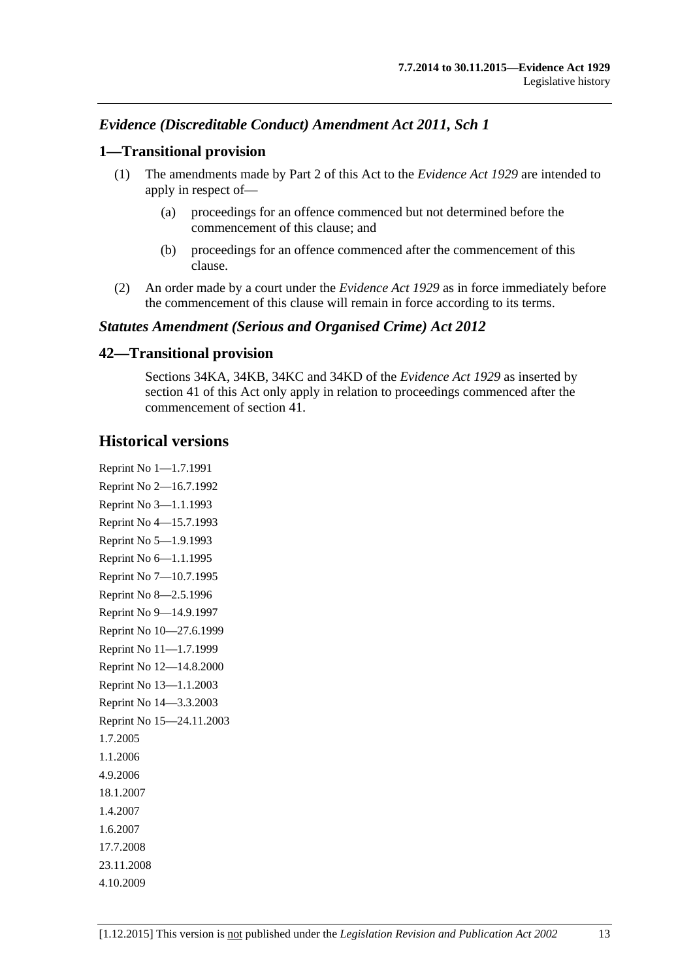# *Evidence (Discreditable Conduct) Amendment Act 2011, Sch 1*

### **1—Transitional provision**

- (1) The amendments made by Part 2 of this Act to the *[Evidence Act](http://www.legislation.sa.gov.au/index.aspx?action=legref&type=act&legtitle=Evidence%20Act%201929) 1929* are intended to apply in respect of—
	- (a) proceedings for an offence commenced but not determined before the commencement of this clause; and
	- (b) proceedings for an offence commenced after the commencement of this clause.
- (2) An order made by a court under the *[Evidence Act](http://www.legislation.sa.gov.au/index.aspx?action=legref&type=act&legtitle=Evidence%20Act%201929) 1929* as in force immediately before the commencement of this clause will remain in force according to its terms.

### *Statutes Amendment (Serious and Organised Crime) Act 2012*

### **42—Transitional provision**

Sections 34KA, 34KB, 34KC and 34KD of the *[Evidence Act](http://www.legislation.sa.gov.au/index.aspx?action=legref&type=act&legtitle=Evidence%20Act%201929) 1929* as inserted by section 41 of this Act only apply in relation to proceedings commenced after the commencement of section 41.

# **Historical versions**

Reprint No 1—1.7.1991 Reprint No 2—16.7.1992 Reprint No 3—1.1.1993 Reprint No 4—15.7.1993 Reprint No 5—1.9.1993 Reprint No 6—1.1.1995 Reprint No 7—10.7.1995 Reprint No 8—2.5.1996 Reprint No 9—14.9.1997 Reprint No 10—27.6.1999 Reprint No 11—1.7.1999 Reprint No 12—14.8.2000 Reprint No 13—1.1.2003 Reprint No 14—3.3.2003 Reprint No 15—24.11.2003 1.7.2005 1.1.2006 4.9.2006 18.1.2007 1.4.2007 1.6.2007 17.7.2008 23.11.2008 4.10.2009